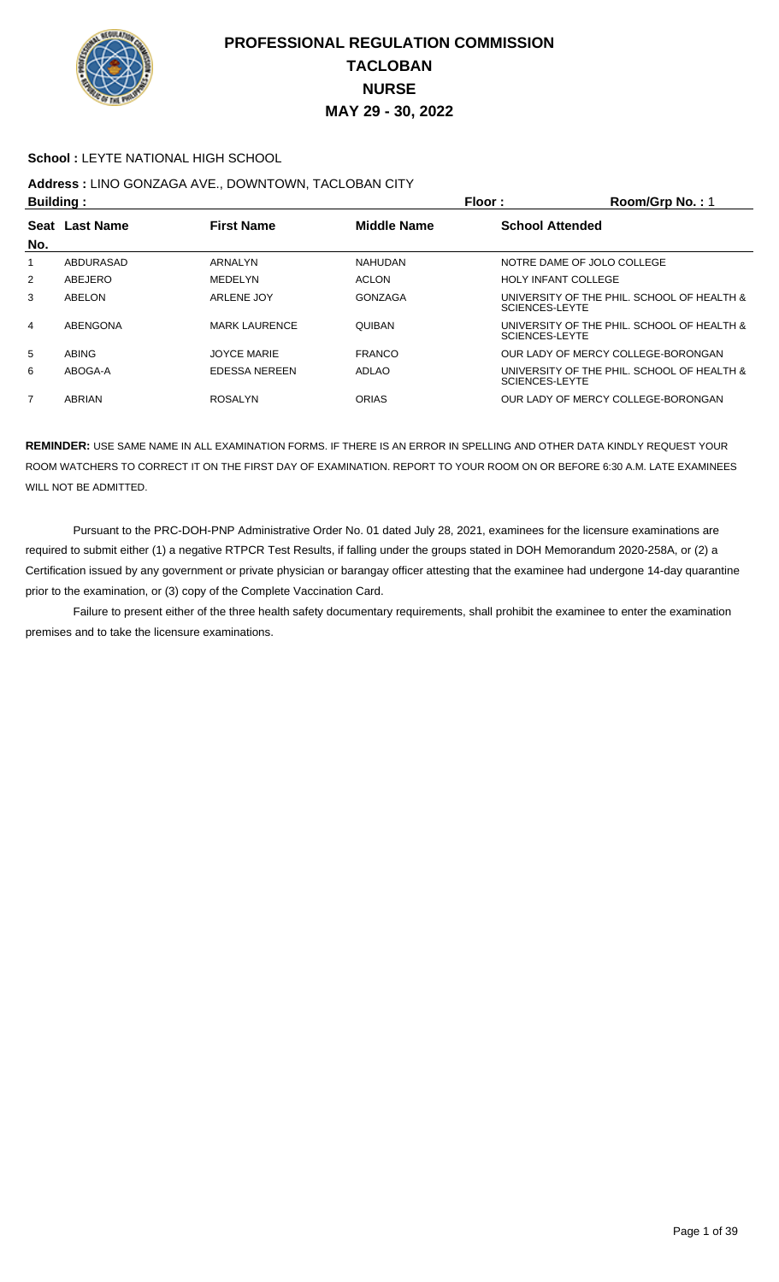

#### **School :** LEYTE NATIONAL HIGH SCHOOL

## **Address :** LINO GONZAGA AVE., DOWNTOWN, TACLOBAN CITY

| <b>Building:</b> |                       |                      | Floor:             | Room/Grp No.: 1                                                     |
|------------------|-----------------------|----------------------|--------------------|---------------------------------------------------------------------|
| No.              | <b>Seat Last Name</b> | <b>First Name</b>    | <b>Middle Name</b> | <b>School Attended</b>                                              |
| 1                | ABDURASAD             | ARNALYN              | <b>NAHUDAN</b>     | NOTRE DAME OF JOLO COLLEGE                                          |
| 2                | ABEJERO               | MEDELYN              | <b>ACLON</b>       | <b>HOLY INFANT COLLEGE</b>                                          |
| 3                | ABELON                | ARLENE JOY           | GONZAGA            | UNIVERSITY OF THE PHIL. SCHOOL OF HEALTH &<br>SCIENCES-LEYTE        |
| 4                | ABENGONA              | <b>MARK LAURENCE</b> | <b>QUIBAN</b>      | UNIVERSITY OF THE PHIL. SCHOOL OF HEALTH &<br><b>SCIENCES-LEYTE</b> |
| 5                | <b>ABING</b>          | <b>JOYCE MARIE</b>   | <b>FRANCO</b>      | OUR LADY OF MERCY COLLEGE-BORONGAN                                  |
| 6                | ABOGA-A               | <b>EDESSA NEREEN</b> | ADLAO              | UNIVERSITY OF THE PHIL. SCHOOL OF HEALTH &<br><b>SCIENCES-LEYTE</b> |
| 7                | ABRIAN                | <b>ROSALYN</b>       | <b>ORIAS</b>       | OUR LADY OF MERCY COLLEGE-BORONGAN                                  |

**REMINDER:** USE SAME NAME IN ALL EXAMINATION FORMS. IF THERE IS AN ERROR IN SPELLING AND OTHER DATA KINDLY REQUEST YOUR ROOM WATCHERS TO CORRECT IT ON THE FIRST DAY OF EXAMINATION. REPORT TO YOUR ROOM ON OR BEFORE 6:30 A.M. LATE EXAMINEES WILL NOT BE ADMITTED.

 Pursuant to the PRC-DOH-PNP Administrative Order No. 01 dated July 28, 2021, examinees for the licensure examinations are required to submit either (1) a negative RTPCR Test Results, if falling under the groups stated in DOH Memorandum 2020-258A, or (2) a Certification issued by any government or private physician or barangay officer attesting that the examinee had undergone 14-day quarantine prior to the examination, or (3) copy of the Complete Vaccination Card.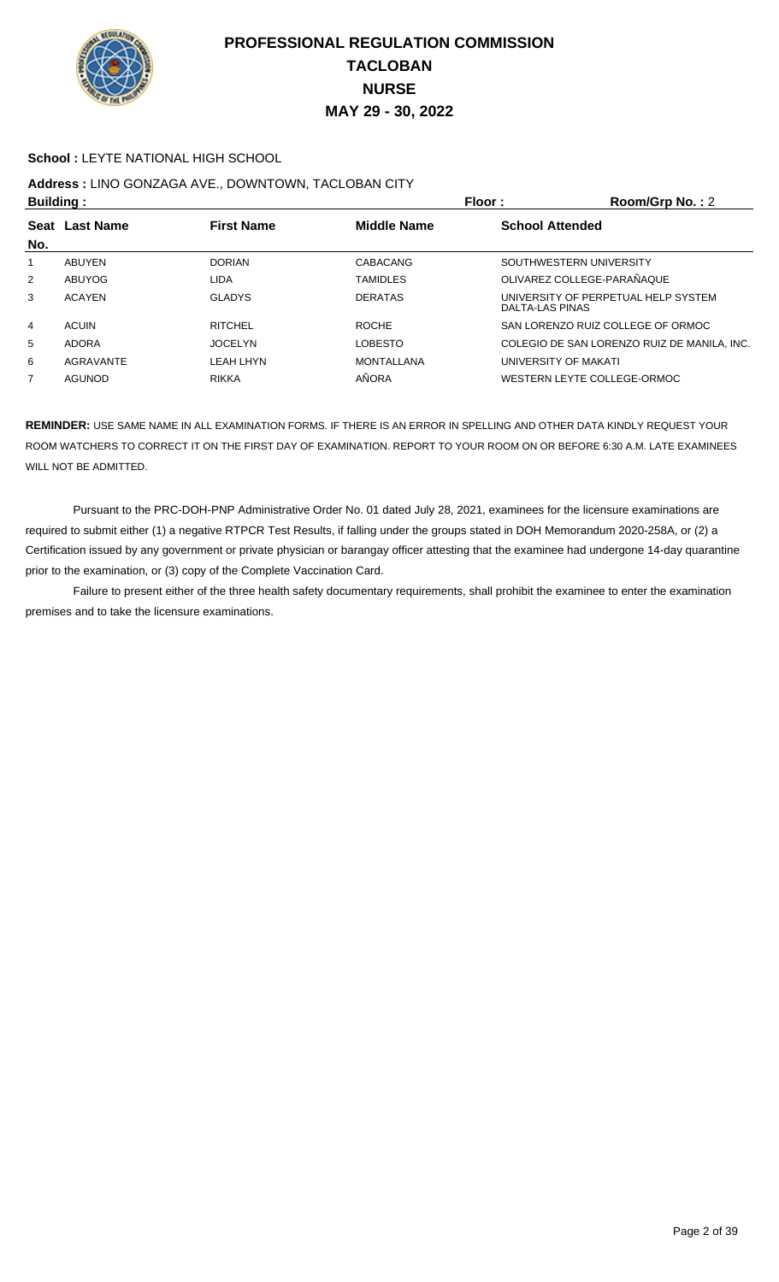

#### **School : LEYTE NATIONAL HIGH SCHOOL**

# **Address :** LINO GONZAGA AVE., DOWNTOWN, TACLOBAN CITY

| <b>Building:</b> |                  |                   | Floor :<br>Room/Grp No.: 2                   |                      |                                             |
|------------------|------------------|-------------------|----------------------------------------------|----------------------|---------------------------------------------|
| <b>Seat</b>      | <b>Last Name</b> | <b>First Name</b> | <b>Middle Name</b><br><b>School Attended</b> |                      |                                             |
| No.              |                  |                   |                                              |                      |                                             |
|                  | ABUYEN           | <b>DORIAN</b>     | <b>CABACANG</b>                              |                      | SOUTHWESTERN UNIVERSITY                     |
| $\overline{2}$   | <b>ABUYOG</b>    | LIDA              | <b>TAMIDLES</b>                              |                      | OLIVAREZ COLLEGE-PARAÑAQUE                  |
| 3                | <b>ACAYEN</b>    | <b>GLADYS</b>     | <b>DERATAS</b>                               | DALTA-LAS PINAS      | UNIVERSITY OF PERPETUAL HELP SYSTEM         |
| 4                | <b>ACUIN</b>     | <b>RITCHEL</b>    | <b>ROCHE</b>                                 |                      | SAN LORENZO RUIZ COLLEGE OF ORMOC           |
| 5                | <b>ADORA</b>     | <b>JOCELYN</b>    | <b>LOBESTO</b>                               |                      | COLEGIO DE SAN LORENZO RUIZ DE MANILA. INC. |
| 6                | <b>AGRAVANTE</b> | LEAH LHYN         | <b>MONTALLANA</b>                            | UNIVERSITY OF MAKATI |                                             |
| 7                | AGUNOD           | <b>RIKKA</b>      | AÑORA                                        |                      | WESTERN LEYTE COLLEGE-ORMOC                 |

**REMINDER:** USE SAME NAME IN ALL EXAMINATION FORMS. IF THERE IS AN ERROR IN SPELLING AND OTHER DATA KINDLY REQUEST YOUR ROOM WATCHERS TO CORRECT IT ON THE FIRST DAY OF EXAMINATION. REPORT TO YOUR ROOM ON OR BEFORE 6:30 A.M. LATE EXAMINEES WILL NOT BE ADMITTED.

 Pursuant to the PRC-DOH-PNP Administrative Order No. 01 dated July 28, 2021, examinees for the licensure examinations are required to submit either (1) a negative RTPCR Test Results, if falling under the groups stated in DOH Memorandum 2020-258A, or (2) a Certification issued by any government or private physician or barangay officer attesting that the examinee had undergone 14-day quarantine prior to the examination, or (3) copy of the Complete Vaccination Card.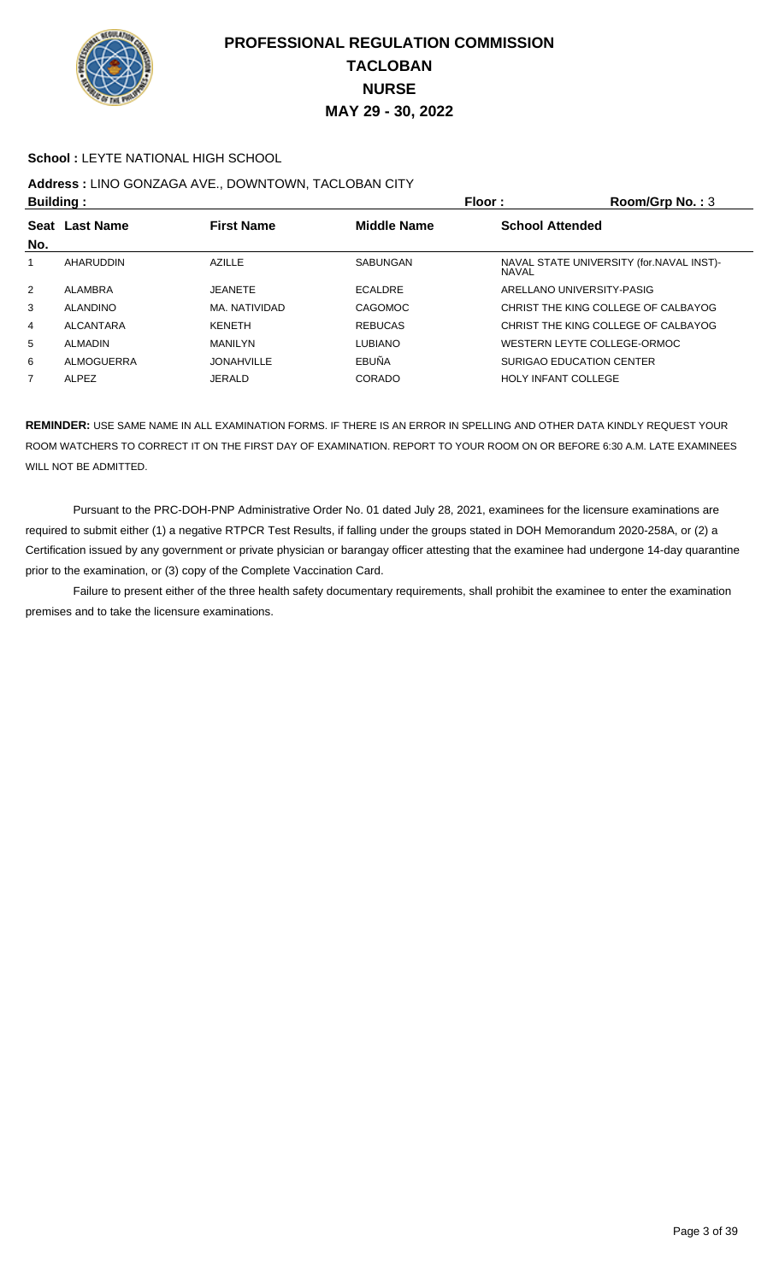

#### **School : LEYTE NATIONAL HIGH SCHOOL**

## **Address :** LINO GONZAGA AVE., DOWNTOWN, TACLOBAN CITY

| <b>Building:</b> |                 |                   | Floor:             | Room/Grp No.: $3$                                         |
|------------------|-----------------|-------------------|--------------------|-----------------------------------------------------------|
|                  | Seat Last Name  | <b>First Name</b> | <b>Middle Name</b> | <b>School Attended</b>                                    |
| No.              |                 |                   |                    |                                                           |
|                  | AHARUDDIN       | <b>AZILLE</b>     | SABUNGAN           | NAVAL STATE UNIVERSITY (for. NAVAL INST)-<br><b>NAVAL</b> |
| 2                | ALAMBRA         | <b>JEANETE</b>    | ECALDRE            | ARELLANO UNIVERSITY-PASIG                                 |
| 3                | <b>ALANDINO</b> | MA, NATIVIDAD     | CAGOMOC            | CHRIST THE KING COLLEGE OF CALBAYOG                       |
| 4                | ALCANTARA       | <b>KENETH</b>     | <b>REBUCAS</b>     | CHRIST THE KING COLLEGE OF CALBAYOG                       |
| 5                | <b>ALMADIN</b>  | <b>MANILYN</b>    | <b>LUBIANO</b>     | WESTERN LEYTE COLLEGE-ORMOC                               |
| 6                | ALMOGUERRA      | <b>JONAHVILLE</b> | EBUÑA              | SURIGAO EDUCATION CENTER                                  |
| $\overline{7}$   | <b>ALPEZ</b>    | <b>JERALD</b>     | CORADO             | <b>HOLY INFANT COLLEGE</b>                                |

**REMINDER:** USE SAME NAME IN ALL EXAMINATION FORMS. IF THERE IS AN ERROR IN SPELLING AND OTHER DATA KINDLY REQUEST YOUR ROOM WATCHERS TO CORRECT IT ON THE FIRST DAY OF EXAMINATION. REPORT TO YOUR ROOM ON OR BEFORE 6:30 A.M. LATE EXAMINEES WILL NOT BE ADMITTED.

 Pursuant to the PRC-DOH-PNP Administrative Order No. 01 dated July 28, 2021, examinees for the licensure examinations are required to submit either (1) a negative RTPCR Test Results, if falling under the groups stated in DOH Memorandum 2020-258A, or (2) a Certification issued by any government or private physician or barangay officer attesting that the examinee had undergone 14-day quarantine prior to the examination, or (3) copy of the Complete Vaccination Card.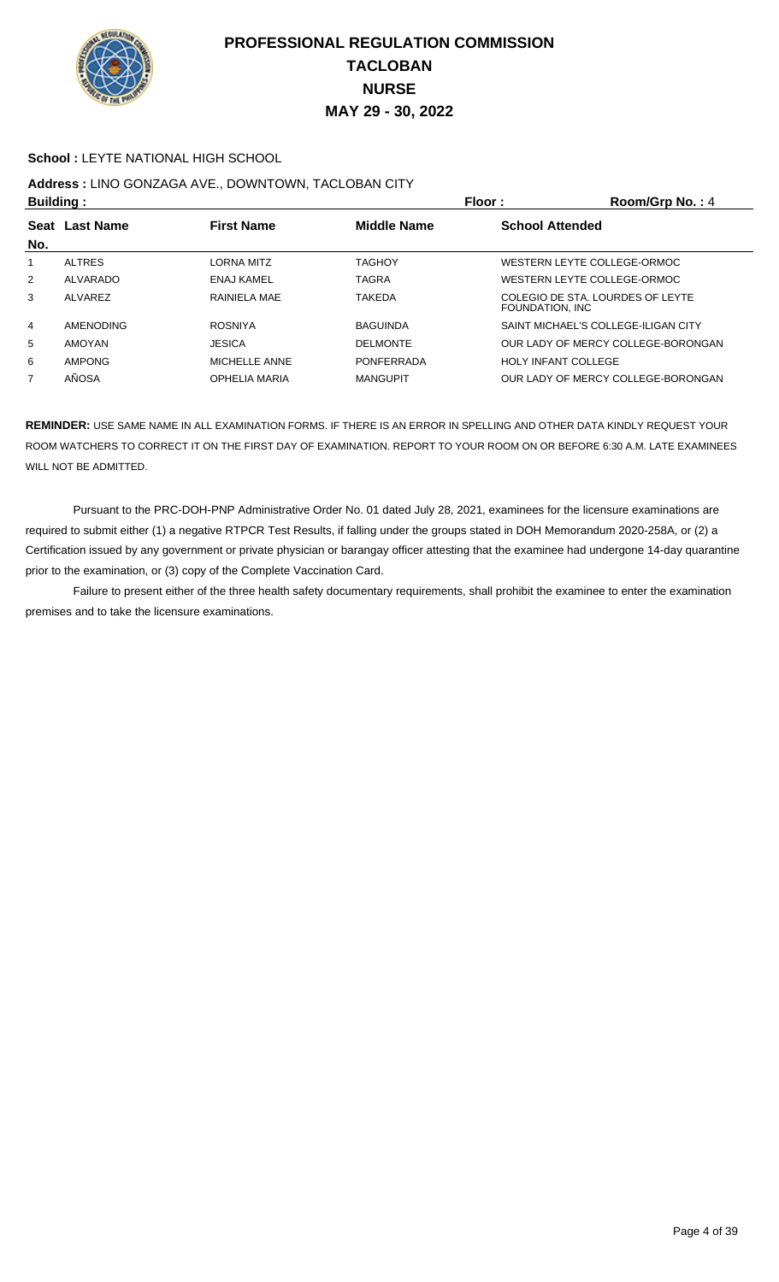

#### **School : LEYTE NATIONAL HIGH SCHOOL**

# **Address :** LINO GONZAGA AVE., DOWNTOWN, TACLOBAN CITY

| <b>Building:</b> |                  |                      | Floor:<br>Room/Grp No.: 4                    |                                                      |                                     |
|------------------|------------------|----------------------|----------------------------------------------|------------------------------------------------------|-------------------------------------|
| <b>Seat</b>      | <b>Last Name</b> | <b>First Name</b>    | <b>Middle Name</b><br><b>School Attended</b> |                                                      |                                     |
| No.              |                  |                      |                                              |                                                      |                                     |
|                  | <b>ALTRES</b>    | LORNA MITZ           | <b>TAGHOY</b>                                |                                                      | WESTERN LEYTE COLLEGE-ORMOC         |
| 2                | ALVARADO         | <b>ENAJ KAMEL</b>    | <b>TAGRA</b>                                 |                                                      | WESTERN LEYTE COLLEGE-ORMOC         |
| 3                | ALVAREZ          | RAINIELA MAE         | <b>TAKEDA</b>                                | COLEGIO DE STA. LOURDES OF LEYTE<br>FOUNDATION, INC. |                                     |
| 4                | <b>AMENODING</b> | <b>ROSNIYA</b>       | <b>BAGUINDA</b>                              |                                                      | SAINT MICHAEL'S COLLEGE-ILIGAN CITY |
| 5                | <b>AMOYAN</b>    | <b>JESICA</b>        | <b>DELMONTE</b>                              |                                                      | OUR LADY OF MERCY COLLEGE-BORONGAN  |
| 6                | <b>AMPONG</b>    | MICHELLE ANNE        | <b>PONFERRADA</b>                            | <b>HOLY INFANT COLLEGE</b>                           |                                     |
| 7                | AÑOSA            | <b>OPHELIA MARIA</b> | <b>MANGUPIT</b>                              |                                                      | OUR LADY OF MERCY COLLEGE-BORONGAN  |

**REMINDER:** USE SAME NAME IN ALL EXAMINATION FORMS. IF THERE IS AN ERROR IN SPELLING AND OTHER DATA KINDLY REQUEST YOUR ROOM WATCHERS TO CORRECT IT ON THE FIRST DAY OF EXAMINATION. REPORT TO YOUR ROOM ON OR BEFORE 6:30 A.M. LATE EXAMINEES WILL NOT BE ADMITTED.

 Pursuant to the PRC-DOH-PNP Administrative Order No. 01 dated July 28, 2021, examinees for the licensure examinations are required to submit either (1) a negative RTPCR Test Results, if falling under the groups stated in DOH Memorandum 2020-258A, or (2) a Certification issued by any government or private physician or barangay officer attesting that the examinee had undergone 14-day quarantine prior to the examination, or (3) copy of the Complete Vaccination Card.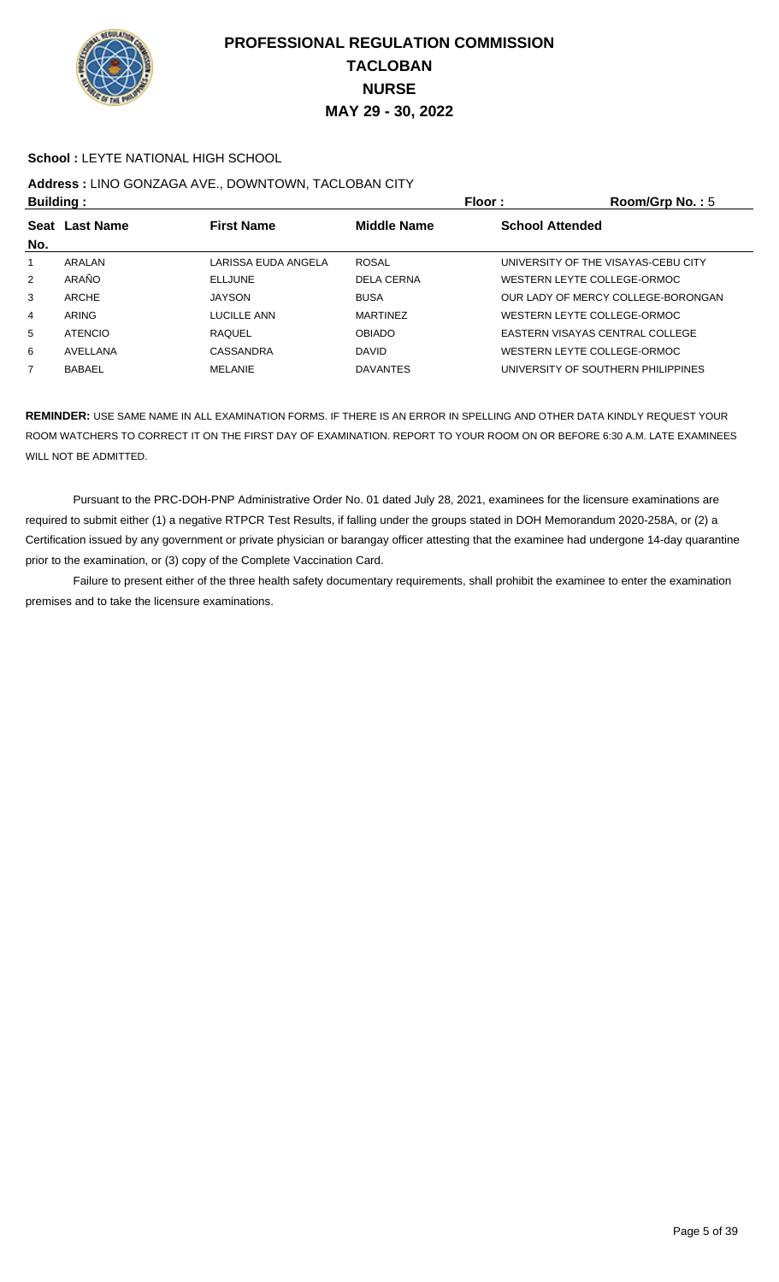

#### **School :** LEYTE NATIONAL HIGH SCHOOL

## **Address :** LINO GONZAGA AVE., DOWNTOWN, TACLOBAN CITY

| <b>Building:</b>                    |                |                     |                        | Floor:<br>Room/Grp No.: 5           |
|-------------------------------------|----------------|---------------------|------------------------|-------------------------------------|
| <b>First Name</b><br>Seat Last Name |                | <b>Middle Name</b>  | <b>School Attended</b> |                                     |
| No.                                 |                |                     |                        |                                     |
|                                     | ARALAN         | LARISSA EUDA ANGELA | <b>ROSAL</b>           | UNIVERSITY OF THE VISAYAS-CEBU CITY |
| $\overline{2}$                      | ARAÑO          | <b>ELLJUNE</b>      | <b>DELA CERNA</b>      | WESTERN LEYTE COLLEGE-ORMOC         |
| 3                                   | ARCHE          | <b>JAYSON</b>       | <b>BUSA</b>            | OUR LADY OF MERCY COLLEGE-BORONGAN  |
| 4                                   | ARING          | LUCILLE ANN         | <b>MARTINEZ</b>        | WESTERN LEYTE COLLEGE-ORMOC         |
| 5                                   | <b>ATENCIO</b> | <b>RAQUEL</b>       | <b>OBIADO</b>          | EASTERN VISAYAS CENTRAL COLLEGE     |
| 6                                   | AVELLANA       | CASSANDRA           | <b>DAVID</b>           | WESTERN LEYTE COLLEGE-ORMOC         |
| $\overline{7}$                      | <b>BABAEL</b>  | <b>MELANIE</b>      | <b>DAVANTES</b>        | UNIVERSITY OF SOUTHERN PHILIPPINES  |
|                                     |                |                     |                        |                                     |

**REMINDER:** USE SAME NAME IN ALL EXAMINATION FORMS. IF THERE IS AN ERROR IN SPELLING AND OTHER DATA KINDLY REQUEST YOUR ROOM WATCHERS TO CORRECT IT ON THE FIRST DAY OF EXAMINATION. REPORT TO YOUR ROOM ON OR BEFORE 6:30 A.M. LATE EXAMINEES WILL NOT BE ADMITTED.

 Pursuant to the PRC-DOH-PNP Administrative Order No. 01 dated July 28, 2021, examinees for the licensure examinations are required to submit either (1) a negative RTPCR Test Results, if falling under the groups stated in DOH Memorandum 2020-258A, or (2) a Certification issued by any government or private physician or barangay officer attesting that the examinee had undergone 14-day quarantine prior to the examination, or (3) copy of the Complete Vaccination Card.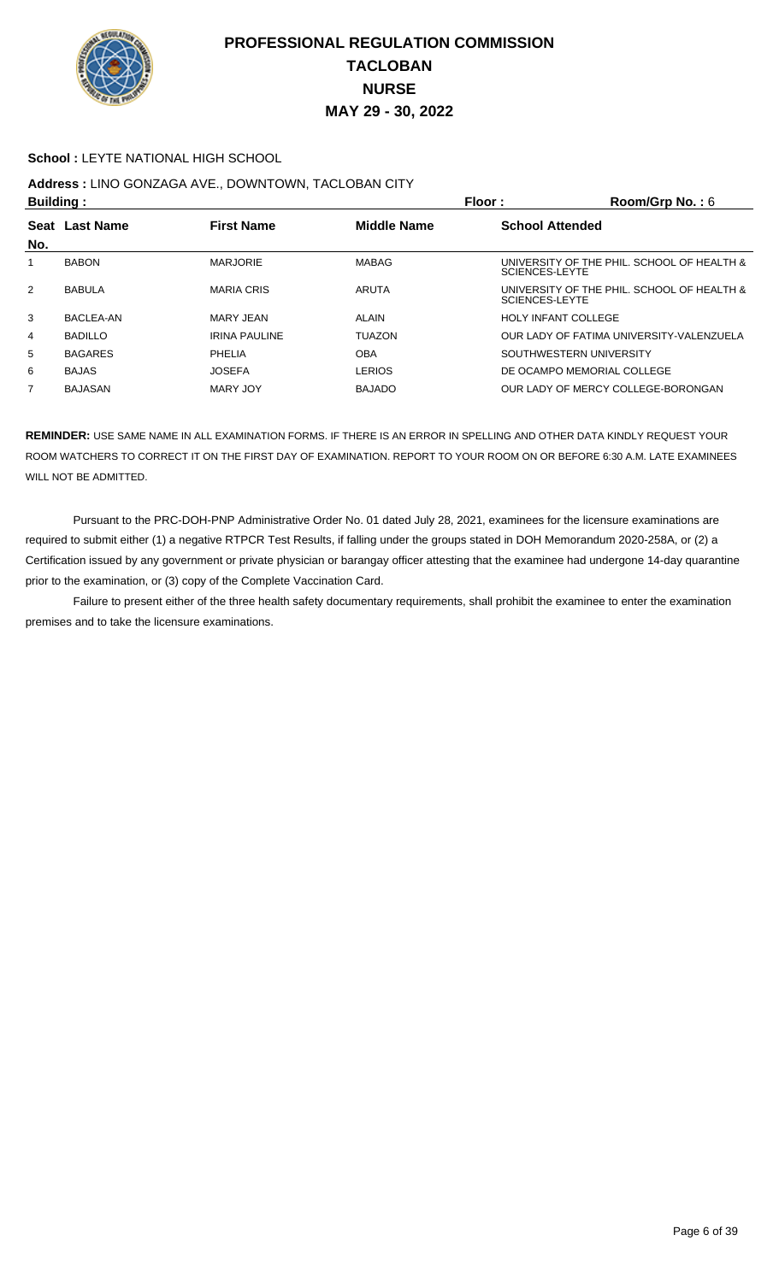

#### **School :** LEYTE NATIONAL HIGH SCHOOL

## **Address :** LINO GONZAGA AVE., DOWNTOWN, TACLOBAN CITY

| <b>Building:</b> |                  |                      | Floor:             | Room/Grp No.: $6$                                            |
|------------------|------------------|----------------------|--------------------|--------------------------------------------------------------|
| Seat<br>No.      | <b>Last Name</b> | <b>First Name</b>    | <b>Middle Name</b> | <b>School Attended</b>                                       |
|                  | <b>BABON</b>     | <b>MARJORIE</b>      | MABAG              | UNIVERSITY OF THE PHIL. SCHOOL OF HEALTH &<br>SCIENCES-LEYTE |
| $\overline{2}$   | <b>BABULA</b>    | <b>MARIA CRIS</b>    | ARUTA              | UNIVERSITY OF THE PHIL. SCHOOL OF HEALTH &<br>SCIENCES-LEYTE |
| 3                | BACLEA-AN        | MARY JEAN            | ALAIN              | <b>HOLY INFANT COLLEGE</b>                                   |
| 4                | <b>BADILLO</b>   | <b>IRINA PAULINE</b> | <b>TUAZON</b>      | OUR LADY OF FATIMA UNIVERSITY-VALENZUELA                     |
| 5                | <b>BAGARES</b>   | PHELIA               | <b>OBA</b>         | SOUTHWESTERN UNIVERSITY                                      |
| 6                | <b>BAJAS</b>     | <b>JOSEFA</b>        | <b>LERIOS</b>      | DE OCAMPO MEMORIAL COLLEGE                                   |
| $\overline{7}$   | <b>BAJASAN</b>   | MARY JOY             | <b>BAJADO</b>      | OUR LADY OF MERCY COLLEGE-BORONGAN                           |

**REMINDER:** USE SAME NAME IN ALL EXAMINATION FORMS. IF THERE IS AN ERROR IN SPELLING AND OTHER DATA KINDLY REQUEST YOUR ROOM WATCHERS TO CORRECT IT ON THE FIRST DAY OF EXAMINATION. REPORT TO YOUR ROOM ON OR BEFORE 6:30 A.M. LATE EXAMINEES WILL NOT BE ADMITTED.

 Pursuant to the PRC-DOH-PNP Administrative Order No. 01 dated July 28, 2021, examinees for the licensure examinations are required to submit either (1) a negative RTPCR Test Results, if falling under the groups stated in DOH Memorandum 2020-258A, or (2) a Certification issued by any government or private physician or barangay officer attesting that the examinee had undergone 14-day quarantine prior to the examination, or (3) copy of the Complete Vaccination Card.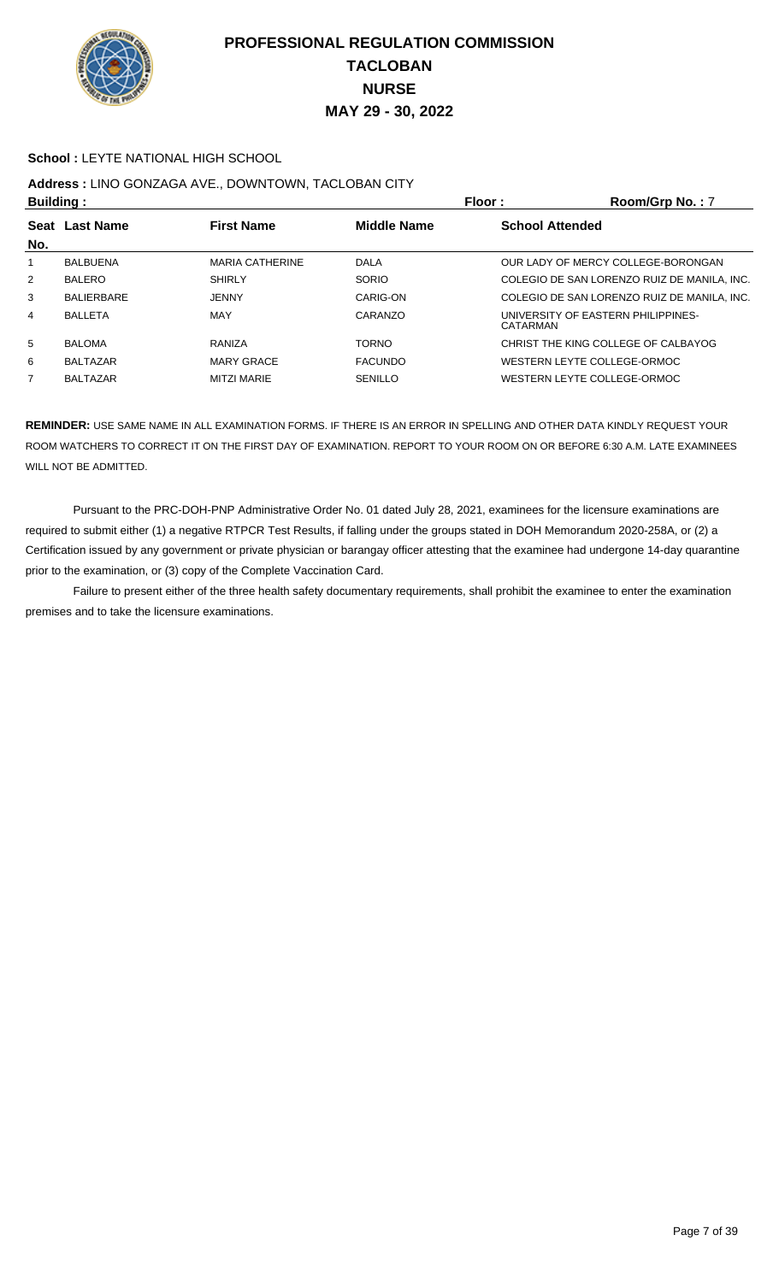

#### **School :** LEYTE NATIONAL HIGH SCHOOL

# **Address :** LINO GONZAGA AVE., DOWNTOWN, TACLOBAN CITY

| <b>Building:</b> |                                                           |                        | Floor :<br>Room/Grp No.: 7 |                        |                                             |  |
|------------------|-----------------------------------------------------------|------------------------|----------------------------|------------------------|---------------------------------------------|--|
|                  | <b>Middle Name</b><br>Seat Last Name<br><b>First Name</b> |                        |                            | <b>School Attended</b> |                                             |  |
| No.              |                                                           |                        |                            |                        |                                             |  |
| 1.               | <b>BALBUENA</b>                                           | <b>MARIA CATHERINE</b> | DALA                       |                        | OUR LADY OF MERCY COLLEGE-BORONGAN          |  |
| $\overline{2}$   | <b>BALERO</b>                                             | <b>SHIRLY</b>          | SORIO                      |                        | COLEGIO DE SAN LORENZO RUIZ DE MANILA. INC. |  |
| 3                | <b>BALIERBARE</b>                                         | <b>JENNY</b>           | CARIG-ON                   |                        | COLEGIO DE SAN LORENZO RUIZ DE MANILA, INC. |  |
| 4                | <b>BALLETA</b>                                            | MAY                    | CARANZO                    | CATARMAN               | UNIVERSITY OF EASTERN PHILIPPINES-          |  |
| 5                | <b>BALOMA</b>                                             | RANIZA                 | <b>TORNO</b>               |                        | CHRIST THE KING COLLEGE OF CALBAYOG         |  |
| 6                | <b>BALTAZAR</b>                                           | <b>MARY GRACE</b>      | <b>FACUNDO</b>             |                        | WESTERN LEYTE COLLEGE-ORMOC                 |  |
| 7                | <b>BALTAZAR</b>                                           | <b>MITZI MARIE</b>     | SENILLO                    |                        | WESTERN LEYTE COLLEGE-ORMOC                 |  |

**REMINDER:** USE SAME NAME IN ALL EXAMINATION FORMS. IF THERE IS AN ERROR IN SPELLING AND OTHER DATA KINDLY REQUEST YOUR ROOM WATCHERS TO CORRECT IT ON THE FIRST DAY OF EXAMINATION. REPORT TO YOUR ROOM ON OR BEFORE 6:30 A.M. LATE EXAMINEES WILL NOT BE ADMITTED.

 Pursuant to the PRC-DOH-PNP Administrative Order No. 01 dated July 28, 2021, examinees for the licensure examinations are required to submit either (1) a negative RTPCR Test Results, if falling under the groups stated in DOH Memorandum 2020-258A, or (2) a Certification issued by any government or private physician or barangay officer attesting that the examinee had undergone 14-day quarantine prior to the examination, or (3) copy of the Complete Vaccination Card.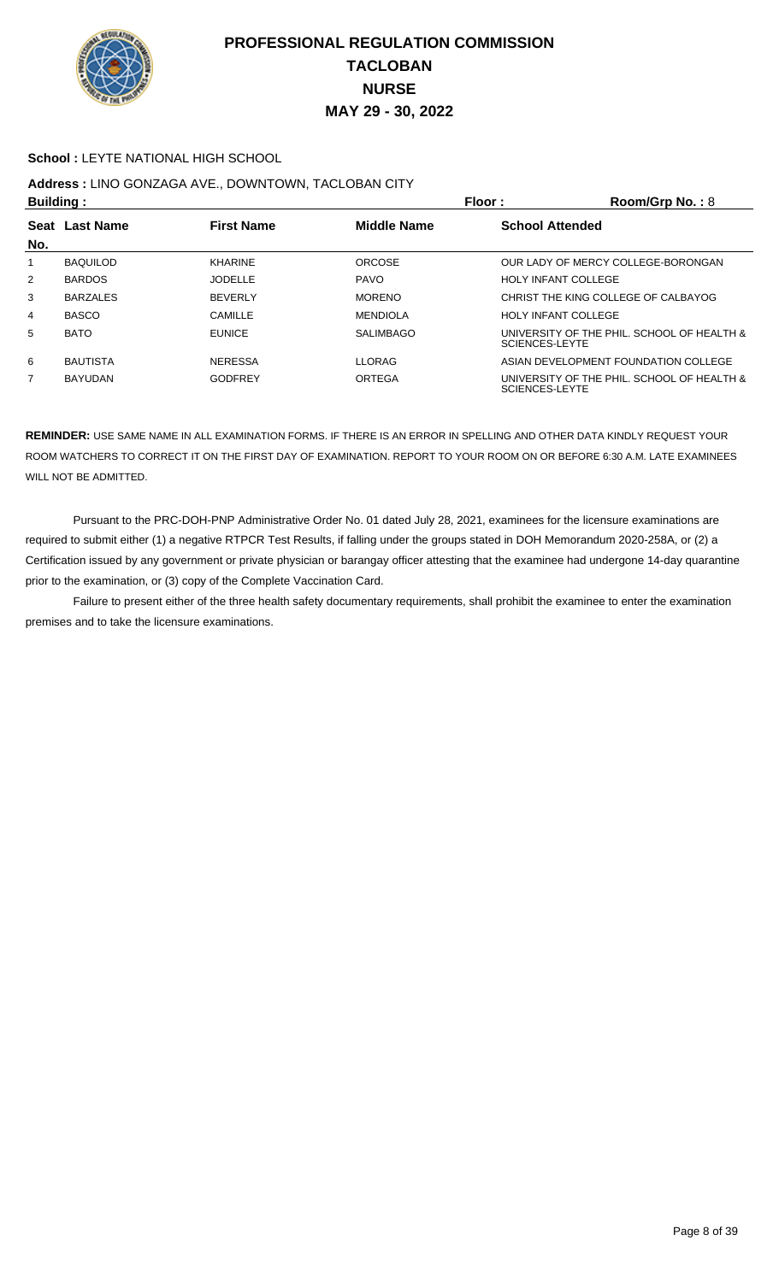

#### **School :** LEYTE NATIONAL HIGH SCHOOL

# **Address :** LINO GONZAGA AVE., DOWNTOWN, TACLOBAN CITY

| <b>Building:</b> |                                                           |                |                        | Floor:                                                       | Room/Grp No.: 8                            |
|------------------|-----------------------------------------------------------|----------------|------------------------|--------------------------------------------------------------|--------------------------------------------|
|                  | <b>First Name</b><br><b>Middle Name</b><br>Seat Last Name |                | <b>School Attended</b> |                                                              |                                            |
| No.              |                                                           |                |                        |                                                              |                                            |
|                  | <b>BAQUILOD</b>                                           | <b>KHARINE</b> | <b>ORCOSE</b>          |                                                              | OUR LADY OF MERCY COLLEGE-BORONGAN         |
| $\overline{2}$   | <b>BARDOS</b>                                             | <b>JODELLE</b> | <b>PAVO</b>            | <b>HOLY INFANT COLLEGE</b>                                   |                                            |
| 3                | <b>BARZALES</b>                                           | <b>BEVERIY</b> | <b>MORENO</b>          |                                                              | CHRIST THE KING COLLEGE OF CALBAYOG        |
| 4                | <b>BASCO</b>                                              | CAMILLE        | <b>MENDIOLA</b>        | <b>HOLY INFANT COLLEGE</b>                                   |                                            |
| 5                | <b>BATO</b>                                               | <b>EUNICE</b>  | <b>SALIMBAGO</b>       | UNIVERSITY OF THE PHIL. SCHOOL OF HEALTH &<br>SCIENCES-LEYTE |                                            |
| 6                | <b>BAUTISTA</b>                                           | <b>NERESSA</b> | <b>LLORAG</b>          |                                                              | ASIAN DEVELOPMENT FOUNDATION COLLEGE       |
| 7                | <b>BAYUDAN</b>                                            | <b>GODFREY</b> | ORTEGA                 | SCIENCES-LEYTE                                               | UNIVERSITY OF THE PHIL. SCHOOL OF HEALTH & |

**REMINDER:** USE SAME NAME IN ALL EXAMINATION FORMS. IF THERE IS AN ERROR IN SPELLING AND OTHER DATA KINDLY REQUEST YOUR ROOM WATCHERS TO CORRECT IT ON THE FIRST DAY OF EXAMINATION. REPORT TO YOUR ROOM ON OR BEFORE 6:30 A.M. LATE EXAMINEES WILL NOT BE ADMITTED.

 Pursuant to the PRC-DOH-PNP Administrative Order No. 01 dated July 28, 2021, examinees for the licensure examinations are required to submit either (1) a negative RTPCR Test Results, if falling under the groups stated in DOH Memorandum 2020-258A, or (2) a Certification issued by any government or private physician or barangay officer attesting that the examinee had undergone 14-day quarantine prior to the examination, or (3) copy of the Complete Vaccination Card.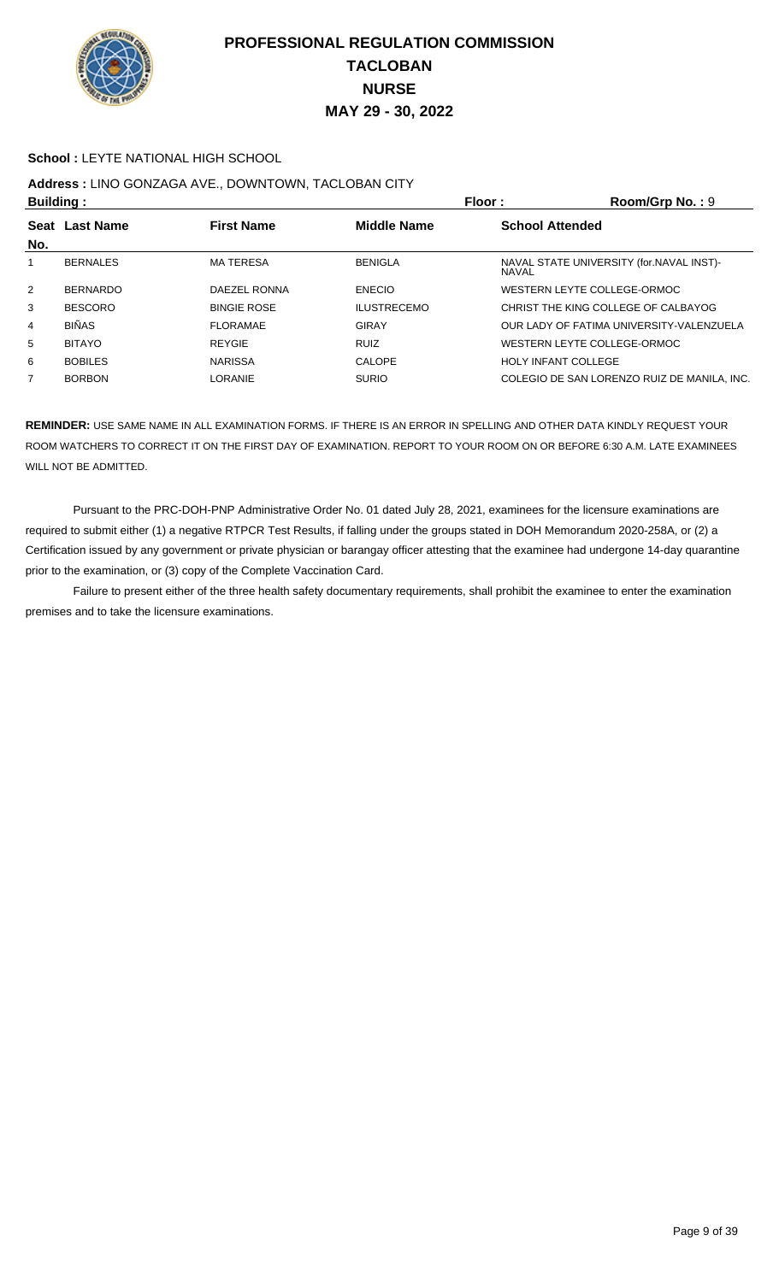

#### **School : LEYTE NATIONAL HIGH SCHOOL**

## **Address :** LINO GONZAGA AVE., DOWNTOWN, TACLOBAN CITY

| <b>Building:</b> |                                                             | Floor :            | Room/Grp No.: 9    |                                                    |
|------------------|-------------------------------------------------------------|--------------------|--------------------|----------------------------------------------------|
| <b>Seat</b>      | <b>First Name</b><br><b>Middle Name</b><br><b>Last Name</b> |                    |                    | <b>School Attended</b>                             |
| No.              |                                                             |                    |                    |                                                    |
|                  | <b>BERNALES</b>                                             | <b>MATERESA</b>    | <b>BENIGLA</b>     | NAVAL STATE UNIVERSITY (for. NAVAL INST)-<br>NAVAL |
| $\overline{2}$   | <b>BERNARDO</b>                                             | DAEZEL RONNA       | <b>ENECIO</b>      | WESTERN LEYTE COLLEGE-ORMOC                        |
| 3                | <b>BESCORO</b>                                              | <b>BINGIE ROSE</b> | <b>ILUSTRECEMO</b> | CHRIST THE KING COLLEGE OF CALBAYOG                |
| 4                | <b>BIÑAS</b>                                                | <b>FLORAMAE</b>    | <b>GIRAY</b>       | OUR LADY OF FATIMA UNIVERSITY-VALENZUELA           |
| 5                | <b>BITAYO</b>                                               | <b>REYGIE</b>      | <b>RUIZ</b>        | WESTERN LEYTE COLLEGE-ORMOC                        |
| 6                | <b>BOBILES</b>                                              | <b>NARISSA</b>     | CALOPE             | <b>HOLY INFANT COLLEGE</b>                         |
| 7                | <b>BORBON</b>                                               | LORANIE            | <b>SURIO</b>       | COLEGIO DE SAN LORENZO RUIZ DE MANILA. INC.        |
|                  |                                                             |                    |                    |                                                    |

**REMINDER:** USE SAME NAME IN ALL EXAMINATION FORMS. IF THERE IS AN ERROR IN SPELLING AND OTHER DATA KINDLY REQUEST YOUR ROOM WATCHERS TO CORRECT IT ON THE FIRST DAY OF EXAMINATION. REPORT TO YOUR ROOM ON OR BEFORE 6:30 A.M. LATE EXAMINEES WILL NOT BE ADMITTED.

 Pursuant to the PRC-DOH-PNP Administrative Order No. 01 dated July 28, 2021, examinees for the licensure examinations are required to submit either (1) a negative RTPCR Test Results, if falling under the groups stated in DOH Memorandum 2020-258A, or (2) a Certification issued by any government or private physician or barangay officer attesting that the examinee had undergone 14-day quarantine prior to the examination, or (3) copy of the Complete Vaccination Card.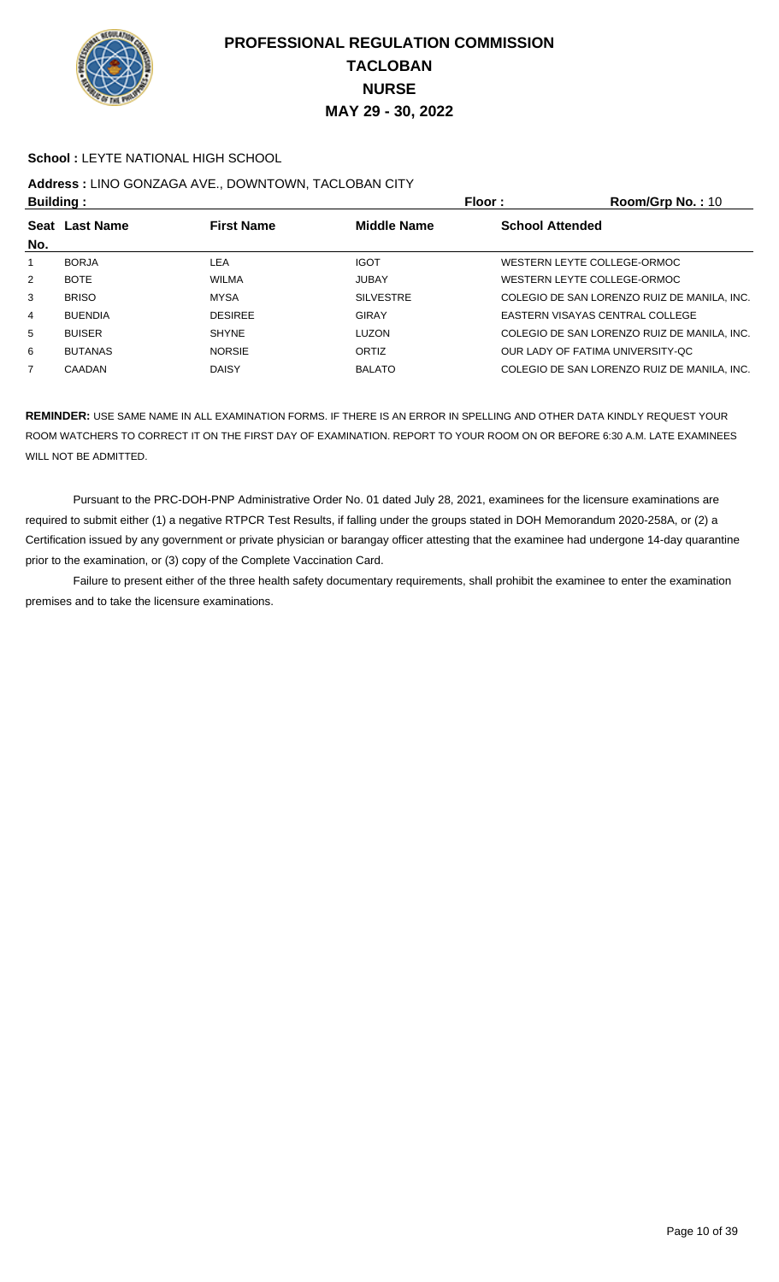

#### **School :** LEYTE NATIONAL HIGH SCHOOL

# **Address :** LINO GONZAGA AVE., DOWNTOWN, TACLOBAN CITY

| <b>Building:</b> |                                                           |                | Floor:           | Room/Grp No.: 10                            |
|------------------|-----------------------------------------------------------|----------------|------------------|---------------------------------------------|
|                  | <b>First Name</b><br><b>Middle Name</b><br>Seat Last Name |                |                  | <b>School Attended</b>                      |
| No.              |                                                           |                |                  |                                             |
| 1                | <b>BORJA</b>                                              | LEA            | <b>IGOT</b>      | WESTERN LEYTE COLLEGE-ORMOC                 |
| $\overline{2}$   | <b>BOTE</b>                                               | <b>WILMA</b>   | <b>JUBAY</b>     | WESTERN LEYTE COLLEGE-ORMOC                 |
| 3                | <b>BRISO</b>                                              | <b>MYSA</b>    | <b>SILVESTRE</b> | COLEGIO DE SAN LORENZO RUIZ DE MANILA, INC. |
| 4                | <b>BUENDIA</b>                                            | <b>DESIREE</b> | <b>GIRAY</b>     | EASTERN VISAYAS CENTRAL COLLEGE             |
| 5                | <b>BUISER</b>                                             | <b>SHYNE</b>   | <b>LUZON</b>     | COLEGIO DE SAN LORENZO RUIZ DE MANILA, INC. |
| 6                | <b>BUTANAS</b>                                            | <b>NORSIE</b>  | <b>ORTIZ</b>     | OUR LADY OF FATIMA UNIVERSITY-QC            |
| 7                | CAADAN                                                    | <b>DAISY</b>   | <b>BALATO</b>    | COLEGIO DE SAN LORENZO RUIZ DE MANILA, INC. |
|                  |                                                           |                |                  |                                             |

**REMINDER:** USE SAME NAME IN ALL EXAMINATION FORMS. IF THERE IS AN ERROR IN SPELLING AND OTHER DATA KINDLY REQUEST YOUR ROOM WATCHERS TO CORRECT IT ON THE FIRST DAY OF EXAMINATION. REPORT TO YOUR ROOM ON OR BEFORE 6:30 A.M. LATE EXAMINEES WILL NOT BE ADMITTED.

 Pursuant to the PRC-DOH-PNP Administrative Order No. 01 dated July 28, 2021, examinees for the licensure examinations are required to submit either (1) a negative RTPCR Test Results, if falling under the groups stated in DOH Memorandum 2020-258A, or (2) a Certification issued by any government or private physician or barangay officer attesting that the examinee had undergone 14-day quarantine prior to the examination, or (3) copy of the Complete Vaccination Card.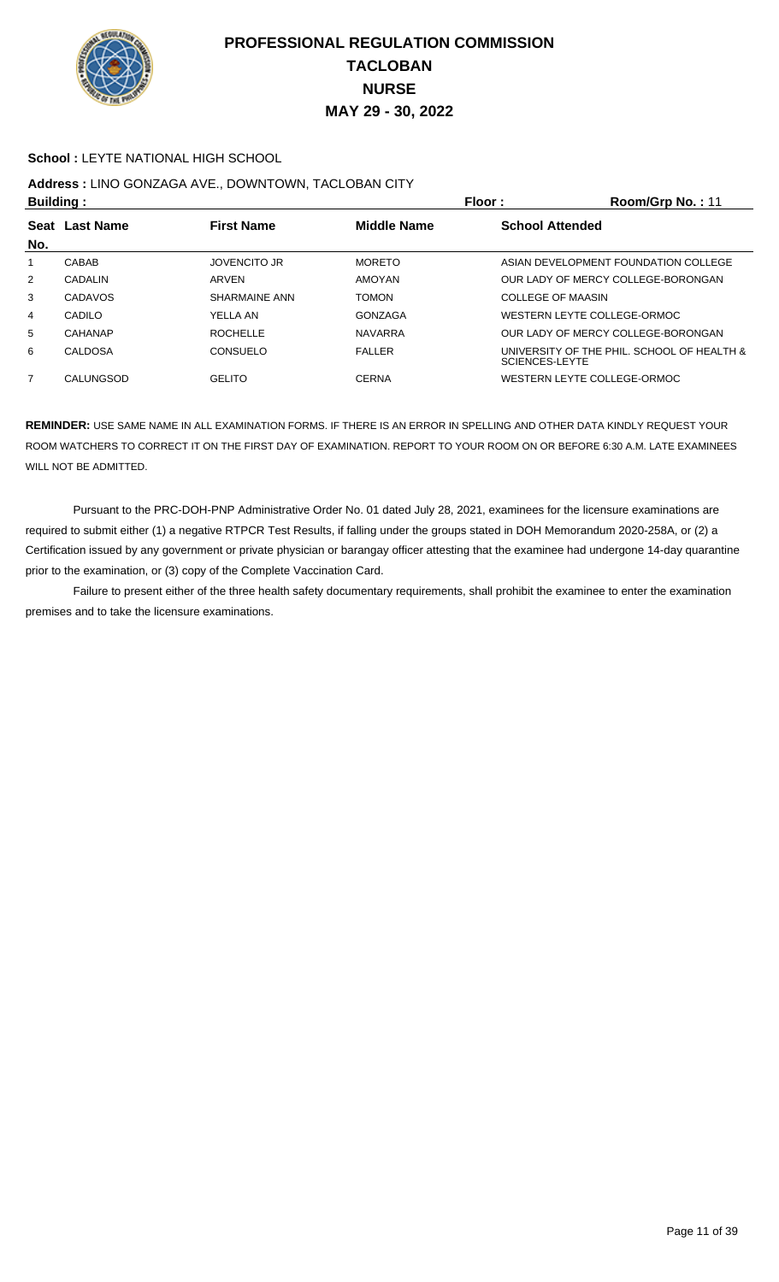

#### **School : LEYTE NATIONAL HIGH SCHOOL**

## **Address :** LINO GONZAGA AVE., DOWNTOWN, TACLOBAN CITY

| <b>Building:</b>                                     |           |                     |                        | Floor:                | Room/Grp No.: 11                           |
|------------------------------------------------------|-----------|---------------------|------------------------|-----------------------|--------------------------------------------|
| <b>Last Name</b><br><b>First Name</b><br><b>Seat</b> |           | Middle Name         | <b>School Attended</b> |                       |                                            |
| No.                                                  |           |                     |                        |                       |                                            |
|                                                      | CABAB     | <b>JOVENCITO JR</b> | <b>MORETO</b>          |                       | ASIAN DEVELOPMENT FOUNDATION COLLEGE       |
| $\overline{2}$                                       | CADALIN   | ARVEN               | <b>AMOYAN</b>          |                       | OUR LADY OF MERCY COLLEGE-BORONGAN         |
| 3                                                    | CADAVOS   | SHARMAINE ANN       | <b>TOMON</b>           | COLLEGE OF MAASIN     |                                            |
| 4                                                    | CADILO    | YELLA AN            | GONZAGA                |                       | WESTERN LEYTE COLLEGE-ORMOC                |
| 5                                                    | CAHANAP   | <b>ROCHELLE</b>     | <b>NAVARRA</b>         |                       | OUR LADY OF MERCY COLLEGE-BORONGAN         |
| 6                                                    | CALDOSA   | CONSUELO            | <b>FALLER</b>          | <b>SCIENCES-LEYTE</b> | UNIVERSITY OF THE PHIL. SCHOOL OF HEALTH & |
| 7                                                    | CALUNGSOD | <b>GELITO</b>       | <b>CERNA</b>           |                       | WESTERN LEYTE COLLEGE-ORMOC                |

**REMINDER:** USE SAME NAME IN ALL EXAMINATION FORMS. IF THERE IS AN ERROR IN SPELLING AND OTHER DATA KINDLY REQUEST YOUR ROOM WATCHERS TO CORRECT IT ON THE FIRST DAY OF EXAMINATION. REPORT TO YOUR ROOM ON OR BEFORE 6:30 A.M. LATE EXAMINEES WILL NOT BE ADMITTED.

 Pursuant to the PRC-DOH-PNP Administrative Order No. 01 dated July 28, 2021, examinees for the licensure examinations are required to submit either (1) a negative RTPCR Test Results, if falling under the groups stated in DOH Memorandum 2020-258A, or (2) a Certification issued by any government or private physician or barangay officer attesting that the examinee had undergone 14-day quarantine prior to the examination, or (3) copy of the Complete Vaccination Card.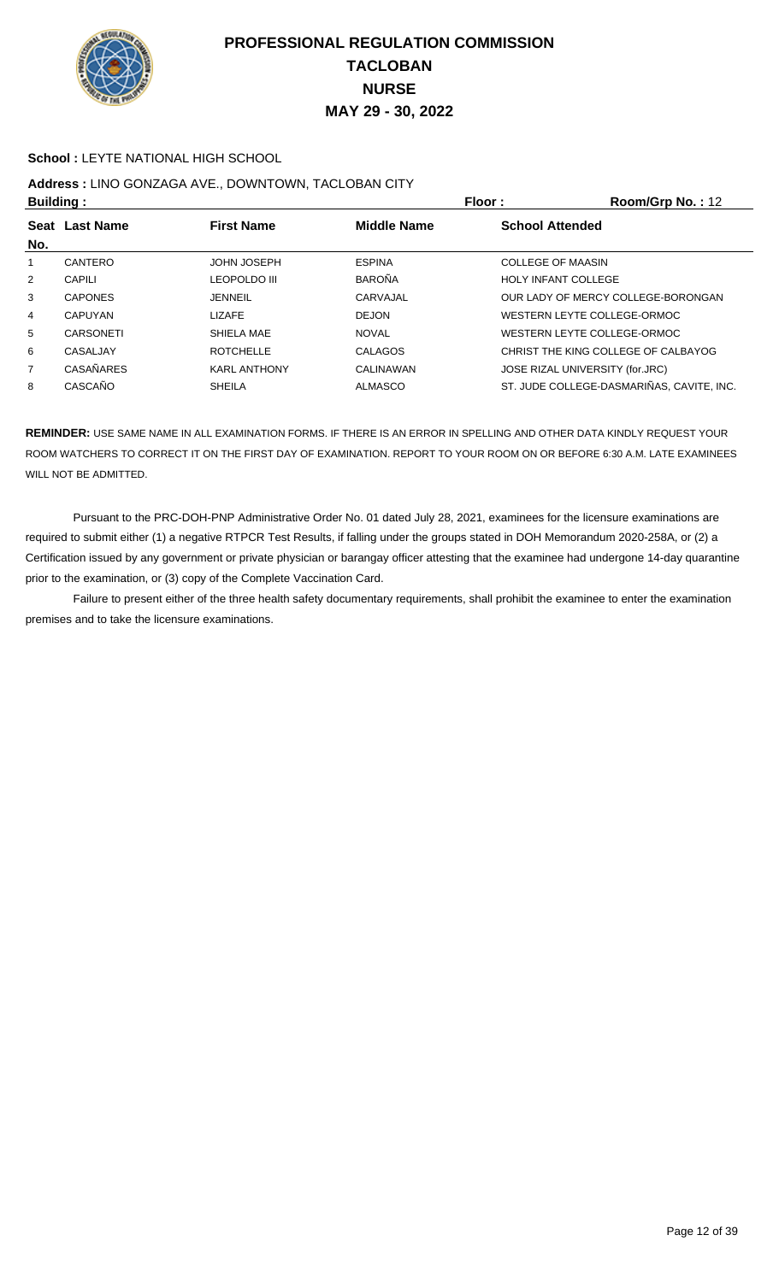

#### **School :** LEYTE NATIONAL HIGH SCHOOL

# **Address :** LINO GONZAGA AVE., DOWNTOWN, TACLOBAN CITY

| <b>Building:</b> |                  |                     | <b>Floor:</b>      | Room/Grp No.: 12           |                                           |
|------------------|------------------|---------------------|--------------------|----------------------------|-------------------------------------------|
| No.              | Seat Last Name   | <b>First Name</b>   | <b>Middle Name</b> | <b>School Attended</b>     |                                           |
| 1                | CANTERO          | <b>JOHN JOSEPH</b>  | <b>ESPINA</b>      | COLLEGE OF MAASIN          |                                           |
| 2                | CAPILI           | <b>LEOPOLDO III</b> | <b>BAROÑA</b>      | <b>HOLY INFANT COLLEGE</b> |                                           |
| 3                | <b>CAPONES</b>   | <b>JENNEIL</b>      | CARVAJAL           |                            | OUR LADY OF MERCY COLLEGE-BORONGAN        |
| 4                | <b>CAPUYAN</b>   | <b>LIZAFE</b>       | <b>DEJON</b>       |                            | WESTERN LEYTE COLLEGE-ORMOC               |
| 5                | CARSONETI        | SHIELA MAE          | <b>NOVAL</b>       |                            | WESTERN LEYTE COLLEGE-ORMOC               |
| 6                | CASALJAY         | <b>ROTCHELLE</b>    | <b>CALAGOS</b>     |                            | CHRIST THE KING COLLEGE OF CALBAYOG       |
| $\overline{7}$   | <b>CASAÑARES</b> | <b>KARL ANTHONY</b> | CALINAWAN          |                            | JOSE RIZAL UNIVERSITY (for.JRC)           |
| 8                | CASCAÑO          | <b>SHEILA</b>       | ALMASCO            |                            | ST. JUDE COLLEGE-DASMARIÑAS, CAVITE, INC. |

**REMINDER:** USE SAME NAME IN ALL EXAMINATION FORMS. IF THERE IS AN ERROR IN SPELLING AND OTHER DATA KINDLY REQUEST YOUR ROOM WATCHERS TO CORRECT IT ON THE FIRST DAY OF EXAMINATION. REPORT TO YOUR ROOM ON OR BEFORE 6:30 A.M. LATE EXAMINEES WILL NOT BE ADMITTED.

 Pursuant to the PRC-DOH-PNP Administrative Order No. 01 dated July 28, 2021, examinees for the licensure examinations are required to submit either (1) a negative RTPCR Test Results, if falling under the groups stated in DOH Memorandum 2020-258A, or (2) a Certification issued by any government or private physician or barangay officer attesting that the examinee had undergone 14-day quarantine prior to the examination, or (3) copy of the Complete Vaccination Card.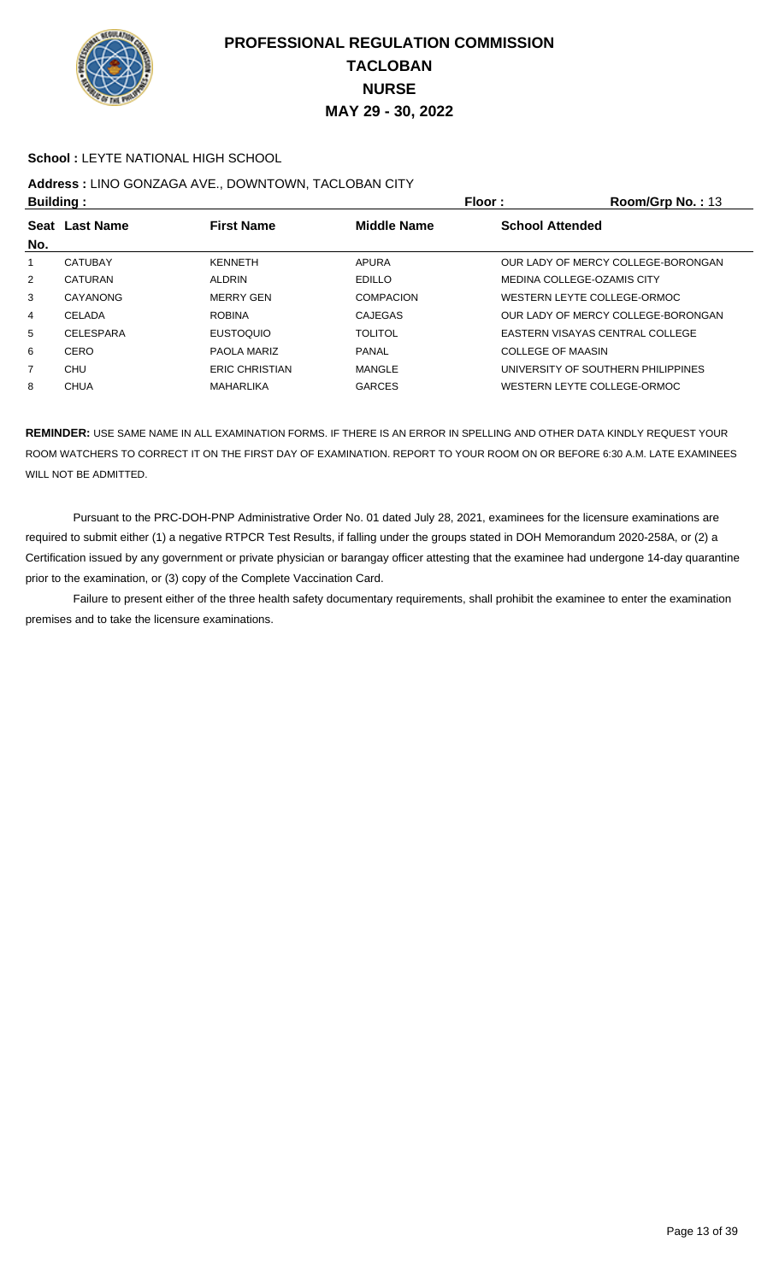

#### **School :** LEYTE NATIONAL HIGH SCHOOL

## **Address :** LINO GONZAGA AVE., DOWNTOWN, TACLOBAN CITY

| <b>Building:</b> |                  |                       | <b>Floor:</b>      | Room/Grp No.: $13$                 |
|------------------|------------------|-----------------------|--------------------|------------------------------------|
| <b>Seat</b>      | <b>Last Name</b> | <b>First Name</b>     | <b>Middle Name</b> | <b>School Attended</b>             |
| No.              |                  |                       |                    |                                    |
|                  | <b>CATUBAY</b>   | <b>KENNETH</b>        | APURA              | OUR LADY OF MERCY COLLEGE-BORONGAN |
| $\overline{2}$   | CATURAN          | <b>ALDRIN</b>         | <b>EDILLO</b>      | MEDINA COLLEGE-OZAMIS CITY         |
| 3                | CAYANONG         | <b>MERRY GEN</b>      | <b>COMPACION</b>   | WESTERN LEYTE COLLEGE-ORMOC        |
| 4                | CELADA           | <b>ROBINA</b>         | <b>CAJEGAS</b>     | OUR LADY OF MERCY COLLEGE-BORONGAN |
| 5                | <b>CELESPARA</b> | <b>EUSTOQUIO</b>      | <b>TOLITOL</b>     | EASTERN VISAYAS CENTRAL COLLEGE    |
| 6                | CERO             | PAOLA MARIZ           | <b>PANAL</b>       | COLLEGE OF MAASIN                  |
| $\overline{7}$   | CHU              | <b>ERIC CHRISTIAN</b> | MANGLE             | UNIVERSITY OF SOUTHERN PHILIPPINES |
| 8                | <b>CHUA</b>      | MAHARLIKA             | <b>GARCES</b>      | WESTERN LEYTE COLLEGE-ORMOC        |

**REMINDER:** USE SAME NAME IN ALL EXAMINATION FORMS. IF THERE IS AN ERROR IN SPELLING AND OTHER DATA KINDLY REQUEST YOUR ROOM WATCHERS TO CORRECT IT ON THE FIRST DAY OF EXAMINATION. REPORT TO YOUR ROOM ON OR BEFORE 6:30 A.M. LATE EXAMINEES WILL NOT BE ADMITTED.

 Pursuant to the PRC-DOH-PNP Administrative Order No. 01 dated July 28, 2021, examinees for the licensure examinations are required to submit either (1) a negative RTPCR Test Results, if falling under the groups stated in DOH Memorandum 2020-258A, or (2) a Certification issued by any government or private physician or barangay officer attesting that the examinee had undergone 14-day quarantine prior to the examination, or (3) copy of the Complete Vaccination Card.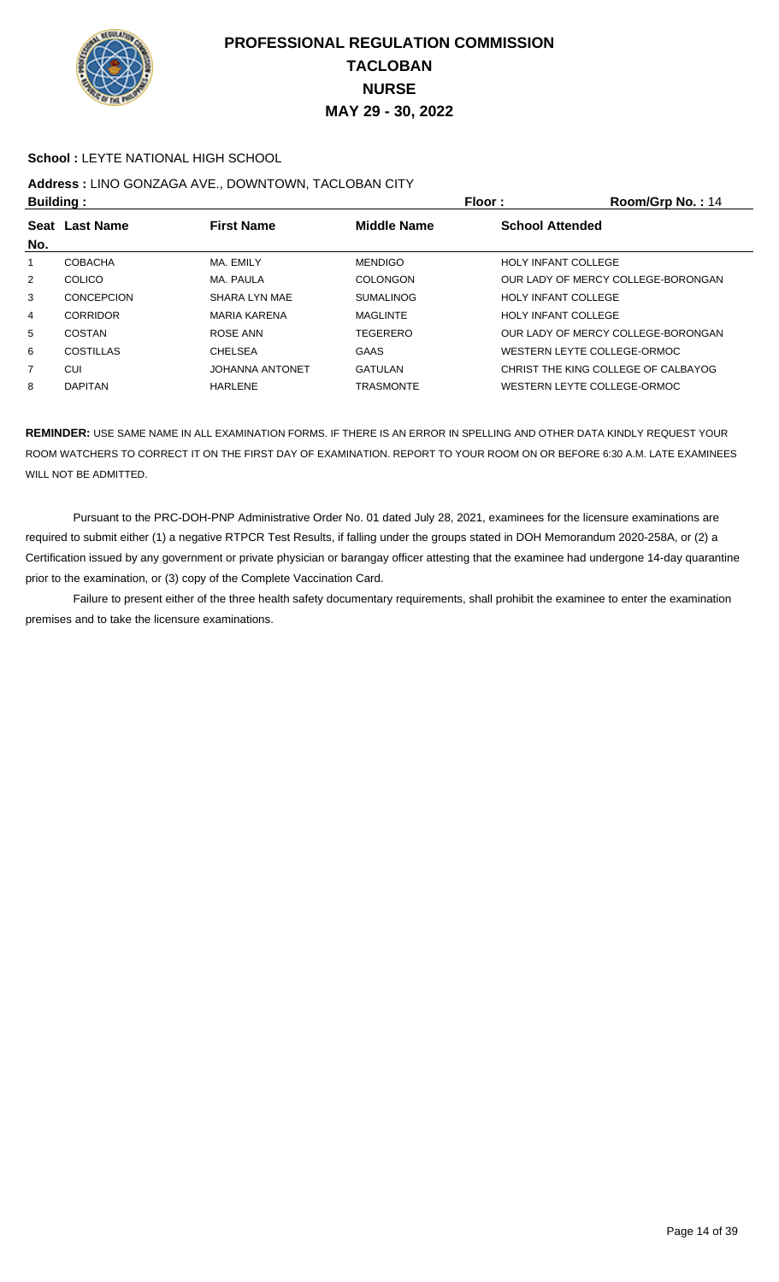

#### **School :** LEYTE NATIONAL HIGH SCHOOL

## **Address :** LINO GONZAGA AVE., DOWNTOWN, TACLOBAN CITY

| <b>Building:</b> |                   |                        | Floor:             | Room/Grp No.: 14                    |
|------------------|-------------------|------------------------|--------------------|-------------------------------------|
| <b>Seat</b>      | <b>Last Name</b>  | <b>First Name</b>      | <b>Middle Name</b> | <b>School Attended</b>              |
| No.              |                   |                        |                    |                                     |
|                  | <b>COBACHA</b>    | MA, EMILY              | <b>MENDIGO</b>     | <b>HOLY INFANT COLLEGE</b>          |
| $\overline{2}$   | <b>COLICO</b>     | MA. PAULA              | <b>COLONGON</b>    | OUR LADY OF MERCY COLLEGE-BORONGAN  |
| 3                | <b>CONCEPCION</b> | SHARA LYN MAE          | <b>SUMALINOG</b>   | <b>HOLY INFANT COLLEGE</b>          |
| 4                | <b>CORRIDOR</b>   | <b>MARIA KARENA</b>    | <b>MAGLINTE</b>    | <b>HOLY INFANT COLLEGE</b>          |
| 5                | COSTAN            | ROSE ANN               | TEGERERO           | OUR LADY OF MERCY COLLEGE-BORONGAN  |
| 6                | COSTILLAS         | <b>CHELSEA</b>         | <b>GAAS</b>        | WESTERN LEYTE COLLEGE-ORMOC         |
| $\overline{7}$   | CUI               | <b>JOHANNA ANTONET</b> | <b>GATULAN</b>     | CHRIST THE KING COLLEGE OF CALBAYOG |
| 8                | <b>DAPITAN</b>    | HARLENE                | <b>TRASMONTE</b>   | WESTERN LEYTE COLLEGE-ORMOC         |

**REMINDER:** USE SAME NAME IN ALL EXAMINATION FORMS. IF THERE IS AN ERROR IN SPELLING AND OTHER DATA KINDLY REQUEST YOUR ROOM WATCHERS TO CORRECT IT ON THE FIRST DAY OF EXAMINATION. REPORT TO YOUR ROOM ON OR BEFORE 6:30 A.M. LATE EXAMINEES WILL NOT BE ADMITTED.

 Pursuant to the PRC-DOH-PNP Administrative Order No. 01 dated July 28, 2021, examinees for the licensure examinations are required to submit either (1) a negative RTPCR Test Results, if falling under the groups stated in DOH Memorandum 2020-258A, or (2) a Certification issued by any government or private physician or barangay officer attesting that the examinee had undergone 14-day quarantine prior to the examination, or (3) copy of the Complete Vaccination Card.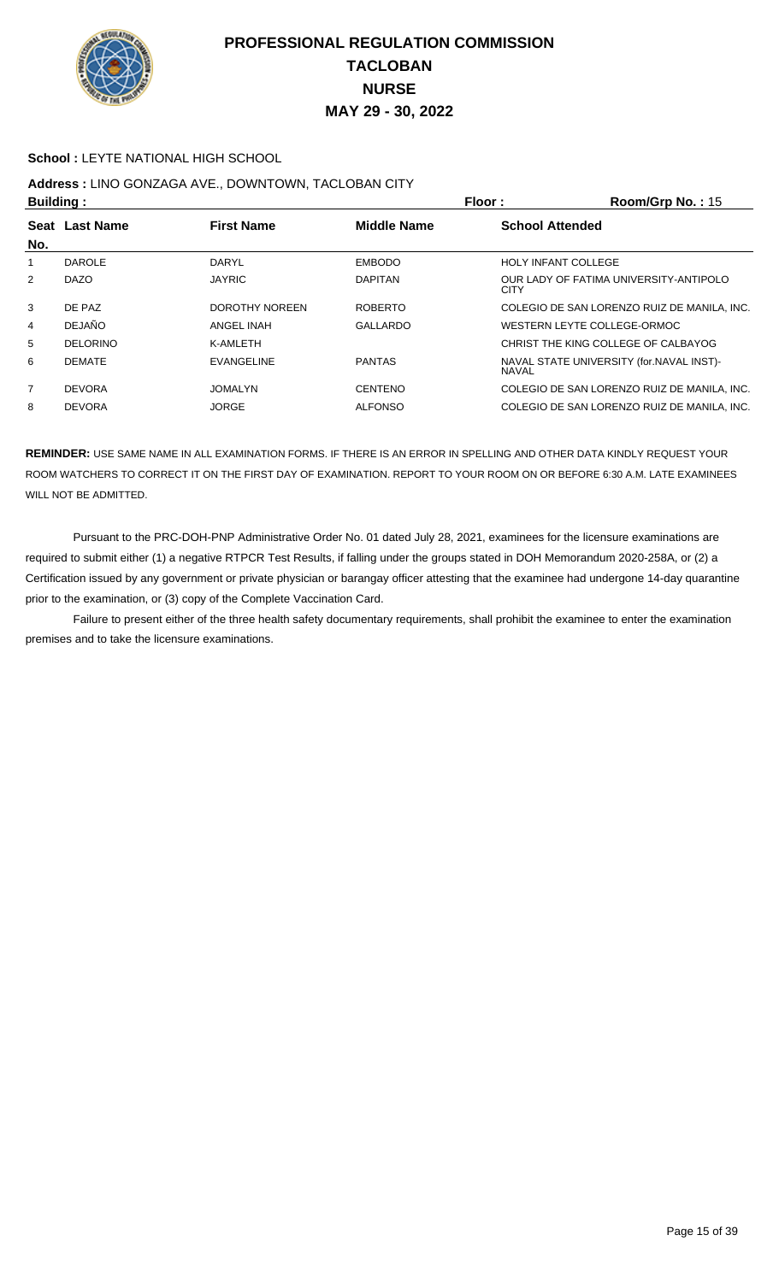

#### **School :** LEYTE NATIONAL HIGH SCHOOL

# **Address :** LINO GONZAGA AVE., DOWNTOWN, TACLOBAN CITY

| <b>Building:</b> |                 |                   |                                              | Floor:                     | Room/Grp No.: 15                            |
|------------------|-----------------|-------------------|----------------------------------------------|----------------------------|---------------------------------------------|
|                  | Seat Last Name  | <b>First Name</b> | <b>Middle Name</b><br><b>School Attended</b> |                            |                                             |
| No.              |                 |                   |                                              |                            |                                             |
|                  | <b>DAROLE</b>   | DARYL             | <b>EMBODO</b>                                | <b>HOLY INFANT COLLEGE</b> |                                             |
| 2                | <b>DAZO</b>     | <b>JAYRIC</b>     | <b>DAPITAN</b>                               | <b>CITY</b>                | OUR LADY OF FATIMA UNIVERSITY-ANTIPOLO      |
| 3                | DE PAZ          | DOROTHY NOREEN    | <b>ROBERTO</b>                               |                            | COLEGIO DE SAN LORENZO RUIZ DE MANILA, INC. |
| 4                | <b>DEJAÑO</b>   | ANGEL INAH        | <b>GALLARDO</b>                              |                            | WESTERN LEYTE COLLEGE-ORMOC                 |
| 5                | <b>DELORINO</b> | K-AMLETH          |                                              |                            | CHRIST THE KING COLLEGE OF CALBAYOG         |
| 6                | <b>DEMATE</b>   | <b>EVANGELINE</b> | <b>PANTAS</b>                                | <b>NAVAL</b>               | NAVAL STATE UNIVERSITY (for.NAVAL INST)-    |
| $\overline{7}$   | <b>DEVORA</b>   | <b>JOMALYN</b>    | <b>CENTENO</b>                               |                            | COLEGIO DE SAN LORENZO RUIZ DE MANILA, INC. |
| 8                | <b>DEVORA</b>   | <b>JORGE</b>      | <b>ALFONSO</b>                               |                            | COLEGIO DE SAN LORENZO RUIZ DE MANILA, INC. |

**REMINDER:** USE SAME NAME IN ALL EXAMINATION FORMS. IF THERE IS AN ERROR IN SPELLING AND OTHER DATA KINDLY REQUEST YOUR ROOM WATCHERS TO CORRECT IT ON THE FIRST DAY OF EXAMINATION. REPORT TO YOUR ROOM ON OR BEFORE 6:30 A.M. LATE EXAMINEES WILL NOT BE ADMITTED.

 Pursuant to the PRC-DOH-PNP Administrative Order No. 01 dated July 28, 2021, examinees for the licensure examinations are required to submit either (1) a negative RTPCR Test Results, if falling under the groups stated in DOH Memorandum 2020-258A, or (2) a Certification issued by any government or private physician or barangay officer attesting that the examinee had undergone 14-day quarantine prior to the examination, or (3) copy of the Complete Vaccination Card.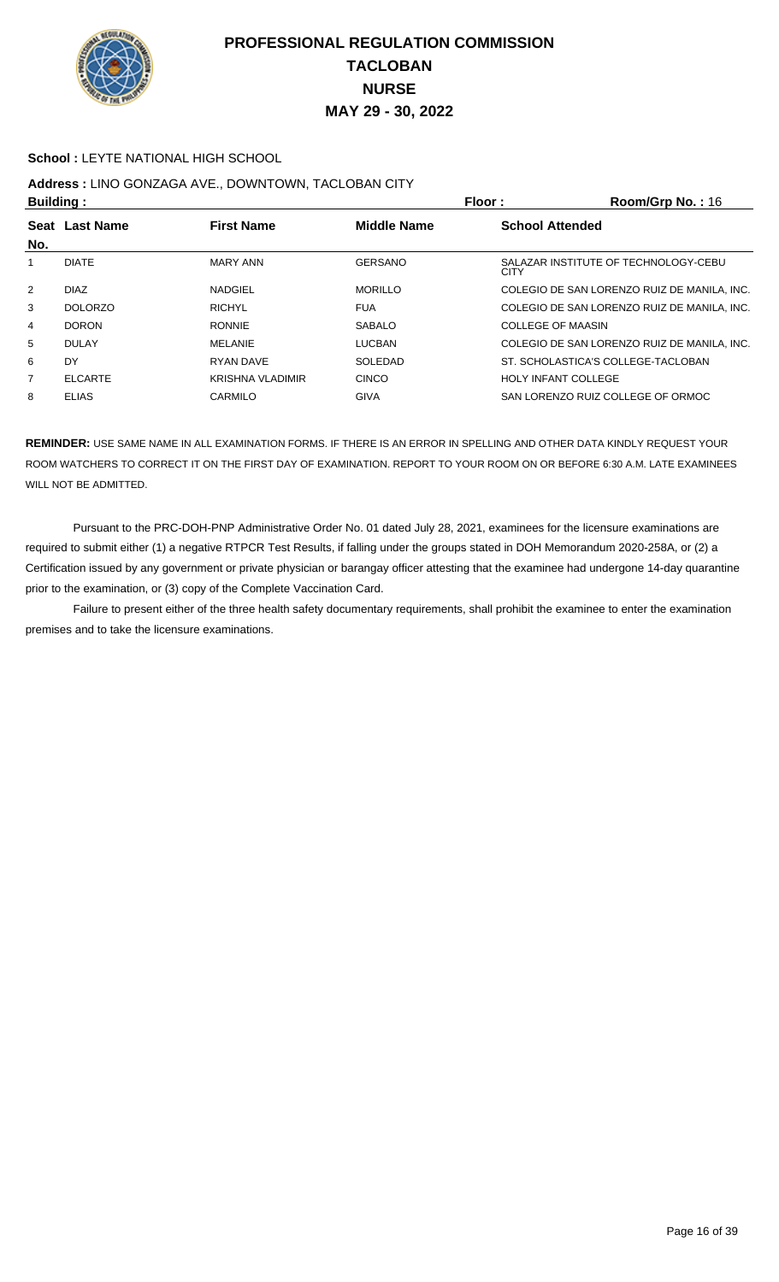

#### **School :** LEYTE NATIONAL HIGH SCHOOL

## **Address :** LINO GONZAGA AVE., DOWNTOWN, TACLOBAN CITY

| <b>Building:</b> |                  |                         |                                       | Floor:                     | Room/Grp No.: 16                            |
|------------------|------------------|-------------------------|---------------------------------------|----------------------------|---------------------------------------------|
| Seat             | <b>Last Name</b> | <b>First Name</b>       | <b>School Attended</b><br>Middle Name |                            |                                             |
| No.              |                  |                         |                                       |                            |                                             |
|                  | <b>DIATE</b>     | <b>MARY ANN</b>         | <b>GERSANO</b>                        | <b>CITY</b>                | SALAZAR INSTITUTE OF TECHNOLOGY-CEBU        |
| $\overline{2}$   | <b>DIAZ</b>      | <b>NADGIEL</b>          | <b>MORILLO</b>                        |                            | COLEGIO DE SAN LORENZO RUIZ DE MANILA, INC. |
| 3                | <b>DOLORZO</b>   | <b>RICHYL</b>           | <b>FUA</b>                            |                            | COLEGIO DE SAN LORENZO RUIZ DE MANILA. INC. |
| 4                | <b>DORON</b>     | <b>RONNIE</b>           | <b>SABALO</b>                         | COLLEGE OF MAASIN          |                                             |
| 5                | <b>DULAY</b>     | <b>MELANIE</b>          | <b>LUCBAN</b>                         |                            | COLEGIO DE SAN LORENZO RUIZ DE MANILA. INC. |
| 6                | DY               | <b>RYAN DAVE</b>        | SOLEDAD                               |                            | ST. SCHOLASTICA'S COLLEGE-TACLOBAN          |
| 7                | <b>ELCARTE</b>   | <b>KRISHNA VLADIMIR</b> | <b>CINCO</b>                          | <b>HOLY INFANT COLLEGE</b> |                                             |
| 8                | <b>ELIAS</b>     | CARMILO                 | <b>GIVA</b>                           |                            | SAN LORENZO RUIZ COLLEGE OF ORMOC           |

**REMINDER:** USE SAME NAME IN ALL EXAMINATION FORMS. IF THERE IS AN ERROR IN SPELLING AND OTHER DATA KINDLY REQUEST YOUR ROOM WATCHERS TO CORRECT IT ON THE FIRST DAY OF EXAMINATION. REPORT TO YOUR ROOM ON OR BEFORE 6:30 A.M. LATE EXAMINEES WILL NOT BE ADMITTED.

 Pursuant to the PRC-DOH-PNP Administrative Order No. 01 dated July 28, 2021, examinees for the licensure examinations are required to submit either (1) a negative RTPCR Test Results, if falling under the groups stated in DOH Memorandum 2020-258A, or (2) a Certification issued by any government or private physician or barangay officer attesting that the examinee had undergone 14-day quarantine prior to the examination, or (3) copy of the Complete Vaccination Card.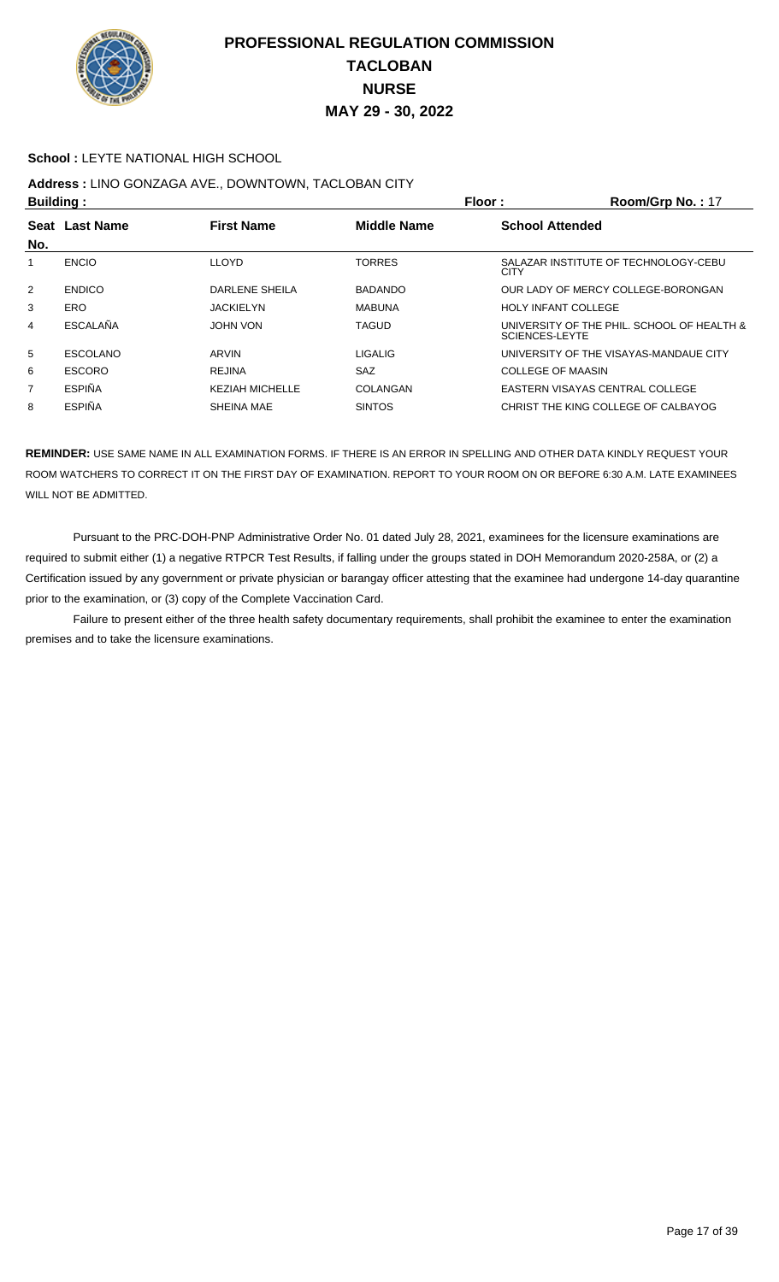

#### **School :** LEYTE NATIONAL HIGH SCHOOL

# **Address :** LINO GONZAGA AVE., DOWNTOWN, TACLOBAN CITY

| <b>Building:</b>   |                  |                        | Floor :            | Room/Grp No.: 17                                             |
|--------------------|------------------|------------------------|--------------------|--------------------------------------------------------------|
| <b>Seat</b><br>No. | <b>Last Name</b> | <b>First Name</b>      | <b>Middle Name</b> | <b>School Attended</b>                                       |
|                    | <b>ENCIO</b>     | <b>LLOYD</b>           | <b>TORRES</b>      | SALAZAR INSTITUTE OF TECHNOLOGY-CEBU<br><b>CITY</b>          |
| $\overline{2}$     | <b>ENDICO</b>    | DARLENE SHEILA         | <b>BADANDO</b>     | OUR LADY OF MERCY COLLEGE-BORONGAN                           |
| 3                  | ERO              | <b>JACKIELYN</b>       | <b>MABUNA</b>      | <b>HOLY INFANT COLLEGE</b>                                   |
| 4                  | ESCALAÑA         | JOHN VON               | <b>TAGUD</b>       | UNIVERSITY OF THE PHIL. SCHOOL OF HEALTH &<br>SCIENCES-LEYTE |
| 5                  | <b>ESCOLANO</b>  | ARVIN                  | <b>LIGALIG</b>     | UNIVERSITY OF THE VISAYAS-MANDAUE CITY                       |
| 6                  | <b>ESCORO</b>    | <b>REJINA</b>          | <b>SAZ</b>         | <b>COLLEGE OF MAASIN</b>                                     |
| 7                  | <b>ESPIÑA</b>    | <b>KEZIAH MICHELLE</b> | COLANGAN           | EASTERN VISAYAS CENTRAL COLLEGE                              |
| 8                  | <b>ESPIÑA</b>    | <b>SHEINA MAE</b>      | <b>SINTOS</b>      | CHRIST THE KING COLLEGE OF CALBAYOG                          |
|                    |                  |                        |                    |                                                              |

**REMINDER:** USE SAME NAME IN ALL EXAMINATION FORMS. IF THERE IS AN ERROR IN SPELLING AND OTHER DATA KINDLY REQUEST YOUR ROOM WATCHERS TO CORRECT IT ON THE FIRST DAY OF EXAMINATION. REPORT TO YOUR ROOM ON OR BEFORE 6:30 A.M. LATE EXAMINEES WILL NOT BE ADMITTED.

 Pursuant to the PRC-DOH-PNP Administrative Order No. 01 dated July 28, 2021, examinees for the licensure examinations are required to submit either (1) a negative RTPCR Test Results, if falling under the groups stated in DOH Memorandum 2020-258A, or (2) a Certification issued by any government or private physician or barangay officer attesting that the examinee had undergone 14-day quarantine prior to the examination, or (3) copy of the Complete Vaccination Card.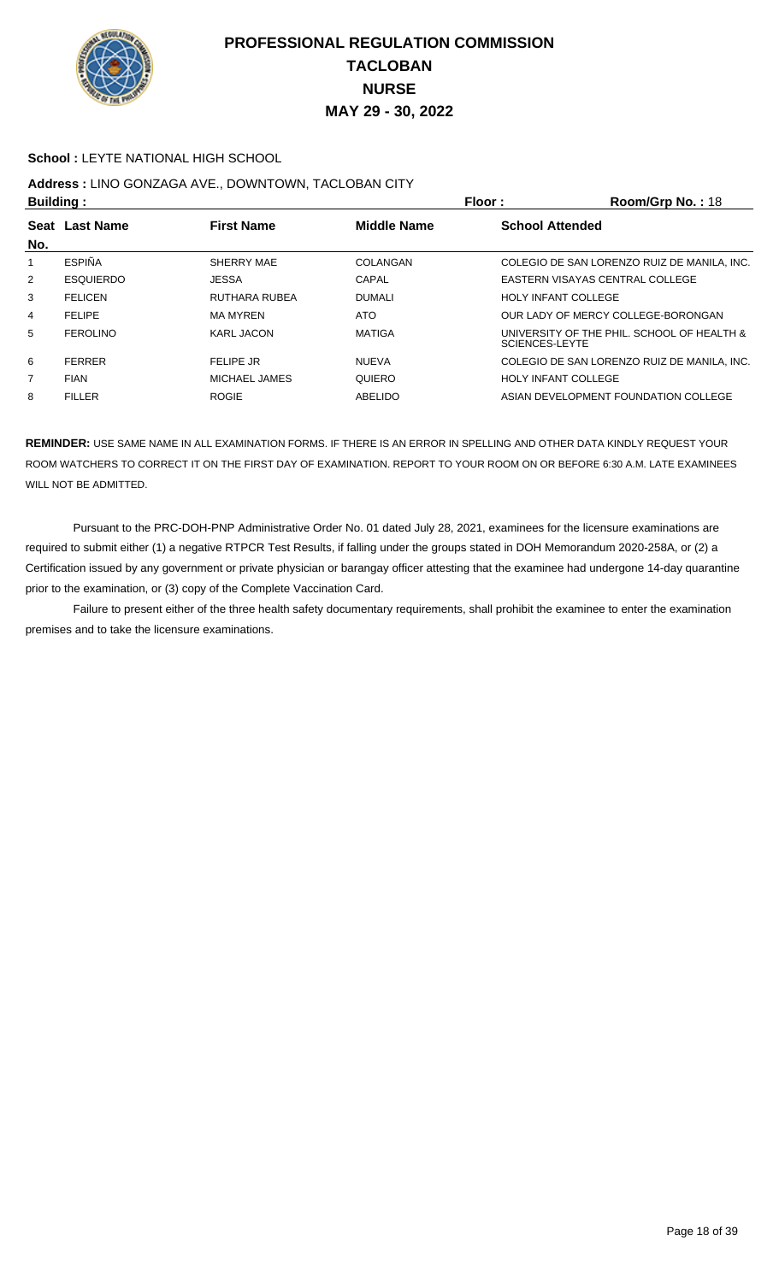

#### **School :** LEYTE NATIONAL HIGH SCHOOL

# **Address :** LINO GONZAGA AVE., DOWNTOWN, TACLOBAN CITY

| <b>Building:</b> |                  |                   |                    | Floor:<br>Room/Grp No.: 18                                          |
|------------------|------------------|-------------------|--------------------|---------------------------------------------------------------------|
| No.              | Seat Last Name   | <b>First Name</b> | <b>Middle Name</b> | <b>School Attended</b>                                              |
|                  | <b>ESPIÑA</b>    | SHERRY MAE        | COLANGAN           | COLEGIO DE SAN LORENZO RUIZ DE MANILA, INC.                         |
| 2                | <b>ESQUIERDO</b> | <b>JESSA</b>      | CAPAL              | EASTERN VISAYAS CENTRAL COLLEGE                                     |
| 3                | <b>FELICEN</b>   | RUTHARA RUBEA     | <b>DUMALI</b>      | <b>HOLY INFANT COLLEGE</b>                                          |
| 4                | <b>FELIPE</b>    | MA MYREN          | ATO                | OUR LADY OF MERCY COLLEGE-BORONGAN                                  |
| 5                | <b>FEROLINO</b>  | <b>KARL JACON</b> | MATIGA             | UNIVERSITY OF THE PHIL. SCHOOL OF HEALTH &<br><b>SCIENCES-LEYTE</b> |
| 6                | <b>FERRER</b>    | FELIPE JR         | <b>NUEVA</b>       | COLEGIO DE SAN LORENZO RUIZ DE MANILA, INC.                         |
| $\overline{7}$   | <b>FIAN</b>      | MICHAEL JAMES     | QUIERO             | <b>HOLY INFANT COLLEGE</b>                                          |
| 8                | <b>FILLER</b>    | <b>ROGIE</b>      | ABELIDO            | ASIAN DEVELOPMENT FOUNDATION COLLEGE                                |

**REMINDER:** USE SAME NAME IN ALL EXAMINATION FORMS. IF THERE IS AN ERROR IN SPELLING AND OTHER DATA KINDLY REQUEST YOUR ROOM WATCHERS TO CORRECT IT ON THE FIRST DAY OF EXAMINATION. REPORT TO YOUR ROOM ON OR BEFORE 6:30 A.M. LATE EXAMINEES WILL NOT BE ADMITTED.

 Pursuant to the PRC-DOH-PNP Administrative Order No. 01 dated July 28, 2021, examinees for the licensure examinations are required to submit either (1) a negative RTPCR Test Results, if falling under the groups stated in DOH Memorandum 2020-258A, or (2) a Certification issued by any government or private physician or barangay officer attesting that the examinee had undergone 14-day quarantine prior to the examination, or (3) copy of the Complete Vaccination Card.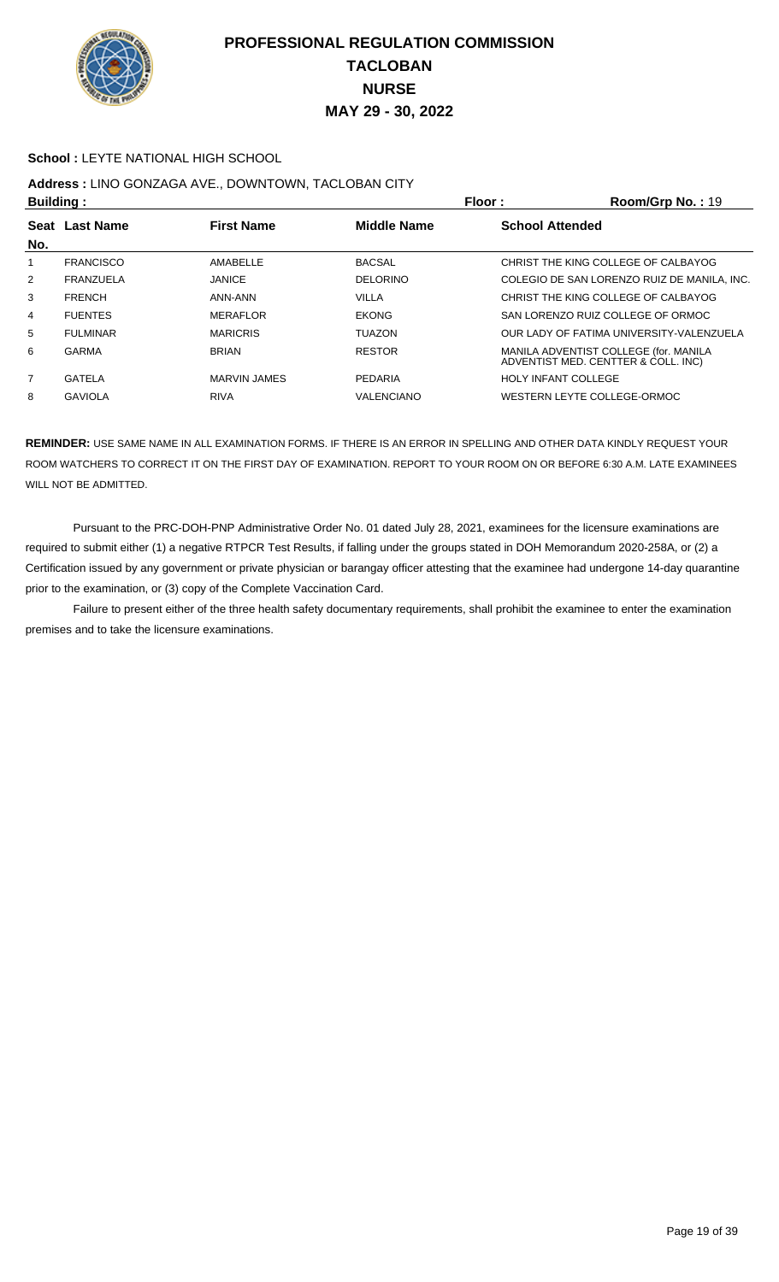

#### **School :** LEYTE NATIONAL HIGH SCHOOL

## **Address :** LINO GONZAGA AVE., DOWNTOWN, TACLOBAN CITY

| <b>Building:</b> |                  |                   | Floor:             | Room/Grp No.: 19                                                             |
|------------------|------------------|-------------------|--------------------|------------------------------------------------------------------------------|
| Seat<br>No.      | <b>Last Name</b> | <b>First Name</b> | <b>Middle Name</b> | <b>School Attended</b>                                                       |
|                  | <b>FRANCISCO</b> | AMABELLE          | <b>BACSAL</b>      | CHRIST THE KING COLLEGE OF CALBAYOG                                          |
| $\overline{2}$   | FRANZUELA        | <b>JANICE</b>     | <b>DELORINO</b>    | COLEGIO DE SAN LORENZO RUIZ DE MANILA, INC.                                  |
| 3                | <b>FRENCH</b>    | ANN-ANN           | <b>VILLA</b>       | CHRIST THE KING COLLEGE OF CALBAYOG                                          |
| 4                | <b>FUENTES</b>   | <b>MERAFLOR</b>   | <b>EKONG</b>       | SAN LORENZO RUIZ COLLEGE OF ORMOC                                            |
| 5                | <b>FULMINAR</b>  | <b>MARICRIS</b>   | <b>TUAZON</b>      | OUR LADY OF FATIMA UNIVERSITY-VALENZUELA                                     |
| 6                | GARMA            | <b>BRIAN</b>      | <b>RESTOR</b>      | MANILA ADVENTIST COLLEGE (for. MANILA<br>ADVENTIST MED. CENTTER & COLL. INC) |
| $\overline{7}$   | GATELA           | MARVIN JAMES      | <b>PEDARIA</b>     | <b>HOLY INFANT COLLEGE</b>                                                   |
| 8                | <b>GAVIOLA</b>   | <b>RIVA</b>       | <b>VALENCIANO</b>  | WESTERN LEYTE COLLEGE-ORMOC                                                  |
|                  |                  |                   |                    |                                                                              |

**REMINDER:** USE SAME NAME IN ALL EXAMINATION FORMS. IF THERE IS AN ERROR IN SPELLING AND OTHER DATA KINDLY REQUEST YOUR ROOM WATCHERS TO CORRECT IT ON THE FIRST DAY OF EXAMINATION. REPORT TO YOUR ROOM ON OR BEFORE 6:30 A.M. LATE EXAMINEES WILL NOT BE ADMITTED.

 Pursuant to the PRC-DOH-PNP Administrative Order No. 01 dated July 28, 2021, examinees for the licensure examinations are required to submit either (1) a negative RTPCR Test Results, if falling under the groups stated in DOH Memorandum 2020-258A, or (2) a Certification issued by any government or private physician or barangay officer attesting that the examinee had undergone 14-day quarantine prior to the examination, or (3) copy of the Complete Vaccination Card.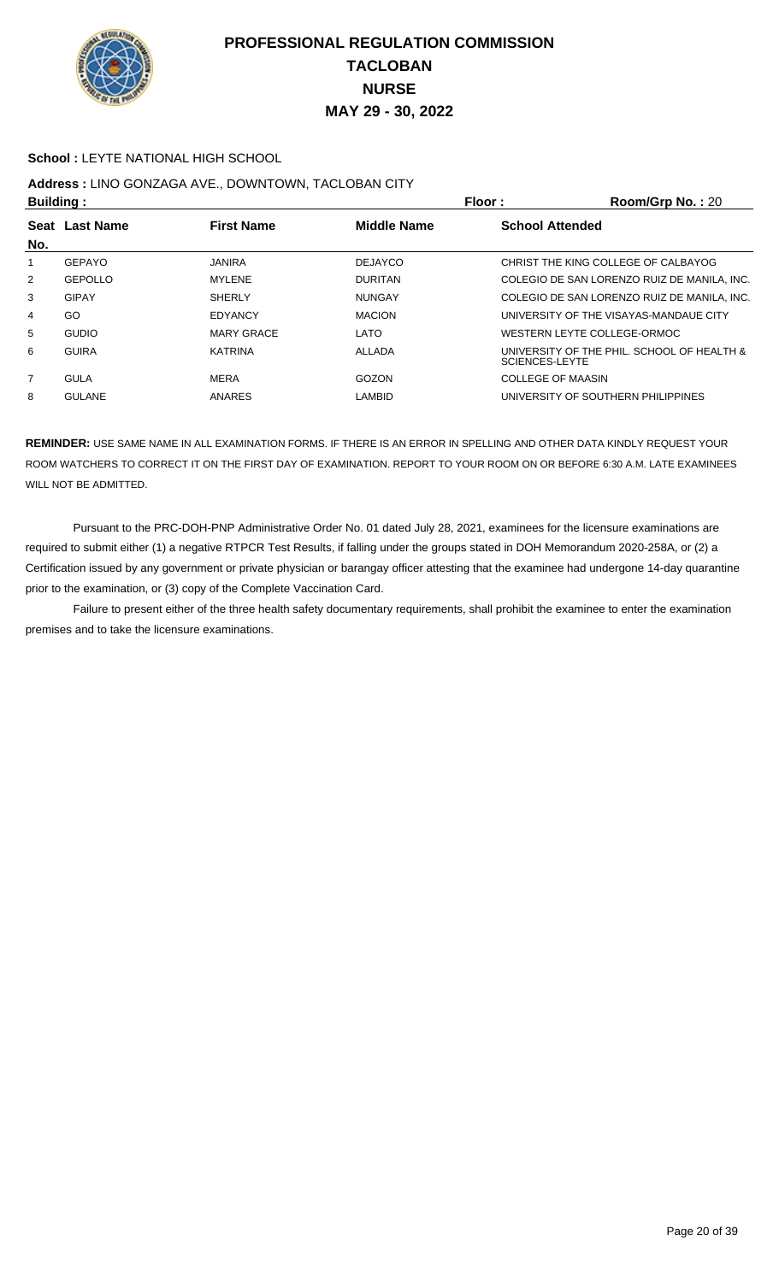

#### **School :** LEYTE NATIONAL HIGH SCHOOL

## **Address :** LINO GONZAGA AVE., DOWNTOWN, TACLOBAN CITY

| <b>Building:</b> |                |                   |                    | Floor:<br>Room/Grp No.: 20                                   |  |
|------------------|----------------|-------------------|--------------------|--------------------------------------------------------------|--|
| No.              | Seat Last Name | <b>First Name</b> | <b>Middle Name</b> | <b>School Attended</b>                                       |  |
|                  | GEPAYO         | <b>JANIRA</b>     | <b>DEJAYCO</b>     | CHRIST THE KING COLLEGE OF CALBAYOG                          |  |
| $\overline{2}$   | <b>GEPOLLO</b> | <b>MYLENE</b>     | <b>DURITAN</b>     | COLEGIO DE SAN LORENZO RUIZ DE MANILA, INC.                  |  |
| 3                | <b>GIPAY</b>   | <b>SHERLY</b>     | <b>NUNGAY</b>      | COLEGIO DE SAN LORENZO RUIZ DE MANILA, INC.                  |  |
| 4                | GO             | <b>EDYANCY</b>    | <b>MACION</b>      | UNIVERSITY OF THE VISAYAS-MANDAUE CITY                       |  |
| 5                | <b>GUDIO</b>   | <b>MARY GRACE</b> | LATO               | WESTERN LEYTE COLLEGE-ORMOC                                  |  |
| 6                | <b>GUIRA</b>   | <b>KATRINA</b>    | ALLADA             | UNIVERSITY OF THE PHIL. SCHOOL OF HEALTH &<br>SCIENCES-LEYTE |  |
| $\overline{7}$   | GULA           | <b>MERA</b>       | GOZON              | COLLEGE OF MAASIN                                            |  |
| 8                | <b>GULANE</b>  | ANARES            | LAMBID             | UNIVERSITY OF SOUTHERN PHILIPPINES                           |  |

**REMINDER:** USE SAME NAME IN ALL EXAMINATION FORMS. IF THERE IS AN ERROR IN SPELLING AND OTHER DATA KINDLY REQUEST YOUR ROOM WATCHERS TO CORRECT IT ON THE FIRST DAY OF EXAMINATION. REPORT TO YOUR ROOM ON OR BEFORE 6:30 A.M. LATE EXAMINEES WILL NOT BE ADMITTED.

 Pursuant to the PRC-DOH-PNP Administrative Order No. 01 dated July 28, 2021, examinees for the licensure examinations are required to submit either (1) a negative RTPCR Test Results, if falling under the groups stated in DOH Memorandum 2020-258A, or (2) a Certification issued by any government or private physician or barangay officer attesting that the examinee had undergone 14-day quarantine prior to the examination, or (3) copy of the Complete Vaccination Card.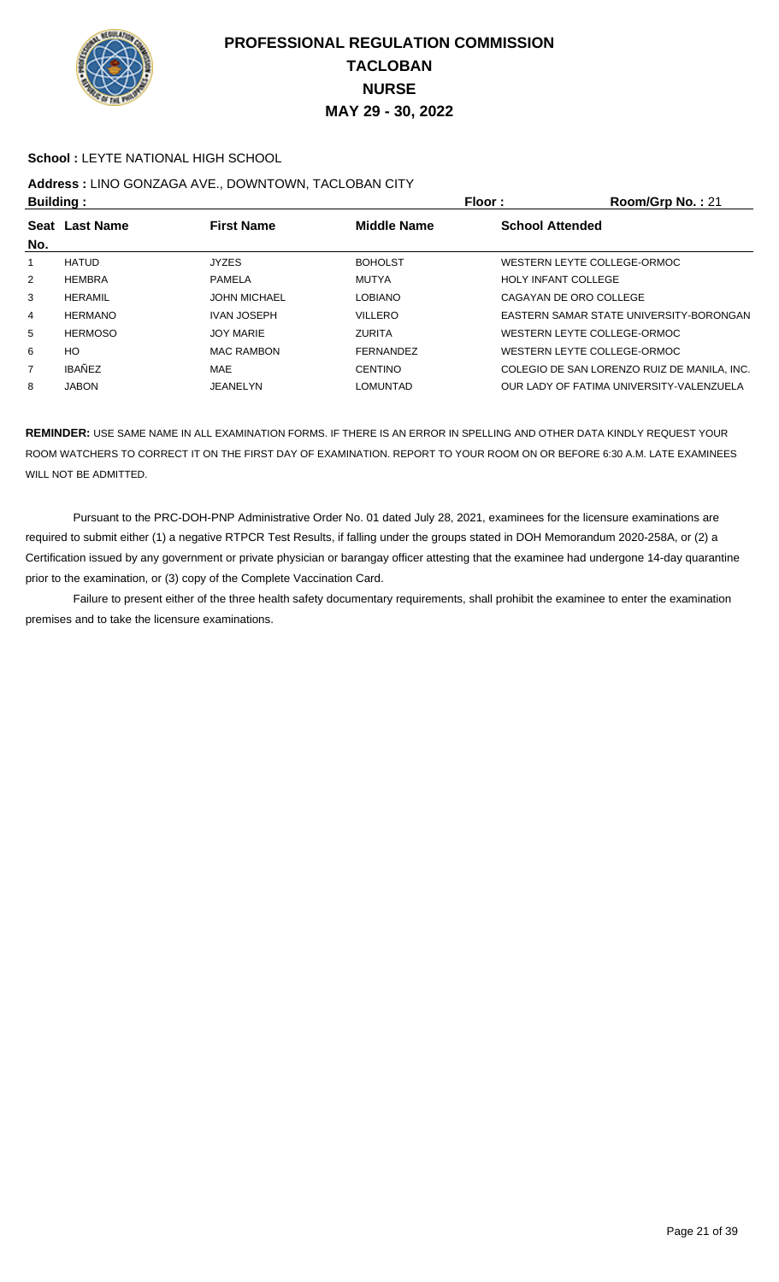

#### **School :** LEYTE NATIONAL HIGH SCHOOL

## **Address :** LINO GONZAGA AVE., DOWNTOWN, TACLOBAN CITY

| <b>Building:</b> |                |                     |                    | Floor:                     | Room/Grp No.: 21                            |  |
|------------------|----------------|---------------------|--------------------|----------------------------|---------------------------------------------|--|
| No.              | Seat Last Name | <b>First Name</b>   | <b>Middle Name</b> | <b>School Attended</b>     |                                             |  |
|                  | <b>HATUD</b>   | <b>JYZES</b>        | <b>BOHOLST</b>     |                            | WESTERN LEYTE COLLEGE-ORMOC                 |  |
| 2                | <b>HEMBRA</b>  | PAMELA              | MUTYA              | <b>HOLY INFANT COLLEGE</b> |                                             |  |
| 3                | <b>HERAMIL</b> | <b>JOHN MICHAEL</b> | <b>LOBIANO</b>     |                            | CAGAYAN DE ORO COLLEGE                      |  |
| 4                | <b>HERMANO</b> | <b>IVAN JOSEPH</b>  | <b>VILLERO</b>     |                            | EASTERN SAMAR STATE UNIVERSITY-BORONGAN     |  |
| 5                | <b>HERMOSO</b> | <b>JOY MARIE</b>    | <b>ZURITA</b>      |                            | WESTERN LEYTE COLLEGE-ORMOC                 |  |
| 6                | HO             | <b>MAC RAMBON</b>   | FERNANDEZ          |                            | WESTERN LEYTE COLLEGE-ORMOC                 |  |
| $\overline{7}$   | <b>IBAÑEZ</b>  | <b>MAE</b>          | <b>CENTINO</b>     |                            | COLEGIO DE SAN LORENZO RUIZ DE MANILA, INC. |  |
| 8                | <b>JABON</b>   | JEANELYN            | <b>LOMUNTAD</b>    |                            | OUR LADY OF FATIMA UNIVERSITY-VALENZUELA    |  |

**REMINDER:** USE SAME NAME IN ALL EXAMINATION FORMS. IF THERE IS AN ERROR IN SPELLING AND OTHER DATA KINDLY REQUEST YOUR ROOM WATCHERS TO CORRECT IT ON THE FIRST DAY OF EXAMINATION. REPORT TO YOUR ROOM ON OR BEFORE 6:30 A.M. LATE EXAMINEES WILL NOT BE ADMITTED.

 Pursuant to the PRC-DOH-PNP Administrative Order No. 01 dated July 28, 2021, examinees for the licensure examinations are required to submit either (1) a negative RTPCR Test Results, if falling under the groups stated in DOH Memorandum 2020-258A, or (2) a Certification issued by any government or private physician or barangay officer attesting that the examinee had undergone 14-day quarantine prior to the examination, or (3) copy of the Complete Vaccination Card.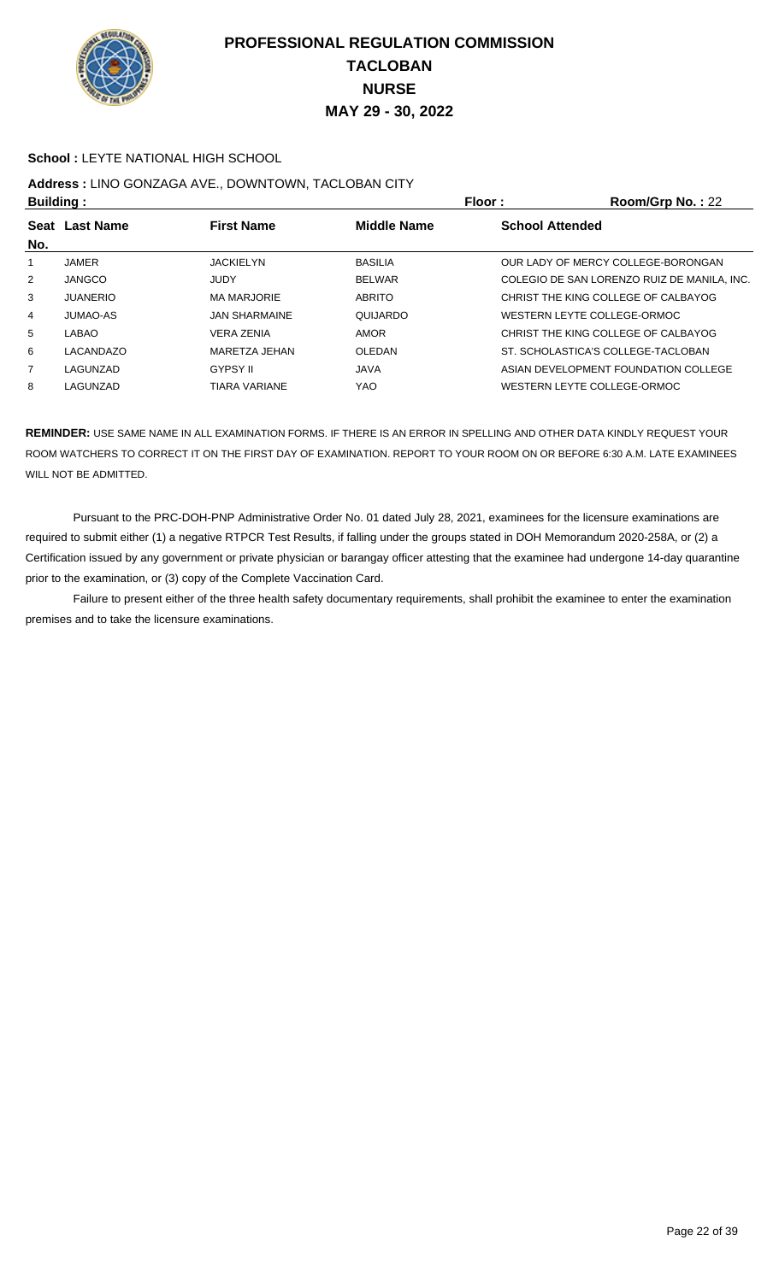

#### **School :** LEYTE NATIONAL HIGH SCHOOL

## **Address :** LINO GONZAGA AVE., DOWNTOWN, TACLOBAN CITY

| <b>Building:</b> |                  |                      |                                              | Floor: | Room/Grp No.: 22                            |
|------------------|------------------|----------------------|----------------------------------------------|--------|---------------------------------------------|
| <b>Seat</b>      | <b>Last Name</b> | <b>First Name</b>    | <b>Middle Name</b><br><b>School Attended</b> |        |                                             |
| No.              |                  |                      |                                              |        |                                             |
|                  | JAMER            | <b>JACKIELYN</b>     | <b>BASILIA</b>                               |        | OUR LADY OF MERCY COLLEGE-BORONGAN          |
| $\overline{2}$   | <b>JANGCO</b>    | JUDY                 | <b>BELWAR</b>                                |        | COLEGIO DE SAN LORENZO RUIZ DE MANILA, INC. |
| 3                | <b>JUANERIO</b>  | <b>MA MARJORIE</b>   | <b>ABRITO</b>                                |        | CHRIST THE KING COLLEGE OF CALBAYOG         |
| 4                | JUMAO-AS         | <b>JAN SHARMAINE</b> | QUIJARDO                                     |        | WESTERN LEYTE COLLEGE-ORMOC                 |
| 5                | LABAO            | <b>VERA ZENIA</b>    | AMOR                                         |        | CHRIST THE KING COLLEGE OF CALBAYOG         |
| 6                | LACANDAZO        | MARETZA JEHAN        | OLEDAN                                       |        | ST. SCHOLASTICA'S COLLEGE-TACLOBAN          |
| $\overline{7}$   | LAGUNZAD         | <b>GYPSY II</b>      | <b>JAVA</b>                                  |        | ASIAN DEVELOPMENT FOUNDATION COLLEGE        |
| 8                | LAGUNZAD         | <b>TIARA VARIANE</b> | YAO                                          |        | WESTERN LEYTE COLLEGE-ORMOC                 |

**REMINDER:** USE SAME NAME IN ALL EXAMINATION FORMS. IF THERE IS AN ERROR IN SPELLING AND OTHER DATA KINDLY REQUEST YOUR ROOM WATCHERS TO CORRECT IT ON THE FIRST DAY OF EXAMINATION. REPORT TO YOUR ROOM ON OR BEFORE 6:30 A.M. LATE EXAMINEES WILL NOT BE ADMITTED.

 Pursuant to the PRC-DOH-PNP Administrative Order No. 01 dated July 28, 2021, examinees for the licensure examinations are required to submit either (1) a negative RTPCR Test Results, if falling under the groups stated in DOH Memorandum 2020-258A, or (2) a Certification issued by any government or private physician or barangay officer attesting that the examinee had undergone 14-day quarantine prior to the examination, or (3) copy of the Complete Vaccination Card.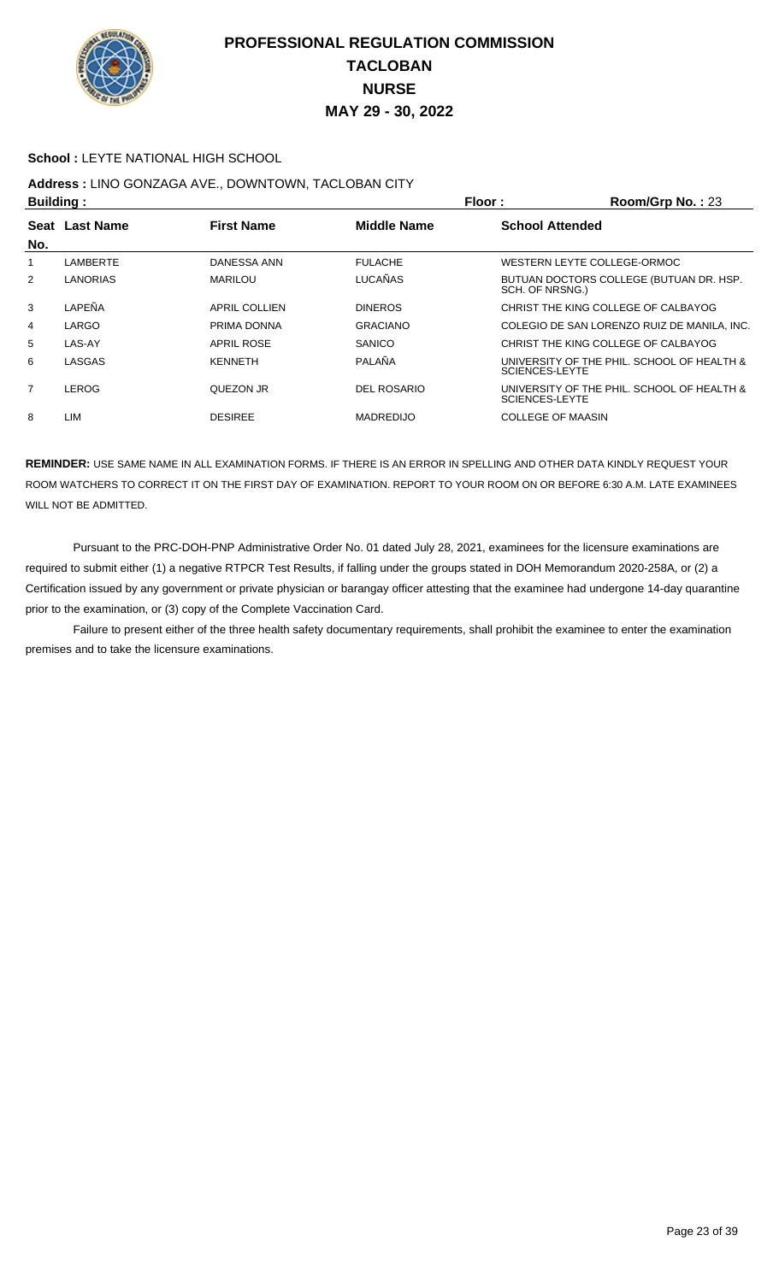

#### **School :** LEYTE NATIONAL HIGH SCHOOL

## **Address :** LINO GONZAGA AVE., DOWNTOWN, TACLOBAN CITY

| <b>Building:</b> |                |                      |                    | Floor:                                                              | Room/Grp No.: 23 |
|------------------|----------------|----------------------|--------------------|---------------------------------------------------------------------|------------------|
|                  | Seat Last Name | <b>First Name</b>    | <b>Middle Name</b> | <b>School Attended</b>                                              |                  |
| No.              |                |                      |                    |                                                                     |                  |
|                  | LAMBERTE       | DANESSA ANN          | <b>FULACHE</b>     | WESTERN LEYTE COLLEGE-ORMOC                                         |                  |
| 2                | LANORIAS       | <b>MARILOU</b>       | <b>LUCAÑAS</b>     | BUTUAN DOCTORS COLLEGE (BUTUAN DR. HSP.<br>SCH. OF NRSNG.)          |                  |
| 3                | LAPEÑA         | <b>APRIL COLLIEN</b> | <b>DINEROS</b>     | CHRIST THE KING COLLEGE OF CALBAYOG                                 |                  |
| 4                | LARGO          | PRIMA DONNA          | <b>GRACIANO</b>    | COLEGIO DE SAN LORENZO RUIZ DE MANILA, INC.                         |                  |
| 5                | LAS-AY         | <b>APRIL ROSE</b>    | <b>SANICO</b>      | CHRIST THE KING COLLEGE OF CALBAYOG                                 |                  |
| 6                | LASGAS         | <b>KENNETH</b>       | PALAÑA             | UNIVERSITY OF THE PHIL. SCHOOL OF HEALTH &<br>SCIENCES-LEYTE        |                  |
| 7                | <b>LEROG</b>   | QUEZON JR            | <b>DEL ROSARIO</b> | UNIVERSITY OF THE PHIL. SCHOOL OF HEALTH &<br><b>SCIENCES-LEYTE</b> |                  |
| 8                | LIM            | <b>DESIREE</b>       | <b>MADREDIJO</b>   | <b>COLLEGE OF MAASIN</b>                                            |                  |

**REMINDER:** USE SAME NAME IN ALL EXAMINATION FORMS. IF THERE IS AN ERROR IN SPELLING AND OTHER DATA KINDLY REQUEST YOUR ROOM WATCHERS TO CORRECT IT ON THE FIRST DAY OF EXAMINATION. REPORT TO YOUR ROOM ON OR BEFORE 6:30 A.M. LATE EXAMINEES WILL NOT BE ADMITTED.

 Pursuant to the PRC-DOH-PNP Administrative Order No. 01 dated July 28, 2021, examinees for the licensure examinations are required to submit either (1) a negative RTPCR Test Results, if falling under the groups stated in DOH Memorandum 2020-258A, or (2) a Certification issued by any government or private physician or barangay officer attesting that the examinee had undergone 14-day quarantine prior to the examination, or (3) copy of the Complete Vaccination Card.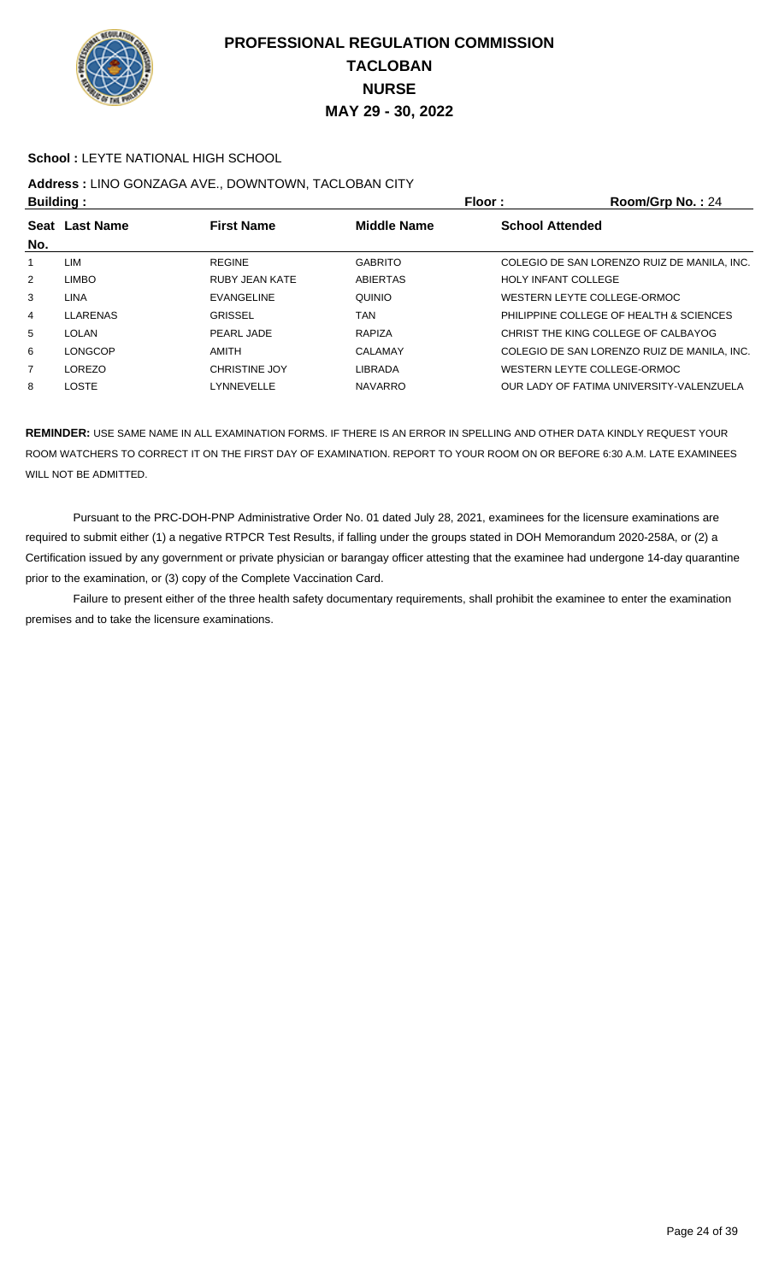

#### **School :** LEYTE NATIONAL HIGH SCHOOL

# **Address :** LINO GONZAGA AVE., DOWNTOWN, TACLOBAN CITY

| <b>Building:</b> |                |                       |                    | Floor:                     | Room/Grp No.: 24                            |
|------------------|----------------|-----------------------|--------------------|----------------------------|---------------------------------------------|
| No.              | Seat Last Name | <b>First Name</b>     | <b>Middle Name</b> | <b>School Attended</b>     |                                             |
|                  | LIM            | <b>REGINE</b>         | <b>GABRITO</b>     |                            | COLEGIO DE SAN LORENZO RUIZ DE MANILA, INC. |
| 2                | <b>LIMBO</b>   | <b>RUBY JEAN KATE</b> | <b>ABIERTAS</b>    | <b>HOLY INFANT COLLEGE</b> |                                             |
| 3                | <b>LINA</b>    | <b>EVANGELINE</b>     | QUINIO             |                            | WESTERN LEYTE COLLEGE-ORMOC                 |
| 4                | LLARENAS       | <b>GRISSEL</b>        | TAN                |                            | PHILIPPINE COLLEGE OF HEALTH & SCIENCES     |
| 5                | LOLAN          | PEARL JADE            | RAPIZA             |                            | CHRIST THE KING COLLEGE OF CALBAYOG         |
| 6                | <b>LONGCOP</b> | AMITH                 | CALAMAY            |                            | COLEGIO DE SAN LORENZO RUIZ DE MANILA. INC. |
| $\overline{7}$   | LOREZO         | <b>CHRISTINE JOY</b>  | <b>LIBRADA</b>     |                            | WESTERN LEYTE COLLEGE-ORMOC                 |
| 8                | <b>LOSTE</b>   | LYNNEVELLE            | <b>NAVARRO</b>     |                            | OUR LADY OF FATIMA UNIVERSITY-VALENZUELA    |

**REMINDER:** USE SAME NAME IN ALL EXAMINATION FORMS. IF THERE IS AN ERROR IN SPELLING AND OTHER DATA KINDLY REQUEST YOUR ROOM WATCHERS TO CORRECT IT ON THE FIRST DAY OF EXAMINATION. REPORT TO YOUR ROOM ON OR BEFORE 6:30 A.M. LATE EXAMINEES WILL NOT BE ADMITTED.

 Pursuant to the PRC-DOH-PNP Administrative Order No. 01 dated July 28, 2021, examinees for the licensure examinations are required to submit either (1) a negative RTPCR Test Results, if falling under the groups stated in DOH Memorandum 2020-258A, or (2) a Certification issued by any government or private physician or barangay officer attesting that the examinee had undergone 14-day quarantine prior to the examination, or (3) copy of the Complete Vaccination Card.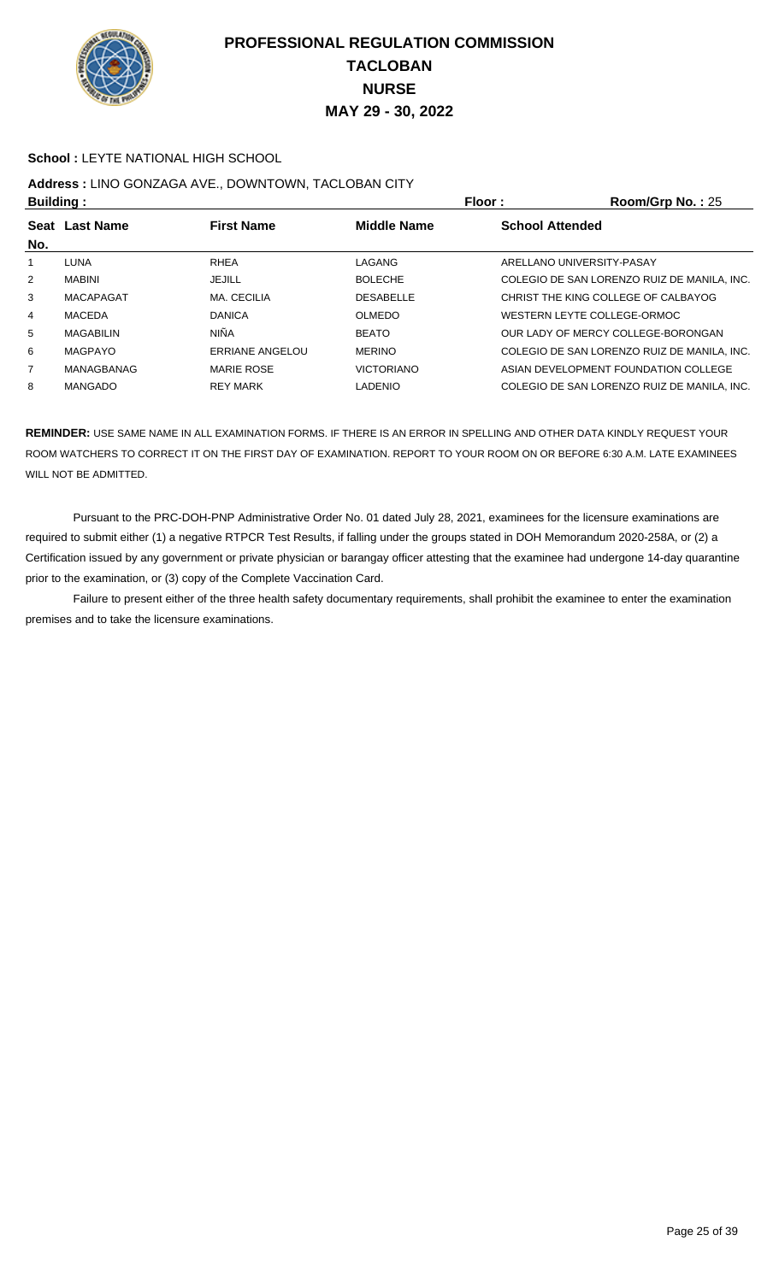

#### **School :** LEYTE NATIONAL HIGH SCHOOL

## **Address :** LINO GONZAGA AVE., DOWNTOWN, TACLOBAN CITY

| <b>Building:</b> |                  |                   | Floor:             | Room/Grp No.: $25$     |                                             |
|------------------|------------------|-------------------|--------------------|------------------------|---------------------------------------------|
| No.              | Seat Last Name   | <b>First Name</b> | <b>Middle Name</b> | <b>School Attended</b> |                                             |
|                  | LUNA             | <b>RHEA</b>       | LAGANG             |                        | ARELLANO UNIVERSITY-PASAY                   |
| $\overline{2}$   | MABINI           | JEJILL            | <b>BOLECHE</b>     |                        | COLEGIO DE SAN LORENZO RUIZ DE MANILA, INC. |
| 3                | <b>MACAPAGAT</b> | MA. CECILIA       | <b>DESABELLE</b>   |                        | CHRIST THE KING COLLEGE OF CALBAYOG         |
| 4                | MACEDA           | <b>DANICA</b>     | <b>OLMEDO</b>      |                        | WESTERN LEYTE COLLEGE-ORMOC                 |
| 5                | MAGABILIN        | <b>NIÑA</b>       | <b>BEATO</b>       |                        | OUR LADY OF MERCY COLLEGE-BORONGAN          |
| 6                | MAGPAYO          | ERRIANE ANGELOU   | <b>MERINO</b>      |                        | COLEGIO DE SAN LORENZO RUIZ DE MANILA, INC. |
| 7                | MANAGBANAG       | <b>MARIE ROSE</b> | <b>VICTORIANO</b>  |                        | ASIAN DEVELOPMENT FOUNDATION COLLEGE        |
| 8                | MANGADO          | <b>REY MARK</b>   | LADENIO            |                        | COLEGIO DE SAN LORENZO RUIZ DE MANILA, INC. |

**REMINDER:** USE SAME NAME IN ALL EXAMINATION FORMS. IF THERE IS AN ERROR IN SPELLING AND OTHER DATA KINDLY REQUEST YOUR ROOM WATCHERS TO CORRECT IT ON THE FIRST DAY OF EXAMINATION. REPORT TO YOUR ROOM ON OR BEFORE 6:30 A.M. LATE EXAMINEES WILL NOT BE ADMITTED.

 Pursuant to the PRC-DOH-PNP Administrative Order No. 01 dated July 28, 2021, examinees for the licensure examinations are required to submit either (1) a negative RTPCR Test Results, if falling under the groups stated in DOH Memorandum 2020-258A, or (2) a Certification issued by any government or private physician or barangay officer attesting that the examinee had undergone 14-day quarantine prior to the examination, or (3) copy of the Complete Vaccination Card.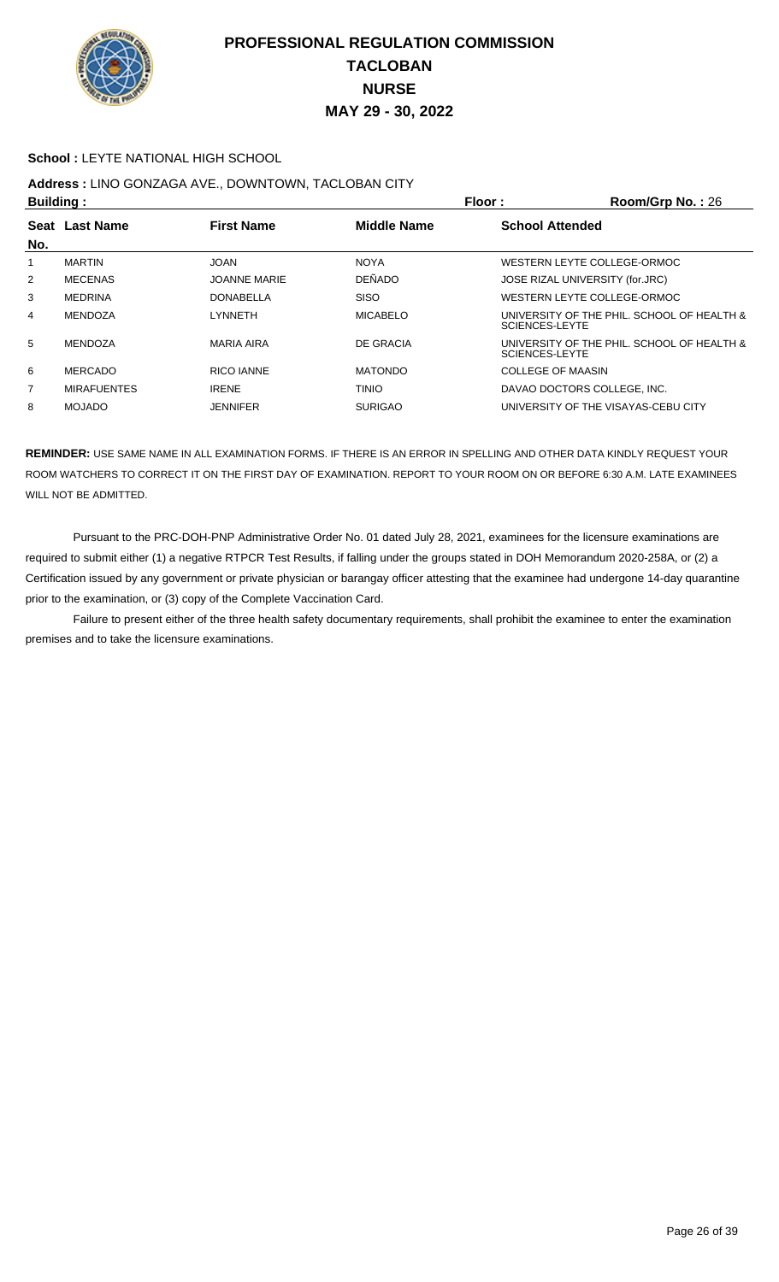

#### **School :** LEYTE NATIONAL HIGH SCHOOL

## **Address :** LINO GONZAGA AVE., DOWNTOWN, TACLOBAN CITY

| <b>Building:</b> |                    | Floor:              | Room/Grp No.: 26   |                                                                     |
|------------------|--------------------|---------------------|--------------------|---------------------------------------------------------------------|
| <b>Seat</b>      | <b>Last Name</b>   | <b>First Name</b>   | <b>Middle Name</b> | <b>School Attended</b>                                              |
| No.              |                    |                     |                    |                                                                     |
|                  | <b>MARTIN</b>      | <b>JOAN</b>         | <b>NOYA</b>        | WESTERN LEYTE COLLEGE-ORMOC                                         |
| $\overline{2}$   | <b>MECENAS</b>     | <b>JOANNE MARIE</b> | <b>DEÑADO</b>      | JOSE RIZAL UNIVERSITY (for.JRC)                                     |
| 3                | <b>MEDRINA</b>     | <b>DONABELLA</b>    | <b>SISO</b>        | WESTERN LEYTE COLLEGE-ORMOC                                         |
| 4                | MENDOZA            | LYNNETH             | <b>MICABELO</b>    | UNIVERSITY OF THE PHIL. SCHOOL OF HEALTH &<br><b>SCIENCES-LEYTE</b> |
| 5                | MENDOZA            | <b>MARIA AIRA</b>   | DE GRACIA          | UNIVERSITY OF THE PHIL. SCHOOL OF HEALTH &<br><b>SCIENCES-LEYTE</b> |
| 6                | MERCADO            | RICO IANNE          | <b>MATONDO</b>     | COLLEGE OF MAASIN                                                   |
| 7                | <b>MIRAFUENTES</b> | <b>IRENE</b>        | <b>TINIO</b>       | DAVAO DOCTORS COLLEGE. INC.                                         |
| 8                | <b>MOJADO</b>      | JENNIFER            | <b>SURIGAO</b>     | UNIVERSITY OF THE VISAYAS-CEBU CITY                                 |

**REMINDER:** USE SAME NAME IN ALL EXAMINATION FORMS. IF THERE IS AN ERROR IN SPELLING AND OTHER DATA KINDLY REQUEST YOUR ROOM WATCHERS TO CORRECT IT ON THE FIRST DAY OF EXAMINATION. REPORT TO YOUR ROOM ON OR BEFORE 6:30 A.M. LATE EXAMINEES WILL NOT BE ADMITTED.

 Pursuant to the PRC-DOH-PNP Administrative Order No. 01 dated July 28, 2021, examinees for the licensure examinations are required to submit either (1) a negative RTPCR Test Results, if falling under the groups stated in DOH Memorandum 2020-258A, or (2) a Certification issued by any government or private physician or barangay officer attesting that the examinee had undergone 14-day quarantine prior to the examination, or (3) copy of the Complete Vaccination Card.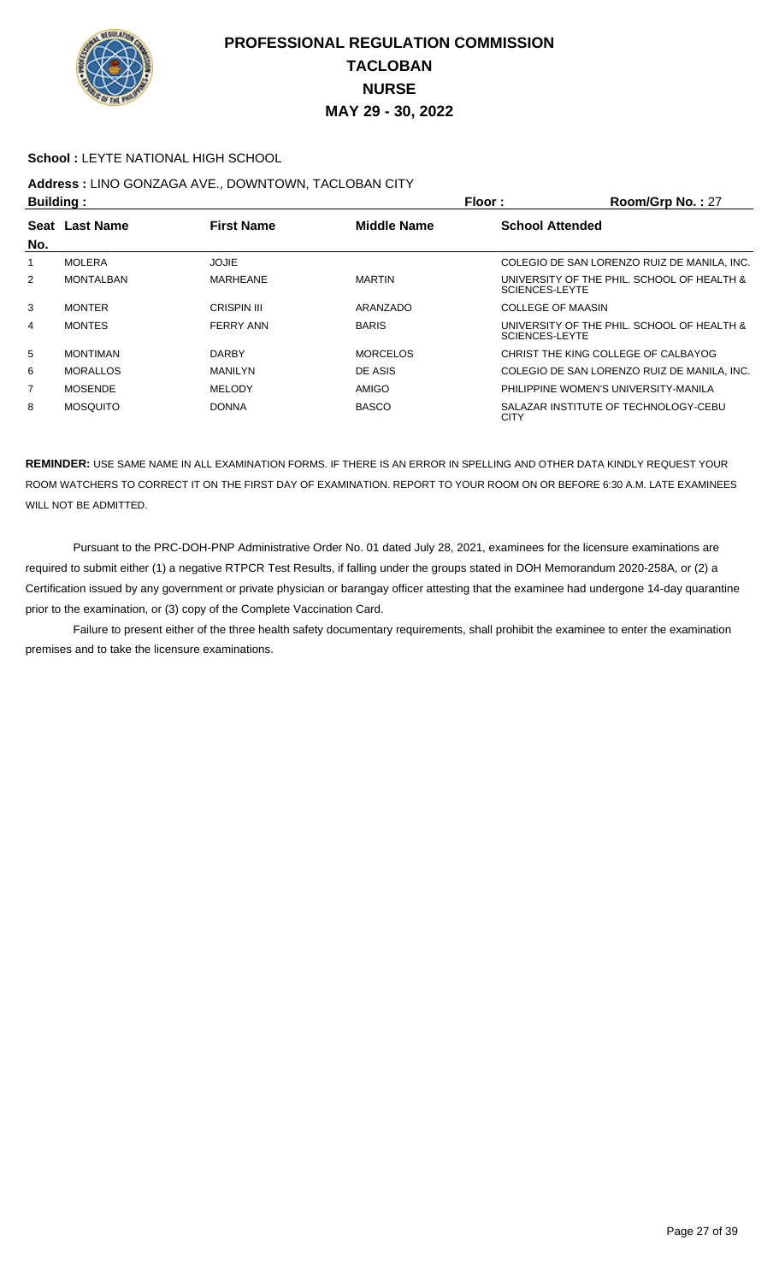

#### **School :** LEYTE NATIONAL HIGH SCHOOL

## **Address :** LINO GONZAGA AVE., DOWNTOWN, TACLOBAN CITY

| <b>Building:</b> |                  |                    |                    | Floor:                 | Room/Grp No.: 27                            |
|------------------|------------------|--------------------|--------------------|------------------------|---------------------------------------------|
| <b>Seat</b>      | <b>Last Name</b> | <b>First Name</b>  | <b>Middle Name</b> | <b>School Attended</b> |                                             |
| No.              |                  |                    |                    |                        |                                             |
|                  | <b>MOLERA</b>    | JOJIE              |                    |                        | COLEGIO DE SAN LORENZO RUIZ DE MANILA. INC. |
| $\overline{2}$   | <b>MONTALBAN</b> | MARHEANE           | <b>MARTIN</b>      | <b>SCIENCES-LEYTE</b>  | UNIVERSITY OF THE PHIL. SCHOOL OF HEALTH &  |
| 3                | <b>MONTER</b>    | <b>CRISPIN III</b> | ARANZADO           | COLLEGE OF MAASIN      |                                             |
| 4                | <b>MONTES</b>    | <b>FERRY ANN</b>   | <b>BARIS</b>       | SCIENCES-LEYTE         | UNIVERSITY OF THE PHIL. SCHOOL OF HEALTH &  |
| 5                | <b>MONTIMAN</b>  | <b>DARBY</b>       | <b>MORCELOS</b>    |                        | CHRIST THE KING COLLEGE OF CALBAYOG         |
| 6                | <b>MORALLOS</b>  | MANILYN            | DE ASIS            |                        | COLEGIO DE SAN LORENZO RUIZ DE MANILA. INC. |
| 7                | <b>MOSENDE</b>   | <b>MELODY</b>      | AMIGO              |                        | PHILIPPINE WOMEN'S UNIVERSITY-MANILA        |
| 8                | <b>MOSQUITO</b>  | <b>DONNA</b>       | <b>BASCO</b>       | <b>CITY</b>            | SALAZAR INSTITUTE OF TECHNOLOGY-CEBU        |

**REMINDER:** USE SAME NAME IN ALL EXAMINATION FORMS. IF THERE IS AN ERROR IN SPELLING AND OTHER DATA KINDLY REQUEST YOUR ROOM WATCHERS TO CORRECT IT ON THE FIRST DAY OF EXAMINATION. REPORT TO YOUR ROOM ON OR BEFORE 6:30 A.M. LATE EXAMINEES WILL NOT BE ADMITTED.

 Pursuant to the PRC-DOH-PNP Administrative Order No. 01 dated July 28, 2021, examinees for the licensure examinations are required to submit either (1) a negative RTPCR Test Results, if falling under the groups stated in DOH Memorandum 2020-258A, or (2) a Certification issued by any government or private physician or barangay officer attesting that the examinee had undergone 14-day quarantine prior to the examination, or (3) copy of the Complete Vaccination Card.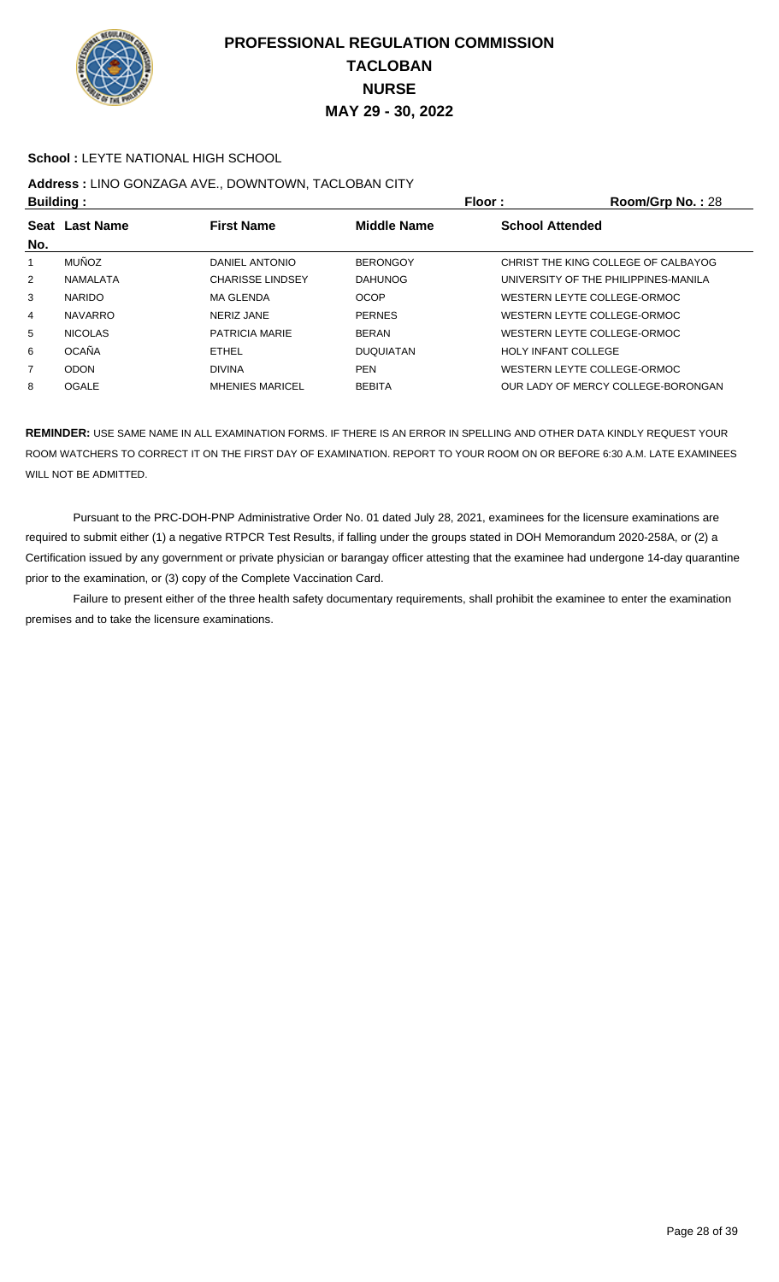

#### **School :** LEYTE NATIONAL HIGH SCHOOL

# **Address :** LINO GONZAGA AVE., DOWNTOWN, TACLOBAN CITY

| <b>Building:</b> |                  |                         |                    | <b>Floor:</b>              | Room/Grp No.: 28                     |
|------------------|------------------|-------------------------|--------------------|----------------------------|--------------------------------------|
| <b>Seat</b>      | <b>Last Name</b> | <b>First Name</b>       | <b>Middle Name</b> | <b>School Attended</b>     |                                      |
| No.              |                  |                         |                    |                            |                                      |
|                  | <b>MUÑOZ</b>     | DANIEL ANTONIO          | <b>BERONGOY</b>    |                            | CHRIST THE KING COLLEGE OF CALBAYOG  |
| $\overline{2}$   | NAMALATA         | <b>CHARISSE LINDSEY</b> | <b>DAHUNOG</b>     |                            | UNIVERSITY OF THE PHILIPPINES-MANILA |
| 3                | <b>NARIDO</b>    | MA GLENDA               | <b>OCOP</b>        |                            | WESTERN LEYTE COLLEGE-ORMOC          |
| 4                | <b>NAVARRO</b>   | NERIZ JANE              | <b>PERNES</b>      |                            | WESTERN LEYTE COLLEGE-ORMOC          |
| 5                | <b>NICOLAS</b>   | PATRICIA MARIE          | <b>BERAN</b>       |                            | WESTERN LEYTE COLLEGE-ORMOC          |
| 6                | <b>OCAÑA</b>     | <b>ETHEL</b>            | <b>DUQUIATAN</b>   | <b>HOLY INFANT COLLEGE</b> |                                      |
| $\overline{7}$   | <b>ODON</b>      | <b>DIVINA</b>           | <b>PEN</b>         |                            | WESTERN LEYTE COLLEGE-ORMOC          |
| 8                | <b>OGALE</b>     | <b>MHENIES MARICEL</b>  | <b>BEBITA</b>      |                            | OUR LADY OF MERCY COLLEGE-BORONGAN   |

**REMINDER:** USE SAME NAME IN ALL EXAMINATION FORMS. IF THERE IS AN ERROR IN SPELLING AND OTHER DATA KINDLY REQUEST YOUR ROOM WATCHERS TO CORRECT IT ON THE FIRST DAY OF EXAMINATION. REPORT TO YOUR ROOM ON OR BEFORE 6:30 A.M. LATE EXAMINEES WILL NOT BE ADMITTED.

 Pursuant to the PRC-DOH-PNP Administrative Order No. 01 dated July 28, 2021, examinees for the licensure examinations are required to submit either (1) a negative RTPCR Test Results, if falling under the groups stated in DOH Memorandum 2020-258A, or (2) a Certification issued by any government or private physician or barangay officer attesting that the examinee had undergone 14-day quarantine prior to the examination, or (3) copy of the Complete Vaccination Card.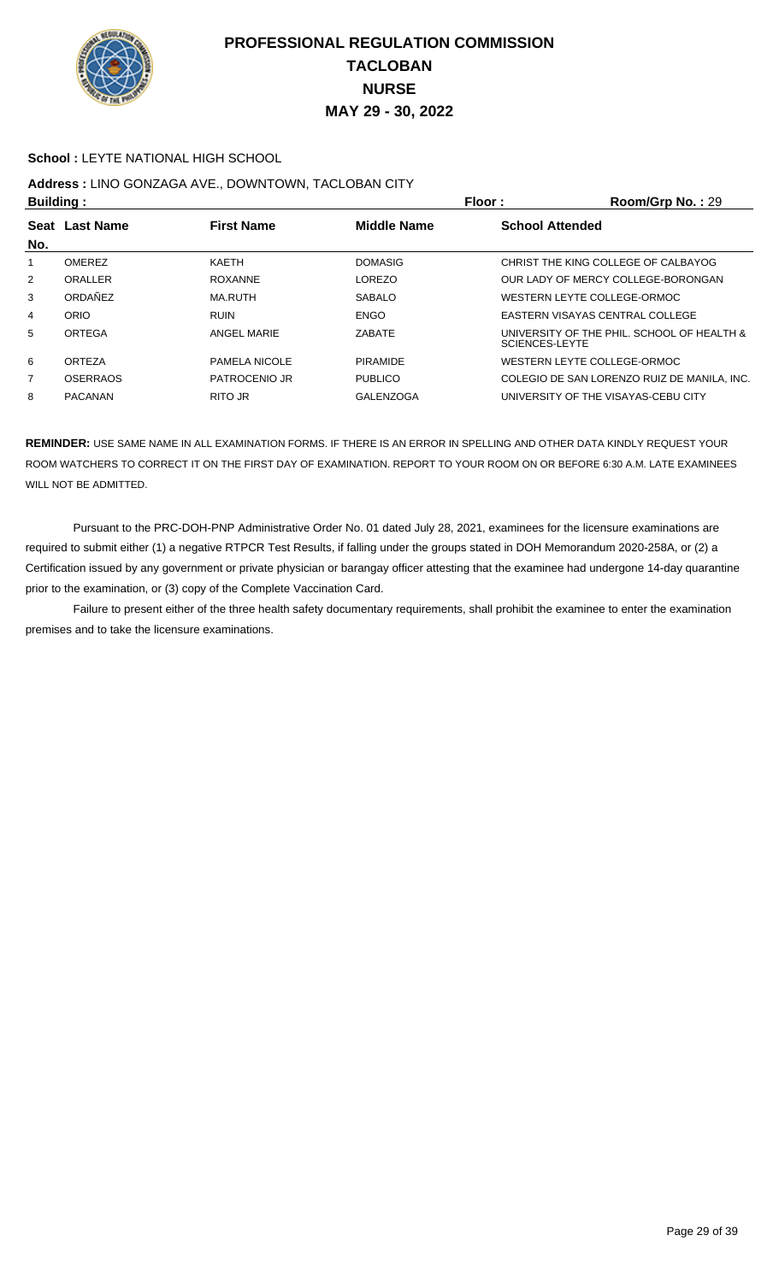

#### **School :** LEYTE NATIONAL HIGH SCHOOL

## **Address :** LINO GONZAGA AVE., DOWNTOWN, TACLOBAN CITY

| <b>Building:</b> |                 |                      |                    | Floor:<br>Room/Grp No.: 29                                   |  |
|------------------|-----------------|----------------------|--------------------|--------------------------------------------------------------|--|
| No.              | Seat Last Name  | <b>First Name</b>    | <b>Middle Name</b> | <b>School Attended</b>                                       |  |
|                  | <b>OMEREZ</b>   | <b>KAETH</b>         | <b>DOMASIG</b>     | CHRIST THE KING COLLEGE OF CALBAYOG                          |  |
| 2                | ORALLER         | ROXANNE              | <b>LOREZO</b>      | OUR LADY OF MERCY COLLEGE-BORONGAN                           |  |
| 3                | ORDAÑEZ         | MA.RUTH              | <b>SABALO</b>      | WESTERN LEYTE COLLEGE-ORMOC                                  |  |
| 4                | ORIO            | <b>RUIN</b>          | ENGO               | EASTERN VISAYAS CENTRAL COLLEGE                              |  |
| 5                | ORTEGA          | ANGEL MARIE          | ZABATE             | UNIVERSITY OF THE PHIL. SCHOOL OF HEALTH &<br>SCIENCES-LEYTE |  |
| 6                | ORTEZA          | <b>PAMELA NICOLE</b> | <b>PIRAMIDE</b>    | WESTERN LEYTE COLLEGE-ORMOC                                  |  |
| $\overline{7}$   | <b>OSERRAOS</b> | PATROCENIO JR        | <b>PUBLICO</b>     | COLEGIO DE SAN LORENZO RUIZ DE MANILA. INC.                  |  |
| 8                | <b>PACANAN</b>  | RITO JR              | GALENZOGA          | UNIVERSITY OF THE VISAYAS-CEBU CITY                          |  |

**REMINDER:** USE SAME NAME IN ALL EXAMINATION FORMS. IF THERE IS AN ERROR IN SPELLING AND OTHER DATA KINDLY REQUEST YOUR ROOM WATCHERS TO CORRECT IT ON THE FIRST DAY OF EXAMINATION. REPORT TO YOUR ROOM ON OR BEFORE 6:30 A.M. LATE EXAMINEES WILL NOT BE ADMITTED.

 Pursuant to the PRC-DOH-PNP Administrative Order No. 01 dated July 28, 2021, examinees for the licensure examinations are required to submit either (1) a negative RTPCR Test Results, if falling under the groups stated in DOH Memorandum 2020-258A, or (2) a Certification issued by any government or private physician or barangay officer attesting that the examinee had undergone 14-day quarantine prior to the examination, or (3) copy of the Complete Vaccination Card.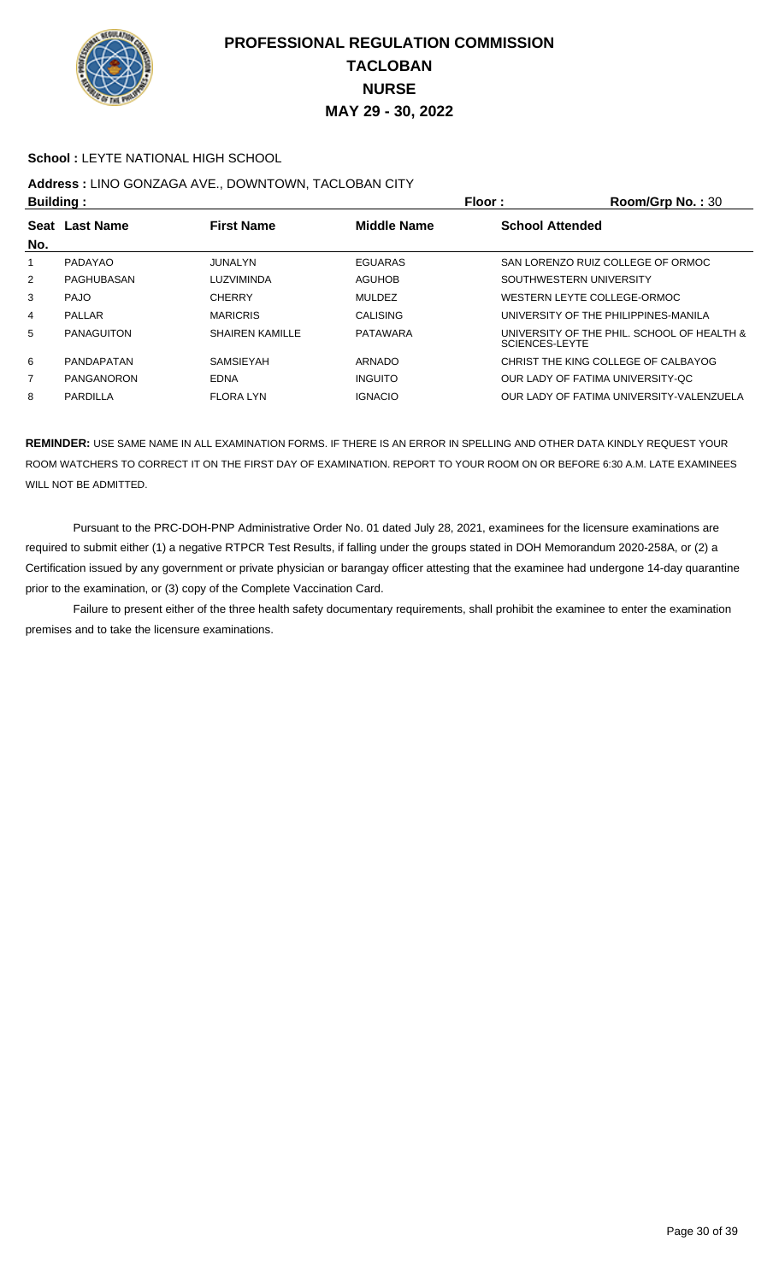

#### **School :** LEYTE NATIONAL HIGH SCHOOL

## **Address :** LINO GONZAGA AVE., DOWNTOWN, TACLOBAN CITY

| <b>Building:</b> |                   |                        |                    | Floor:<br>Room/Grp No.: 30                                   |
|------------------|-------------------|------------------------|--------------------|--------------------------------------------------------------|
| No.              | Seat Last Name    | <b>First Name</b>      | <b>Middle Name</b> | <b>School Attended</b>                                       |
|                  | PADAYAO           | JUNALYN                | EGUARAS            | SAN LORENZO RUIZ COLLEGE OF ORMOC                            |
| $\overline{2}$   | PAGHUBASAN        | LUZVIMINDA             | AGUHOB             | SOUTHWESTERN UNIVERSITY                                      |
| 3                | <b>PAJO</b>       | <b>CHERRY</b>          | <b>MULDEZ</b>      | WESTERN LEYTE COLLEGE-ORMOC                                  |
| 4                | PALLAR            | <b>MARICRIS</b>        | <b>CALISING</b>    | UNIVERSITY OF THE PHILIPPINES-MANILA                         |
| 5                | <b>PANAGUITON</b> | <b>SHAIREN KAMILLE</b> | <b>PATAWARA</b>    | UNIVERSITY OF THE PHIL. SCHOOL OF HEALTH &<br>SCIENCES-LEYTE |
| 6                | <b>PANDAPATAN</b> | <b>SAMSIFYAH</b>       | ARNADO             | CHRIST THE KING COLLEGE OF CALBAYOG                          |
| $\overline{7}$   | PANGANORON        | EDNA                   | <b>INGUITO</b>     | OUR LADY OF FATIMA UNIVERSITY-OC                             |
| 8                | PARDILLA          | <b>FLORA LYN</b>       | <b>IGNACIO</b>     | OUR LADY OF FATIMA UNIVERSITY-VALENZUELA                     |

**REMINDER:** USE SAME NAME IN ALL EXAMINATION FORMS. IF THERE IS AN ERROR IN SPELLING AND OTHER DATA KINDLY REQUEST YOUR ROOM WATCHERS TO CORRECT IT ON THE FIRST DAY OF EXAMINATION. REPORT TO YOUR ROOM ON OR BEFORE 6:30 A.M. LATE EXAMINEES WILL NOT BE ADMITTED.

 Pursuant to the PRC-DOH-PNP Administrative Order No. 01 dated July 28, 2021, examinees for the licensure examinations are required to submit either (1) a negative RTPCR Test Results, if falling under the groups stated in DOH Memorandum 2020-258A, or (2) a Certification issued by any government or private physician or barangay officer attesting that the examinee had undergone 14-day quarantine prior to the examination, or (3) copy of the Complete Vaccination Card.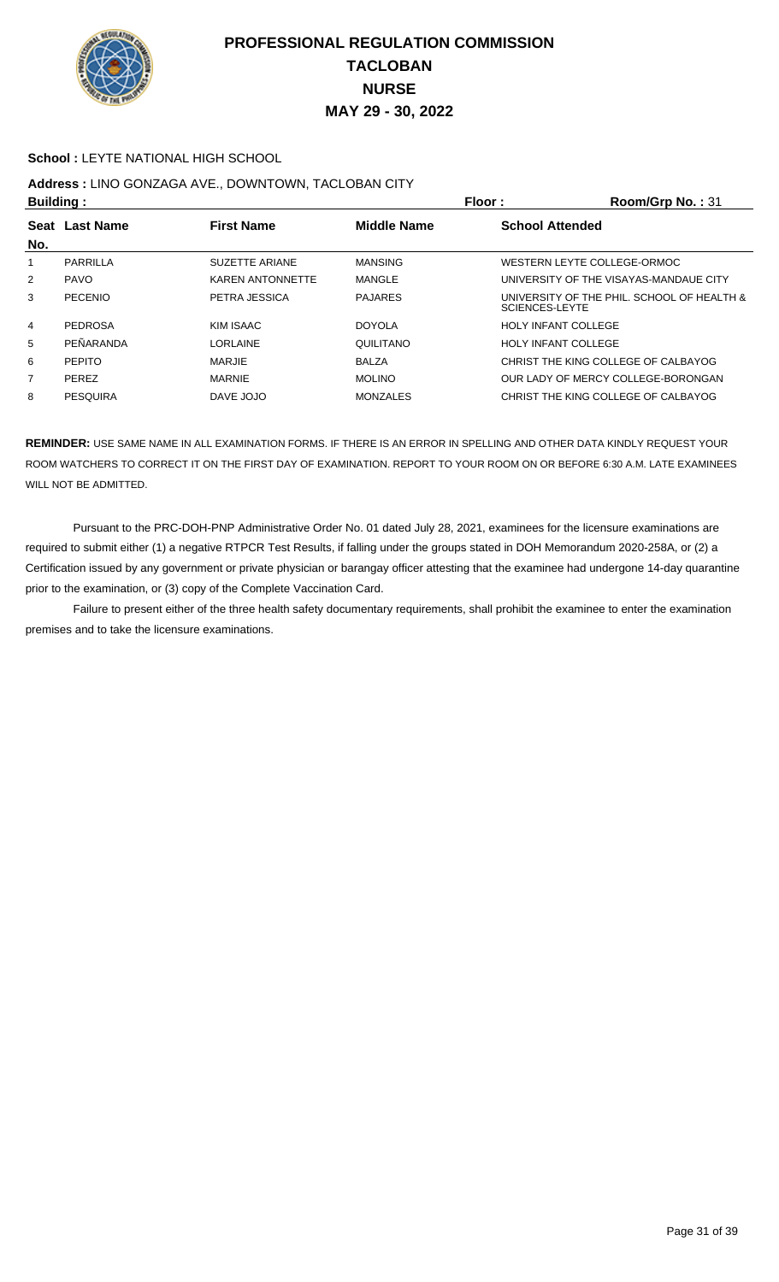

#### **School :** LEYTE NATIONAL HIGH SCHOOL

# **Address :** LINO GONZAGA AVE., DOWNTOWN, TACLOBAN CITY

| <b>Building:</b> |                         |                    | Room/Grp No.: 31                                                    |
|------------------|-------------------------|--------------------|---------------------------------------------------------------------|
| <b>Last Name</b> | <b>First Name</b>       | <b>Middle Name</b> | <b>School Attended</b>                                              |
| PARRILLA         | SUZETTE ARIANE          | <b>MANSING</b>     | WESTERN LEYTE COLLEGE-ORMOC                                         |
| <b>PAVO</b>      | <b>KAREN ANTONNETTE</b> | MANGLE             | UNIVERSITY OF THE VISAYAS-MANDAUE CITY                              |
| PECENIO          | PETRA JESSICA           | <b>PAJARES</b>     | UNIVERSITY OF THE PHIL. SCHOOL OF HEALTH &<br><b>SCIENCES-LEYTE</b> |
| <b>PEDROSA</b>   | KIM ISAAC               | <b>DOYOLA</b>      | <b>HOLY INFANT COLLEGE</b>                                          |
| PEÑARANDA        | LORLAINE                | QUILITANO          | <b>HOLY INFANT COLLEGE</b>                                          |
| <b>PEPITO</b>    | <b>MARJIE</b>           | <b>BALZA</b>       | CHRIST THE KING COLLEGE OF CALBAYOG                                 |
| <b>PEREZ</b>     | <b>MARNIE</b>           | <b>MOLINO</b>      | OUR LADY OF MERCY COLLEGE-BORONGAN                                  |
| <b>PESQUIRA</b>  | DAVE JOJO               | <b>MONZALES</b>    | CHRIST THE KING COLLEGE OF CALBAYOG                                 |
| <b>Seat</b>      |                         |                    | Floor:                                                              |

**REMINDER:** USE SAME NAME IN ALL EXAMINATION FORMS. IF THERE IS AN ERROR IN SPELLING AND OTHER DATA KINDLY REQUEST YOUR ROOM WATCHERS TO CORRECT IT ON THE FIRST DAY OF EXAMINATION. REPORT TO YOUR ROOM ON OR BEFORE 6:30 A.M. LATE EXAMINEES WILL NOT BE ADMITTED.

 Pursuant to the PRC-DOH-PNP Administrative Order No. 01 dated July 28, 2021, examinees for the licensure examinations are required to submit either (1) a negative RTPCR Test Results, if falling under the groups stated in DOH Memorandum 2020-258A, or (2) a Certification issued by any government or private physician or barangay officer attesting that the examinee had undergone 14-day quarantine prior to the examination, or (3) copy of the Complete Vaccination Card.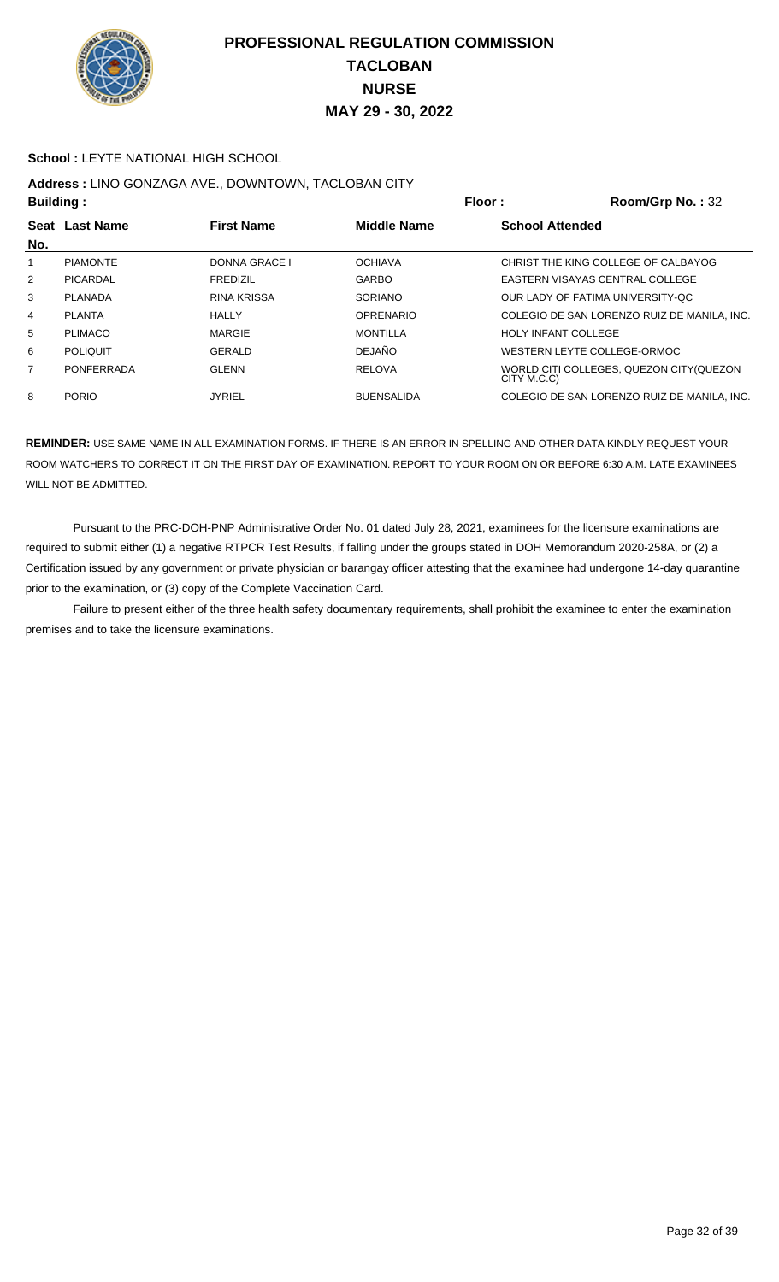

#### **School :** LEYTE NATIONAL HIGH SCHOOL

## **Address :** LINO GONZAGA AVE., DOWNTOWN, TACLOBAN CITY

| <b>Building:</b> |                   |                      |                    | Floor:<br>Room/Grp No.: 32                              |  |
|------------------|-------------------|----------------------|--------------------|---------------------------------------------------------|--|
| <b>Seat</b>      | <b>Last Name</b>  | <b>First Name</b>    | <b>Middle Name</b> | <b>School Attended</b>                                  |  |
| No.              |                   |                      |                    |                                                         |  |
|                  | <b>PIAMONTE</b>   | <b>DONNA GRACE I</b> | <b>OCHIAVA</b>     | CHRIST THE KING COLLEGE OF CALBAYOG                     |  |
| $\overline{2}$   | PICARDAL          | <b>FREDIZIL</b>      | <b>GARBO</b>       | EASTERN VISAYAS CENTRAL COLLEGE                         |  |
| 3                | PLANADA           | <b>RINA KRISSA</b>   | <b>SORIANO</b>     | OUR LADY OF FATIMA UNIVERSITY-OC                        |  |
| 4                | <b>PLANTA</b>     | <b>HALLY</b>         | <b>OPRENARIO</b>   | COLEGIO DE SAN LORENZO RUIZ DE MANILA, INC.             |  |
| 5                | <b>PLIMACO</b>    | MARGIE               | <b>MONTILLA</b>    | <b>HOLY INFANT COLLEGE</b>                              |  |
| 6                | <b>POLIQUIT</b>   | GERALD               | <b>DEJAÑO</b>      | WESTERN LEYTE COLLEGE-ORMOC                             |  |
| 7                | <b>PONFERRADA</b> | <b>GLENN</b>         | <b>RELOVA</b>      | WORLD CITI COLLEGES, QUEZON CITY (QUEZON<br>CITY M.C.C) |  |
| 8                | <b>PORIO</b>      | <b>JYRIEL</b>        | <b>BUENSALIDA</b>  | COLEGIO DE SAN LORENZO RUIZ DE MANILA, INC.             |  |

**REMINDER:** USE SAME NAME IN ALL EXAMINATION FORMS. IF THERE IS AN ERROR IN SPELLING AND OTHER DATA KINDLY REQUEST YOUR ROOM WATCHERS TO CORRECT IT ON THE FIRST DAY OF EXAMINATION. REPORT TO YOUR ROOM ON OR BEFORE 6:30 A.M. LATE EXAMINEES WILL NOT BE ADMITTED.

 Pursuant to the PRC-DOH-PNP Administrative Order No. 01 dated July 28, 2021, examinees for the licensure examinations are required to submit either (1) a negative RTPCR Test Results, if falling under the groups stated in DOH Memorandum 2020-258A, or (2) a Certification issued by any government or private physician or barangay officer attesting that the examinee had undergone 14-day quarantine prior to the examination, or (3) copy of the Complete Vaccination Card.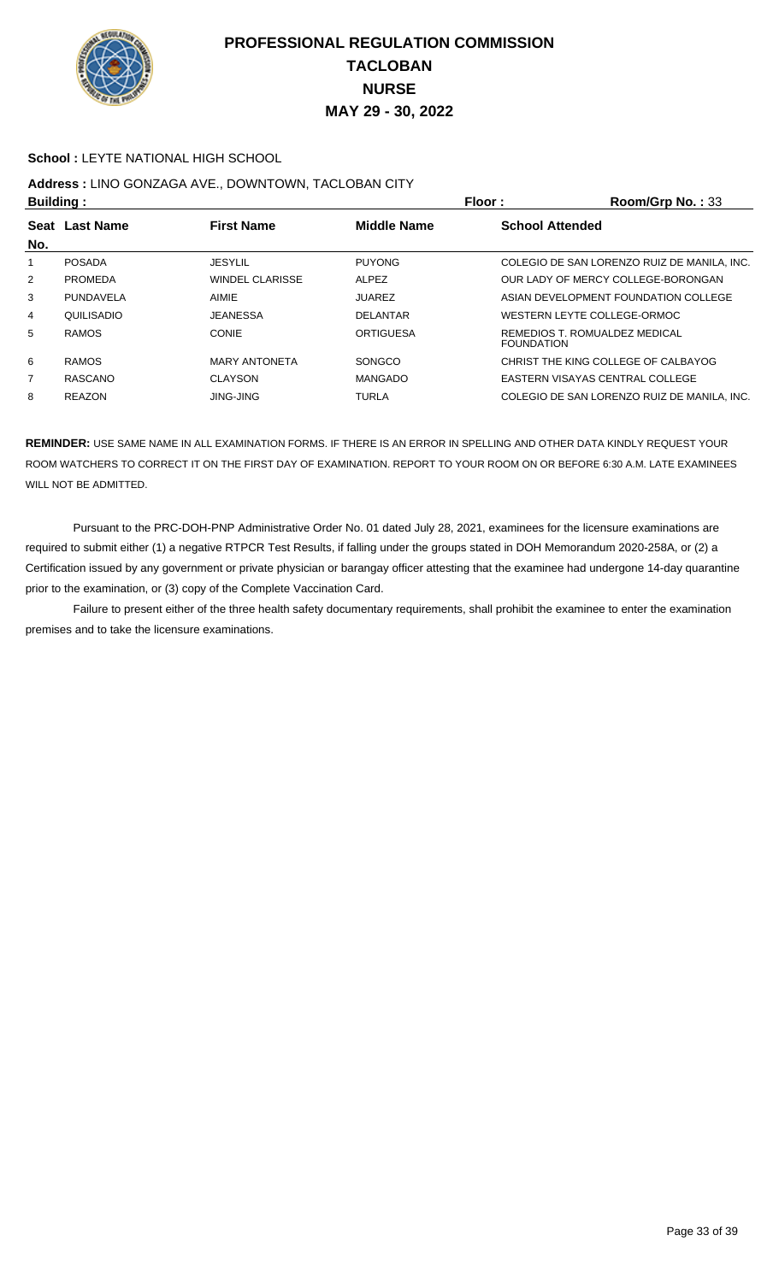

#### **School :** LEYTE NATIONAL HIGH SCHOOL

## **Address :** LINO GONZAGA AVE., DOWNTOWN, TACLOBAN CITY

| <b>Building:</b> |                |                        |                    | Floor:                 | Room/Grp No.: 33                            |
|------------------|----------------|------------------------|--------------------|------------------------|---------------------------------------------|
| No.              | Seat Last Name | <b>First Name</b>      | <b>Middle Name</b> | <b>School Attended</b> |                                             |
|                  | <b>POSADA</b>  | <b>JESYLIL</b>         | <b>PUYONG</b>      |                        | COLEGIO DE SAN LORENZO RUIZ DE MANILA, INC. |
| $\overline{2}$   | <b>PROMEDA</b> | <b>WINDEL CLARISSE</b> | <b>ALPEZ</b>       |                        | OUR LADY OF MERCY COLLEGE-BORONGAN          |
| 3                | PUNDAVELA      | AIMIE                  | <b>JUAREZ</b>      |                        | ASIAN DEVELOPMENT FOUNDATION COLLEGE        |
| 4                | QUILISADIO     | <b>JEANESSA</b>        | <b>DELANTAR</b>    |                        | WESTERN LEYTE COLLEGE-ORMOC                 |
| 5                | <b>RAMOS</b>   | CONIE                  | <b>ORTIGUESA</b>   | <b>FOUNDATION</b>      | REMEDIOS T. ROMUALDEZ MEDICAL               |
| 6                | <b>RAMOS</b>   | <b>MARY ANTONETA</b>   | SONGCO             |                        | CHRIST THE KING COLLEGE OF CALBAYOG         |
| $\overline{7}$   | RASCANO        | <b>CLAYSON</b>         | <b>MANGADO</b>     |                        | EASTERN VISAYAS CENTRAL COLLEGE             |
| 8                | <b>REAZON</b>  | <b>JING-JING</b>       | <b>TURLA</b>       |                        | COLEGIO DE SAN LORENZO RUIZ DE MANILA. INC. |

**REMINDER:** USE SAME NAME IN ALL EXAMINATION FORMS. IF THERE IS AN ERROR IN SPELLING AND OTHER DATA KINDLY REQUEST YOUR ROOM WATCHERS TO CORRECT IT ON THE FIRST DAY OF EXAMINATION. REPORT TO YOUR ROOM ON OR BEFORE 6:30 A.M. LATE EXAMINEES WILL NOT BE ADMITTED.

 Pursuant to the PRC-DOH-PNP Administrative Order No. 01 dated July 28, 2021, examinees for the licensure examinations are required to submit either (1) a negative RTPCR Test Results, if falling under the groups stated in DOH Memorandum 2020-258A, or (2) a Certification issued by any government or private physician or barangay officer attesting that the examinee had undergone 14-day quarantine prior to the examination, or (3) copy of the Complete Vaccination Card.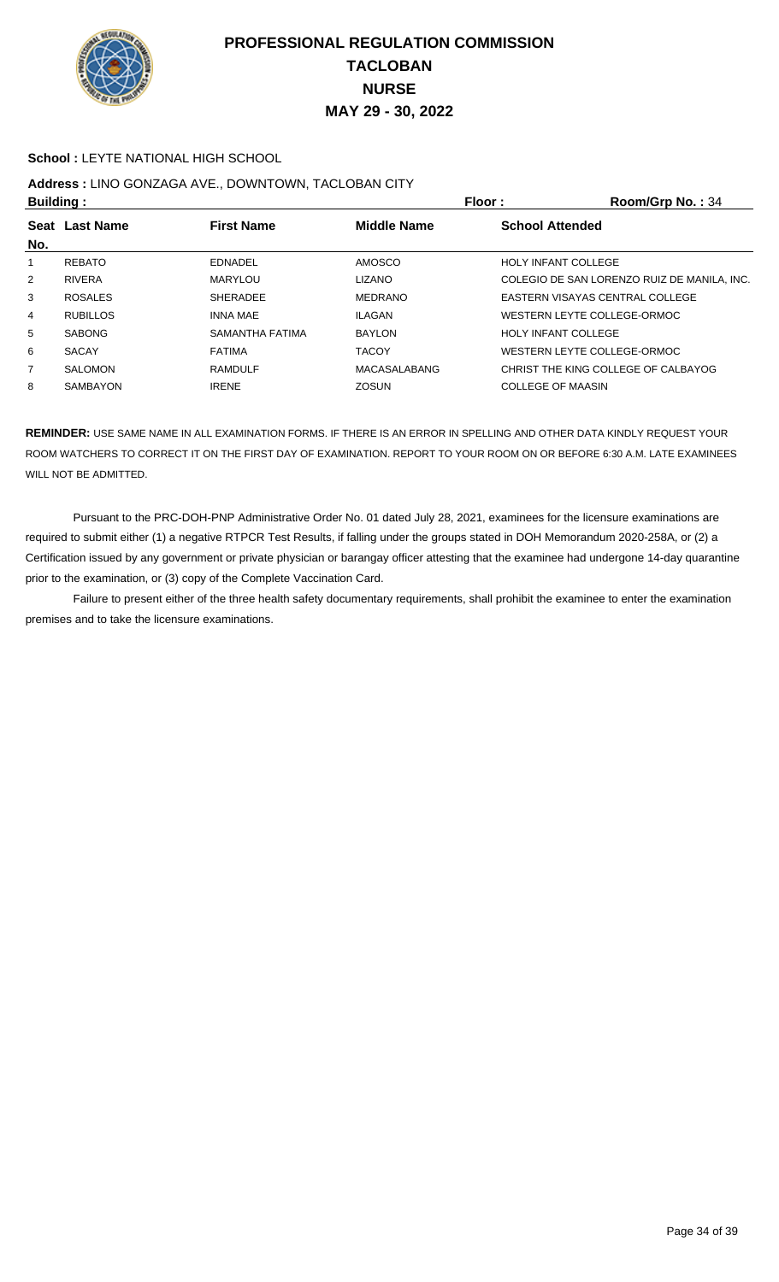

#### **School :** LEYTE NATIONAL HIGH SCHOOL

# **Address :** LINO GONZAGA AVE., DOWNTOWN, TACLOBAN CITY

| <b>Building:</b> |                 |                   |                    | <b>Floor:</b>              | Room/Grp No.: 34                            |
|------------------|-----------------|-------------------|--------------------|----------------------------|---------------------------------------------|
|                  | Seat Last Name  | <b>First Name</b> | <b>Middle Name</b> | <b>School Attended</b>     |                                             |
| No.              |                 |                   |                    |                            |                                             |
|                  | <b>REBATO</b>   | <b>EDNADEL</b>    | AMOSCO             | <b>HOLY INFANT COLLEGE</b> |                                             |
| 2                | <b>RIVERA</b>   | <b>MARYLOU</b>    | <b>LIZANO</b>      |                            | COLEGIO DE SAN LORENZO RUIZ DE MANILA, INC. |
| 3                | <b>ROSALES</b>  | <b>SHERADEE</b>   | MEDRANO            |                            | EASTERN VISAYAS CENTRAL COLLEGE             |
| 4                | <b>RUBILLOS</b> | <b>INNA MAE</b>   | <b>ILAGAN</b>      |                            | WESTERN LEYTE COLLEGE-ORMOC                 |
| 5                | <b>SABONG</b>   | SAMANTHA FATIMA   | <b>BAYLON</b>      | <b>HOLY INFANT COLLEGE</b> |                                             |
| 6                | <b>SACAY</b>    | <b>FATIMA</b>     | <b>TACOY</b>       |                            | WESTERN LEYTE COLLEGE-ORMOC                 |
| 7                | <b>SALOMON</b>  | <b>RAMDULF</b>    | MACASALABANG       |                            | CHRIST THE KING COLLEGE OF CALBAYOG         |
| 8                | <b>SAMBAYON</b> | <b>IRENE</b>      | <b>ZOSUN</b>       | <b>COLLEGE OF MAASIN</b>   |                                             |

**REMINDER:** USE SAME NAME IN ALL EXAMINATION FORMS. IF THERE IS AN ERROR IN SPELLING AND OTHER DATA KINDLY REQUEST YOUR ROOM WATCHERS TO CORRECT IT ON THE FIRST DAY OF EXAMINATION. REPORT TO YOUR ROOM ON OR BEFORE 6:30 A.M. LATE EXAMINEES WILL NOT BE ADMITTED.

 Pursuant to the PRC-DOH-PNP Administrative Order No. 01 dated July 28, 2021, examinees for the licensure examinations are required to submit either (1) a negative RTPCR Test Results, if falling under the groups stated in DOH Memorandum 2020-258A, or (2) a Certification issued by any government or private physician or barangay officer attesting that the examinee had undergone 14-day quarantine prior to the examination, or (3) copy of the Complete Vaccination Card.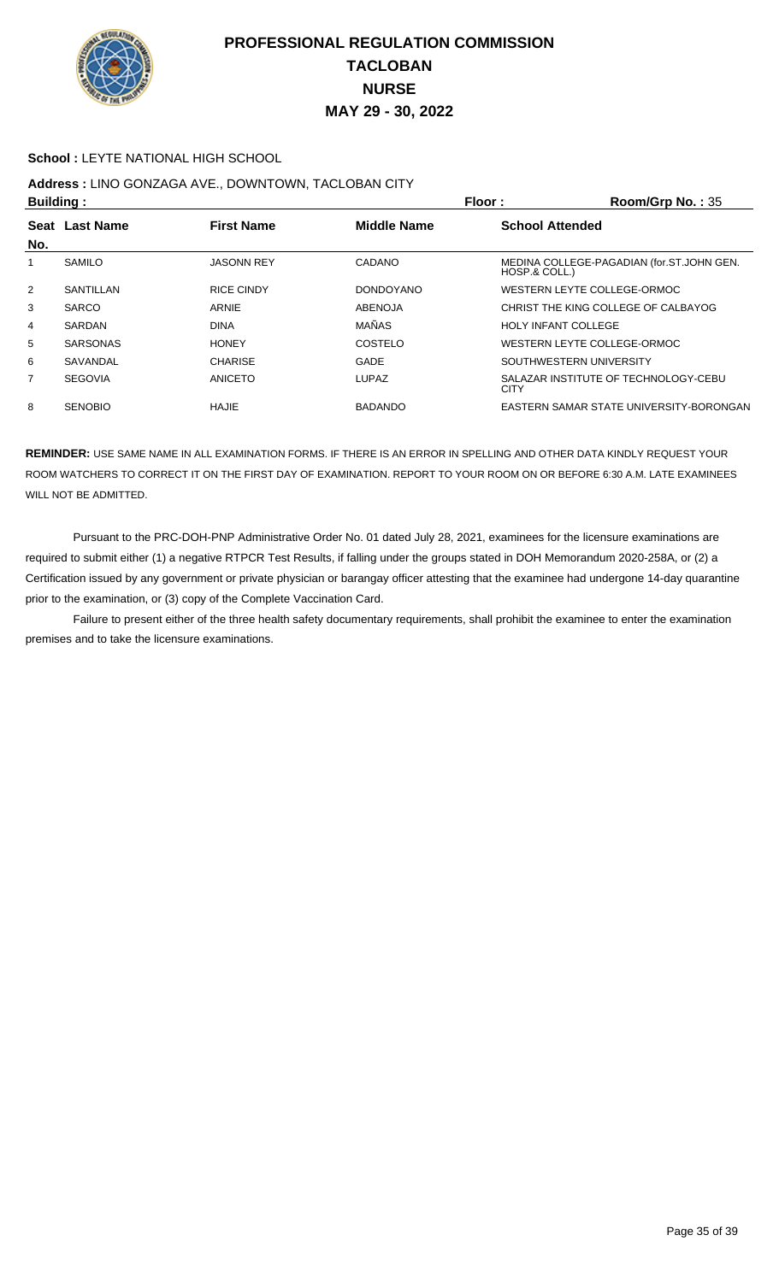

#### **School :** LEYTE NATIONAL HIGH SCHOOL

## **Address :** LINO GONZAGA AVE., DOWNTOWN, TACLOBAN CITY

| <b>Building:</b> |                  |                   |                    | Floor:<br>Room/Grp No.: $35$                               |  |
|------------------|------------------|-------------------|--------------------|------------------------------------------------------------|--|
| <b>Seat</b>      | <b>Last Name</b> | <b>First Name</b> | <b>Middle Name</b> | <b>School Attended</b>                                     |  |
| No.              |                  |                   |                    |                                                            |  |
|                  | <b>SAMILO</b>    | <b>JASONN REY</b> | CADANO             | MEDINA COLLEGE-PAGADIAN (for.ST.JOHN GEN.<br>HOSP.& COLL.) |  |
| $\overline{2}$   | SANTILLAN        | <b>RICE CINDY</b> | <b>DONDOYANO</b>   | WESTERN LEYTE COLLEGE-ORMOC                                |  |
| 3                | <b>SARCO</b>     | ARNIE             | <b>ABENOJA</b>     | CHRIST THE KING COLLEGE OF CALBAYOG                        |  |
| 4                | SARDAN           | <b>DINA</b>       | MAÑAS              | <b>HOLY INFANT COLLEGE</b>                                 |  |
| 5                | <b>SARSONAS</b>  | <b>HONEY</b>      | COSTELO            | WESTERN LEYTE COLLEGE-ORMOC                                |  |
| 6                | SAVANDAL         | <b>CHARISE</b>    | <b>GADE</b>        | SOUTHWESTERN UNIVERSITY                                    |  |
| $\overline{7}$   | <b>SEGOVIA</b>   | ANICETO           | <b>LUPAZ</b>       | SALAZAR INSTITUTE OF TECHNOLOGY-CEBU<br><b>CITY</b>        |  |
| 8                | <b>SENOBIO</b>   | HAJIE             | <b>BADANDO</b>     | EASTERN SAMAR STATE UNIVERSITY-BORONGAN                    |  |

**REMINDER:** USE SAME NAME IN ALL EXAMINATION FORMS. IF THERE IS AN ERROR IN SPELLING AND OTHER DATA KINDLY REQUEST YOUR ROOM WATCHERS TO CORRECT IT ON THE FIRST DAY OF EXAMINATION. REPORT TO YOUR ROOM ON OR BEFORE 6:30 A.M. LATE EXAMINEES WILL NOT BE ADMITTED.

 Pursuant to the PRC-DOH-PNP Administrative Order No. 01 dated July 28, 2021, examinees for the licensure examinations are required to submit either (1) a negative RTPCR Test Results, if falling under the groups stated in DOH Memorandum 2020-258A, or (2) a Certification issued by any government or private physician or barangay officer attesting that the examinee had undergone 14-day quarantine prior to the examination, or (3) copy of the Complete Vaccination Card.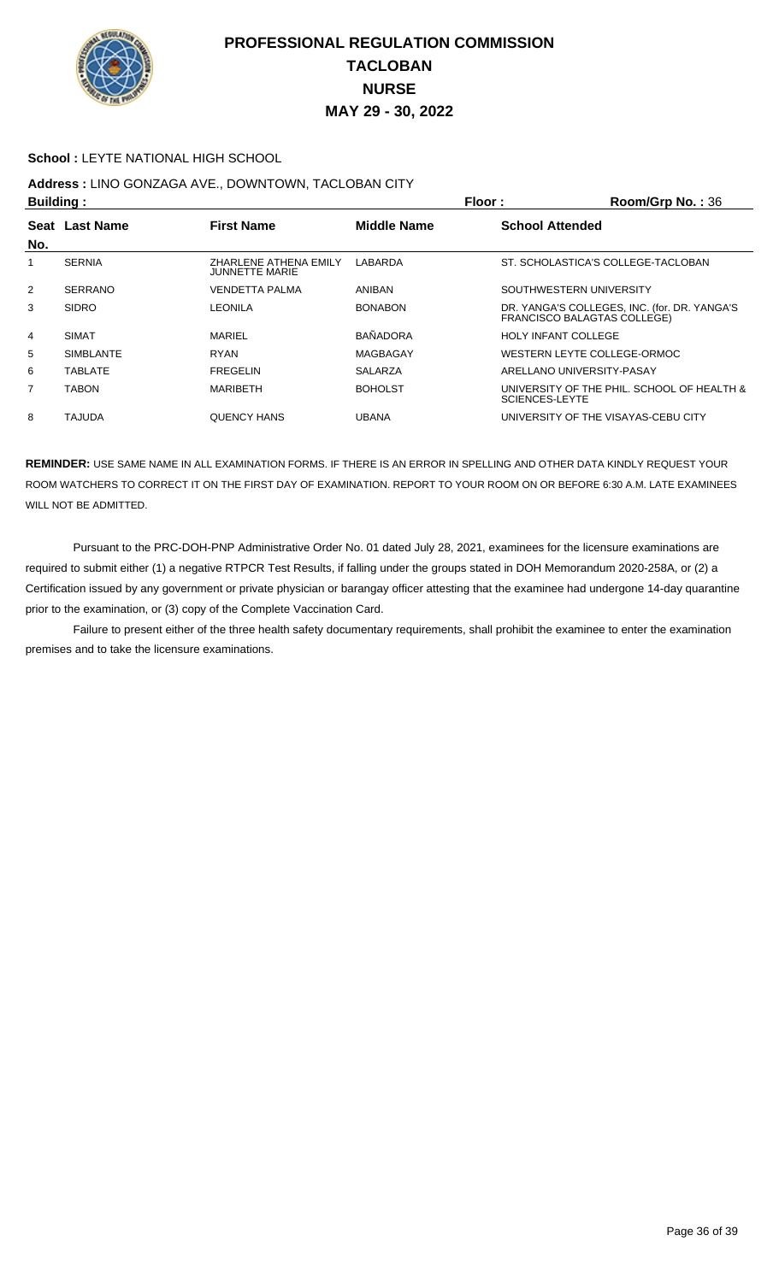

#### **School :** LEYTE NATIONAL HIGH SCHOOL

# **Address :** LINO GONZAGA AVE., DOWNTOWN, TACLOBAN CITY

| <b>Building:</b> |                  |                                                | Floor:          | Room/Grp No.: 36                                                                   |
|------------------|------------------|------------------------------------------------|-----------------|------------------------------------------------------------------------------------|
| Seat             | <b>Last Name</b> | <b>First Name</b>                              | Middle Name     | <b>School Attended</b>                                                             |
| No.              |                  |                                                |                 |                                                                                    |
|                  | <b>SERNIA</b>    | ZHARLENE ATHENA EMILY<br><b>JUNNETTE MARIE</b> | LABARDA         | ST. SCHOLASTICA'S COLLEGE-TACLOBAN                                                 |
| 2                | <b>SERRANO</b>   | <b>VENDETTA PALMA</b>                          | <b>ANIBAN</b>   | SOUTHWESTERN UNIVERSITY                                                            |
| 3                | <b>SIDRO</b>     | LEONILA                                        | <b>BONABON</b>  | DR. YANGA'S COLLEGES, INC. (for. DR. YANGA'S<br><b>FRANCISCO BALAGTAS COLLEGE)</b> |
| 4                | <b>SIMAT</b>     | MARIEL                                         | <b>BAÑADORA</b> | <b>HOLY INFANT COLLEGE</b>                                                         |
| 5                | <b>SIMBLANTE</b> | <b>RYAN</b>                                    | MAGBAGAY        | WESTERN LEYTE COLLEGE-ORMOC                                                        |
| 6                | <b>TABLATE</b>   | <b>FREGELIN</b>                                | <b>SALARZA</b>  | ARELLANO UNIVERSITY-PASAY                                                          |
| 7                | <b>TABON</b>     | <b>MARIBETH</b>                                | <b>BOHOLST</b>  | UNIVERSITY OF THE PHIL. SCHOOL OF HEALTH &<br><b>SCIENCES-LEYTE</b>                |
| 8                | TAJUDA           | <b>QUENCY HANS</b>                             | <b>UBANA</b>    | UNIVERSITY OF THE VISAYAS-CEBU CITY                                                |

**REMINDER:** USE SAME NAME IN ALL EXAMINATION FORMS. IF THERE IS AN ERROR IN SPELLING AND OTHER DATA KINDLY REQUEST YOUR ROOM WATCHERS TO CORRECT IT ON THE FIRST DAY OF EXAMINATION. REPORT TO YOUR ROOM ON OR BEFORE 6:30 A.M. LATE EXAMINEES WILL NOT BE ADMITTED.

 Pursuant to the PRC-DOH-PNP Administrative Order No. 01 dated July 28, 2021, examinees for the licensure examinations are required to submit either (1) a negative RTPCR Test Results, if falling under the groups stated in DOH Memorandum 2020-258A, or (2) a Certification issued by any government or private physician or barangay officer attesting that the examinee had undergone 14-day quarantine prior to the examination, or (3) copy of the Complete Vaccination Card.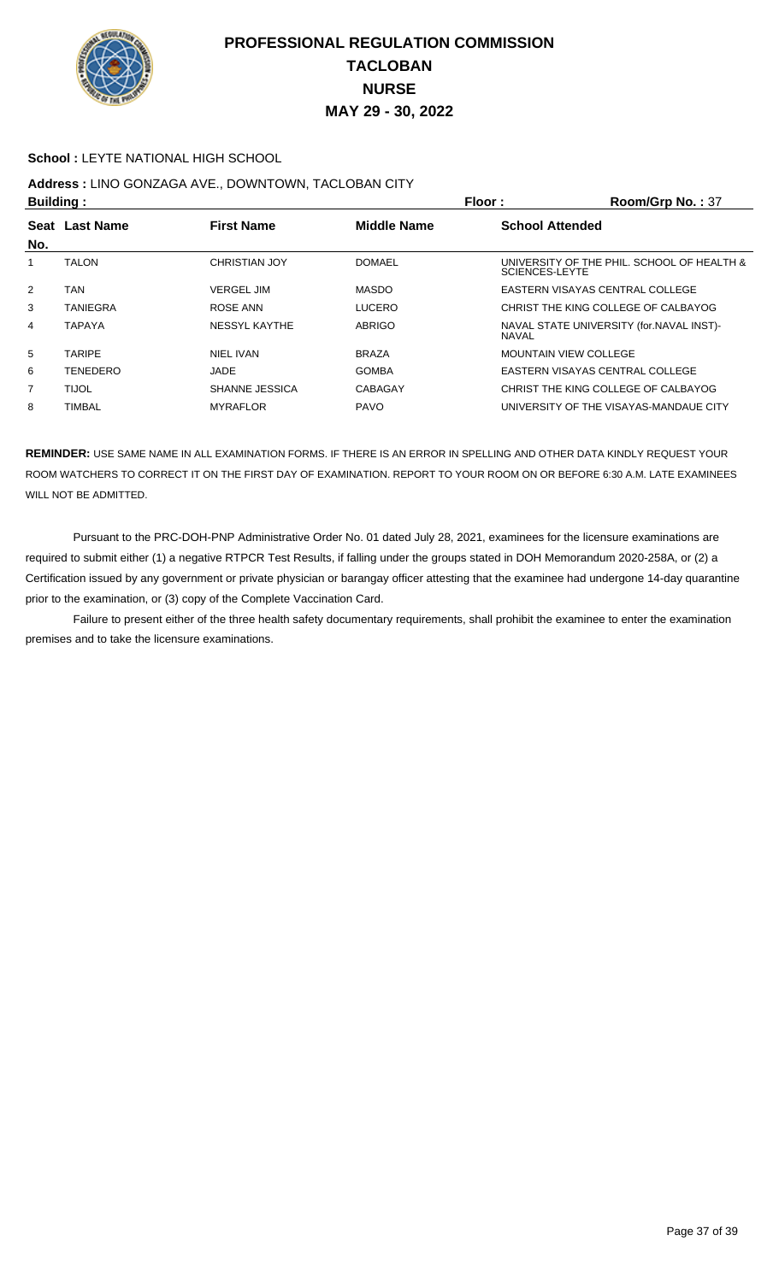

#### **School :** LEYTE NATIONAL HIGH SCHOOL

## **Address :** LINO GONZAGA AVE., DOWNTOWN, TACLOBAN CITY

| <b>Building:</b>                              |               |                       |                        | Floor:<br>Room/Grp No.: 37                                          |  |
|-----------------------------------------------|---------------|-----------------------|------------------------|---------------------------------------------------------------------|--|
| <b>Last Name</b><br><b>First Name</b><br>Seat |               | <b>Middle Name</b>    | <b>School Attended</b> |                                                                     |  |
| No.                                           |               |                       |                        |                                                                     |  |
|                                               | <b>TALON</b>  | <b>CHRISTIAN JOY</b>  | <b>DOMAEL</b>          | UNIVERSITY OF THE PHIL. SCHOOL OF HEALTH &<br><b>SCIENCES-LEYTE</b> |  |
| $\overline{2}$                                | TAN           | <b>VERGEL JIM</b>     | <b>MASDO</b>           | EASTERN VISAYAS CENTRAL COLLEGE                                     |  |
| 3                                             | TANIEGRA      | ROSE ANN              | <b>LUCERO</b>          | CHRIST THE KING COLLEGE OF CALBAYOG                                 |  |
| 4                                             | TAPAYA        | NESSYL KAYTHE         | <b>ABRIGO</b>          | NAVAL STATE UNIVERSITY (for.NAVAL INST)-<br><b>NAVAL</b>            |  |
| 5                                             | <b>TARIPE</b> | NIEL IVAN             | <b>BRAZA</b>           | <b>MOUNTAIN VIEW COLLEGE</b>                                        |  |
| 6                                             | TENEDERO      | JADE                  | <b>GOMBA</b>           | EASTERN VISAYAS CENTRAL COLLEGE                                     |  |
| $\overline{7}$                                | <b>TIJOL</b>  | <b>SHANNE JESSICA</b> | CABAGAY                | CHRIST THE KING COLLEGE OF CALBAYOG                                 |  |
| 8                                             | TIMBAL        | <b>MYRAFLOR</b>       | <b>PAVO</b>            | UNIVERSITY OF THE VISAYAS-MANDAUE CITY                              |  |

**REMINDER:** USE SAME NAME IN ALL EXAMINATION FORMS. IF THERE IS AN ERROR IN SPELLING AND OTHER DATA KINDLY REQUEST YOUR ROOM WATCHERS TO CORRECT IT ON THE FIRST DAY OF EXAMINATION. REPORT TO YOUR ROOM ON OR BEFORE 6:30 A.M. LATE EXAMINEES WILL NOT BE ADMITTED.

 Pursuant to the PRC-DOH-PNP Administrative Order No. 01 dated July 28, 2021, examinees for the licensure examinations are required to submit either (1) a negative RTPCR Test Results, if falling under the groups stated in DOH Memorandum 2020-258A, or (2) a Certification issued by any government or private physician or barangay officer attesting that the examinee had undergone 14-day quarantine prior to the examination, or (3) copy of the Complete Vaccination Card.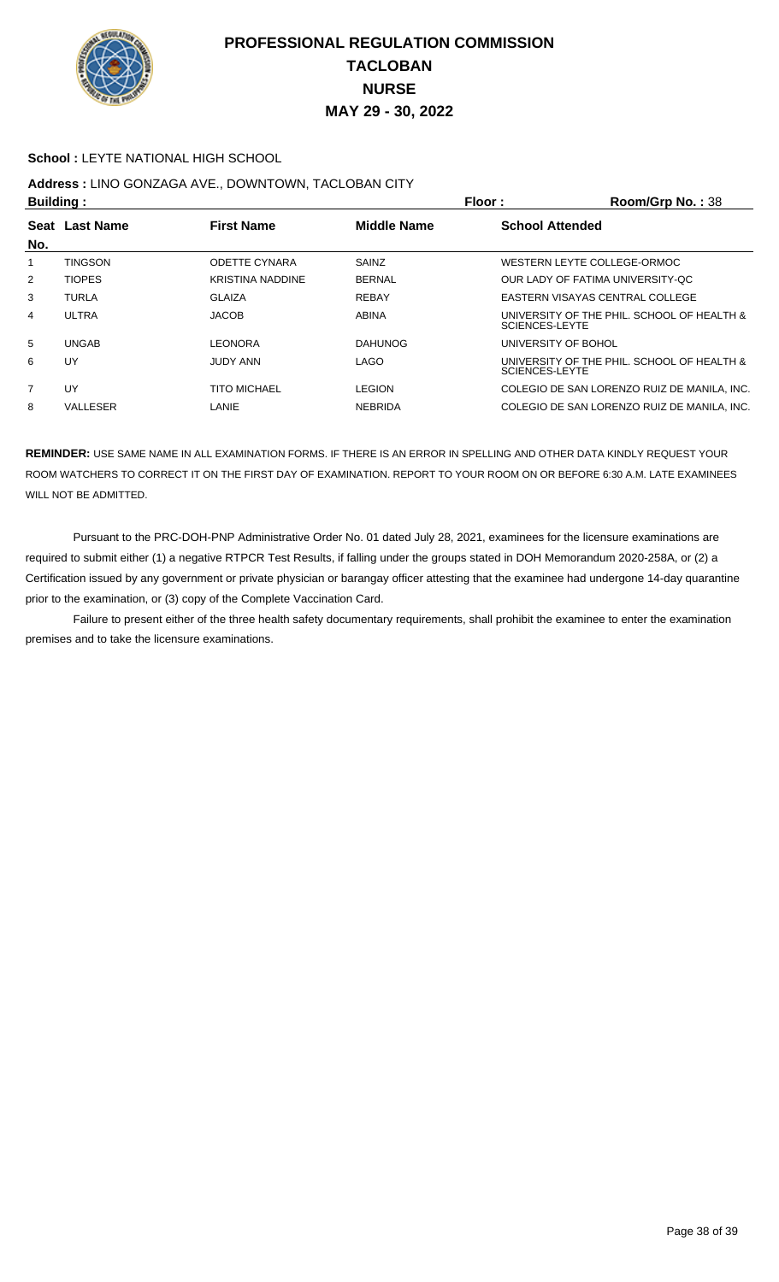

#### **School :** LEYTE NATIONAL HIGH SCHOOL

# **Address :** LINO GONZAGA AVE., DOWNTOWN, TACLOBAN CITY

| <b>Building:</b>                              |                 |                         | Floor:                 | Room/Grp No.: 38                                             |
|-----------------------------------------------|-----------------|-------------------------|------------------------|--------------------------------------------------------------|
| <b>First Name</b><br><b>Last Name</b><br>Seat |                 | <b>Middle Name</b>      | <b>School Attended</b> |                                                              |
| No.                                           |                 |                         |                        |                                                              |
|                                               | <b>TINGSON</b>  | <b>ODETTE CYNARA</b>    | SAINZ                  | WESTERN LEYTE COLLEGE-ORMOC                                  |
| $\overline{2}$                                | <b>TIOPES</b>   | <b>KRISTINA NADDINE</b> | <b>BERNAL</b>          | OUR LADY OF FATIMA UNIVERSITY-OC                             |
| 3                                             | <b>TURLA</b>    | <b>GLAIZA</b>           | <b>REBAY</b>           | EASTERN VISAYAS CENTRAL COLLEGE                              |
| 4                                             | ULTRA           | <b>JACOB</b>            | <b>ABINA</b>           | UNIVERSITY OF THE PHIL. SCHOOL OF HEALTH &<br>SCIENCES-LEYTE |
| 5                                             | <b>UNGAB</b>    | LEONORA                 | <b>DAHUNOG</b>         | UNIVERSITY OF BOHOL                                          |
| 6                                             | UY              | <b>JUDY ANN</b>         | <b>LAGO</b>            | UNIVERSITY OF THE PHIL. SCHOOL OF HEALTH &<br>SCIENCES-LEYTE |
| 7                                             | UY              | <b>TITO MICHAEL</b>     | <b>LEGION</b>          | COLEGIO DE SAN LORENZO RUIZ DE MANILA. INC.                  |
| 8                                             | <b>VALLESER</b> | LANIE                   | <b>NEBRIDA</b>         | COLEGIO DE SAN LORENZO RUIZ DE MANILA. INC.                  |
|                                               |                 |                         |                        |                                                              |

**REMINDER:** USE SAME NAME IN ALL EXAMINATION FORMS. IF THERE IS AN ERROR IN SPELLING AND OTHER DATA KINDLY REQUEST YOUR ROOM WATCHERS TO CORRECT IT ON THE FIRST DAY OF EXAMINATION. REPORT TO YOUR ROOM ON OR BEFORE 6:30 A.M. LATE EXAMINEES WILL NOT BE ADMITTED.

 Pursuant to the PRC-DOH-PNP Administrative Order No. 01 dated July 28, 2021, examinees for the licensure examinations are required to submit either (1) a negative RTPCR Test Results, if falling under the groups stated in DOH Memorandum 2020-258A, or (2) a Certification issued by any government or private physician or barangay officer attesting that the examinee had undergone 14-day quarantine prior to the examination, or (3) copy of the Complete Vaccination Card.